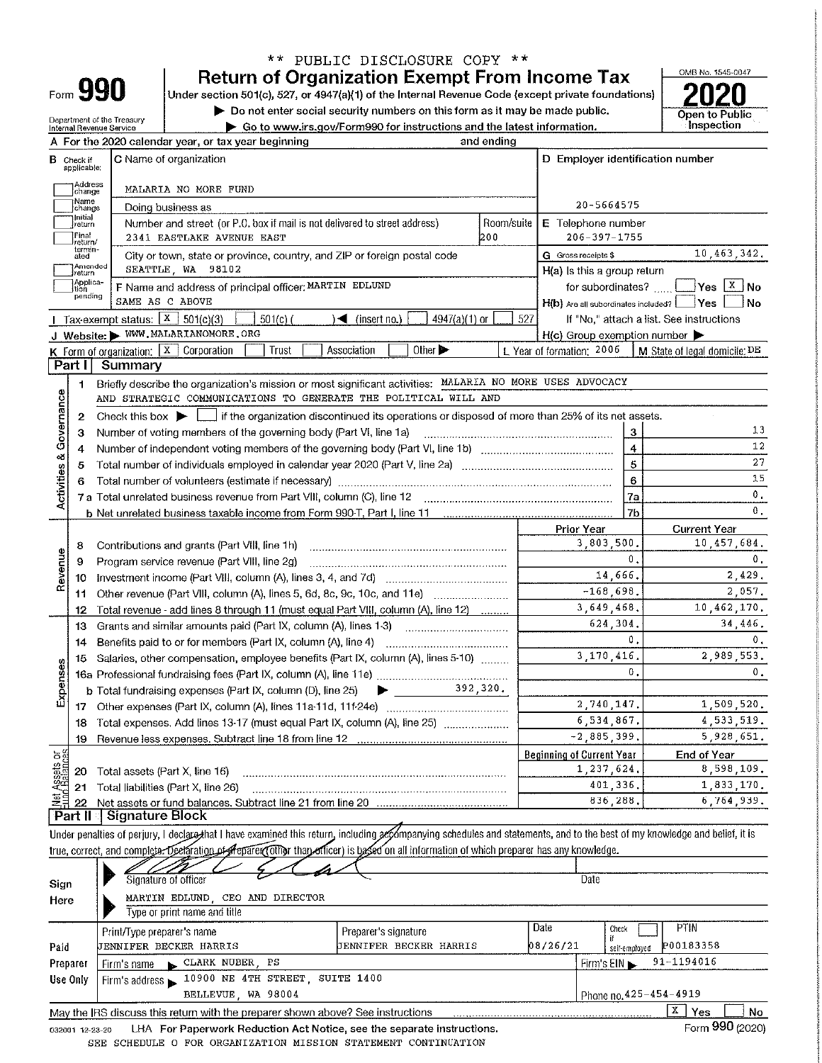|                                                                           |                             |                                                        |                                                                                                                                                                            | ** PUBLIC DISCLOSURE COPY **                                                |            |                                                |                |                                          |
|---------------------------------------------------------------------------|-----------------------------|--------------------------------------------------------|----------------------------------------------------------------------------------------------------------------------------------------------------------------------------|-----------------------------------------------------------------------------|------------|------------------------------------------------|----------------|------------------------------------------|
|                                                                           |                             |                                                        |                                                                                                                                                                            | <b>Return of Organization Exempt From Income Tax</b>                        |            |                                                |                | OMB No. 1545-0047                        |
|                                                                           |                             | Form 990                                               | Under section 501(c), 527, or 4947(a)(1) of the Internal Revenue Code (except private foundations)                                                                         |                                                                             |            |                                                |                |                                          |
|                                                                           |                             |                                                        |                                                                                                                                                                            | Do not enter social security numbers on this form as it may be made public. |            |                                                |                | Open to Public                           |
|                                                                           |                             | Department of the Treasury<br>Internal Revenue Service |                                                                                                                                                                            | Go to www.irs.gov/Form990 for instructions and the latest information.      |            |                                                |                | Inspection                               |
|                                                                           |                             |                                                        | A For the 2020 calendar year, or tax year beginning                                                                                                                        |                                                                             | and ending |                                                |                |                                          |
|                                                                           | <b>B</b> Check if           |                                                        | C Name of organization                                                                                                                                                     |                                                                             |            | D Employer identification number               |                |                                          |
|                                                                           | applicable:                 |                                                        |                                                                                                                                                                            |                                                                             |            |                                                |                |                                          |
|                                                                           | Address<br>change           |                                                        | MALARIA NO MORE FUND                                                                                                                                                       |                                                                             |            |                                                |                |                                          |
|                                                                           | :Name<br>change             |                                                        | Doing business as                                                                                                                                                          | 20-5664575                                                                  |            |                                                |                |                                          |
|                                                                           | 1 Initial<br>return         |                                                        | Number and street (or P.O. box if mail is not delivered to street address)                                                                                                 |                                                                             | Room/suite | E Telephone number                             |                |                                          |
|                                                                           | Final<br>return/            |                                                        | 2341 EASTLAKE AVENUE EAST                                                                                                                                                  |                                                                             | 1200       | $206 - 397 - 1755$                             |                |                                          |
|                                                                           | termin-<br>ated             |                                                        | City or town, state or province, country, and ZIP or foreign postal code                                                                                                   |                                                                             |            | G Gross receipts \$                            |                | 10,463,342.                              |
|                                                                           | Amended<br>return           |                                                        | SEATTLE, WA 98102                                                                                                                                                          |                                                                             |            | H(a) Is this a group return                    |                |                                          |
|                                                                           | Applica-<br>tion<br>pending |                                                        | F Name and address of principal officer: MARTIN EDLUND                                                                                                                     |                                                                             |            |                                                |                | for subordinates? $\Box$ Yes $X$ No      |
|                                                                           |                             |                                                        | SAME AS C ABOVE                                                                                                                                                            |                                                                             |            | H(b) Are all subordinates included? Ves        |                | ∣No                                      |
|                                                                           |                             | Tax-exempt status: $X \mid 501(c)(3)$                  | $501(c)$ (                                                                                                                                                                 | 4947(a)(1) or<br>$\blacktriangleleft$ (insert no.)                          | 527        |                                                |                | If "No," attach a list. See instructions |
|                                                                           |                             |                                                        | J Website: WWW.MALARIANOMORE.ORG                                                                                                                                           |                                                                             |            | $H(c)$ Group exemption number                  |                |                                          |
|                                                                           |                             |                                                        | K Form of organization: $X$ Corporation<br>Trust                                                                                                                           | Association<br>Other $\blacktriangleright$                                  |            | L Year of formation; 2006                      |                | M State of legal domicile: DE            |
|                                                                           | Part I                      | Summary                                                |                                                                                                                                                                            |                                                                             |            |                                                |                |                                          |
|                                                                           | 1.                          |                                                        | Briefly describe the organization's mission or most significant activities: MALARIA NO MORE USES ADVOCACY                                                                  |                                                                             |            |                                                |                |                                          |
| Activities & Governance                                                   |                             |                                                        | AND STRATEGIC COMMUNICATIONS TO GENERATE THE POLITICAL WILL AND                                                                                                            |                                                                             |            |                                                |                |                                          |
|                                                                           | 2                           |                                                        | Check this box $\blacktriangleright$ $\blacksquare$ if the organization discontinued its operations or disposed of more than 25% of its net assets.                        |                                                                             |            |                                                |                |                                          |
|                                                                           | 3                           |                                                        | Number of voting members of the governing body (Part VI, line 1a)                                                                                                          |                                                                             |            |                                                | 3              | 13                                       |
|                                                                           | 4                           |                                                        |                                                                                                                                                                            |                                                                             |            |                                                | $\overline{4}$ | 12                                       |
|                                                                           | 5                           |                                                        |                                                                                                                                                                            |                                                                             |            |                                                | $\overline{5}$ | 27                                       |
|                                                                           | 6                           |                                                        |                                                                                                                                                                            |                                                                             |            |                                                | $\bf 6$        | 15                                       |
|                                                                           |                             |                                                        |                                                                                                                                                                            |                                                                             |            |                                                | 7a             | $\bf 0$ .                                |
|                                                                           |                             |                                                        |                                                                                                                                                                            |                                                                             |            |                                                | 7b             | $\mathbf{0}$ .                           |
|                                                                           |                             |                                                        |                                                                                                                                                                            |                                                                             |            | Prior Year                                     |                | <b>Current Year</b>                      |
|                                                                           | 8                           |                                                        | Contributions and grants (Part VIII, line 1h)                                                                                                                              |                                                                             |            | 3,803,500.                                     |                | 10,457,684.                              |
| Revenue                                                                   | 9                           |                                                        | Program service revenue (Part VIII, line 2g)                                                                                                                               |                                                                             |            |                                                | 0.             | 0.                                       |
|                                                                           | 10                          |                                                        |                                                                                                                                                                            |                                                                             |            | 14.666.                                        |                | 2.429.                                   |
|                                                                           | 11                          |                                                        | Other revenue (Part VIII, column (A), lines 5, 6d, 8c, 9c, 10c, and 11e)                                                                                                   |                                                                             |            | $-168,698.$<br>3,649,468.                      |                | 2 0 5 7.                                 |
|                                                                           | 12                          |                                                        | Total revenue - add lines 8 through 11 (must equal Part VIII, column (A), line 12)                                                                                         |                                                                             |            | 624,304.                                       |                | 10,462 170.                              |
|                                                                           | 13                          |                                                        | Grants and similar amounts paid (Part IX, column (A), lines 1-3)                                                                                                           | and the state of the state of the state of                                  |            |                                                | Ο.             | 34,446.                                  |
|                                                                           | 14                          |                                                        | Benefits paid to or for members (Part IX, column (A), line 4)                                                                                                              |                                                                             |            | 3,170,416.                                     |                | 0,<br>2 989 553                          |
|                                                                           |                             |                                                        | 15 Salaries, other compensation, employee benefits (Part IX, column (A), lines 5-10)                                                                                       |                                                                             |            |                                                | 0.             | $0$ .                                    |
| Expenses                                                                  |                             |                                                        |                                                                                                                                                                            | $\frac{392,320}{.}$                                                         |            |                                                |                |                                          |
|                                                                           |                             |                                                        | b Total fundraising expenses (Part IX, column (D), line 25)                                                                                                                | ▶                                                                           |            | 2,740,147.                                     |                | 1,509,520                                |
|                                                                           |                             |                                                        |                                                                                                                                                                            |                                                                             |            | 6,534,867.                                     |                | 4, 533, 519.                             |
|                                                                           | 18                          |                                                        | Total expenses, Add lines 13-17 (must equal Part IX, column (A), line 25)                                                                                                  |                                                                             |            | $-2,885,399.$                                  |                | 5,928,651.                               |
|                                                                           | 19                          |                                                        |                                                                                                                                                                            |                                                                             |            |                                                |                |                                          |
| t Assets or<br>d Balances                                                 | 20                          |                                                        | Total assets (Part X, line 16)                                                                                                                                             |                                                                             |            | <b>Beginning of Current Year</b><br>1,237,624. |                | <b>End of Year</b><br>8,598,109.         |
|                                                                           | 21                          |                                                        | Total liabilities (Part X, line 26)                                                                                                                                        |                                                                             |            | 401,336.                                       |                | 1,833,170.                               |
| 훨                                                                         | 22                          |                                                        |                                                                                                                                                                            |                                                                             |            | 836,288.                                       |                | 6 764 939.                               |
|                                                                           |                             | Part II Signature Block                                |                                                                                                                                                                            |                                                                             |            |                                                |                |                                          |
|                                                                           |                             |                                                        | Under penalties of perjury, I declare that I have examined this return, including accompanying schedules and statements, and to the best of my knowledge and belief, it is |                                                                             |            |                                                |                |                                          |
|                                                                           |                             |                                                        | true, correct, and complete. Declaration of Heparer (other than officer) is based on all information of which preparer has any knowledge.                                  |                                                                             |            |                                                |                |                                          |
|                                                                           |                             |                                                        |                                                                                                                                                                            |                                                                             |            |                                                |                |                                          |
|                                                                           |                             |                                                        | Signature of officer                                                                                                                                                       |                                                                             |            | Date                                           |                |                                          |
| Sign<br>MARTIN EDLUND, CEO AND DIRECTOR                                   |                             |                                                        |                                                                                                                                                                            |                                                                             |            |                                                |                |                                          |
| Here<br>Type or print name and title                                      |                             |                                                        |                                                                                                                                                                            |                                                                             |            |                                                |                |                                          |
|                                                                           |                             | Print/Type preparer's name                             |                                                                                                                                                                            | Preparer's signature                                                        |            | Date<br>Check                                  |                | <b>PTIN</b>                              |
| Paid                                                                      |                             |                                                        | JENNIFER BECKER HARRIS                                                                                                                                                     | JENNIFER BECKER HARRIS                                                      |            | 08/26/21                                       | self-employed  | P00183358                                |
|                                                                           |                             | Firm's name                                            | CLARK NUBER, PS                                                                                                                                                            |                                                                             |            | Firm's $EIN$                                   |                | 91-1194016                               |
| Preparer<br>10900 NE 4TH STREET, SUITE 1400<br>Use Only<br>Firm's address |                             |                                                        |                                                                                                                                                                            |                                                                             |            |                                                |                |                                          |
|                                                                           |                             |                                                        | BELLEVUE, WA 98004                                                                                                                                                         |                                                                             |            |                                                |                | Phone no.425-454-4919                    |
|                                                                           |                             |                                                        | May the IRS discuss this return with the preparer shown above? See instructions                                                                                            |                                                                             |            |                                                |                | x  <br>Yes<br>No.                        |
|                                                                           |                             |                                                        |                                                                                                                                                                            |                                                                             |            |                                                |                |                                          |

032001 12-23-20 LHA For Paperwork Reduction Act Notice, see the separate instructions. SEE SCHEDULE O FOR ORGANIZATION MISSION STATEMENT CONTINUATION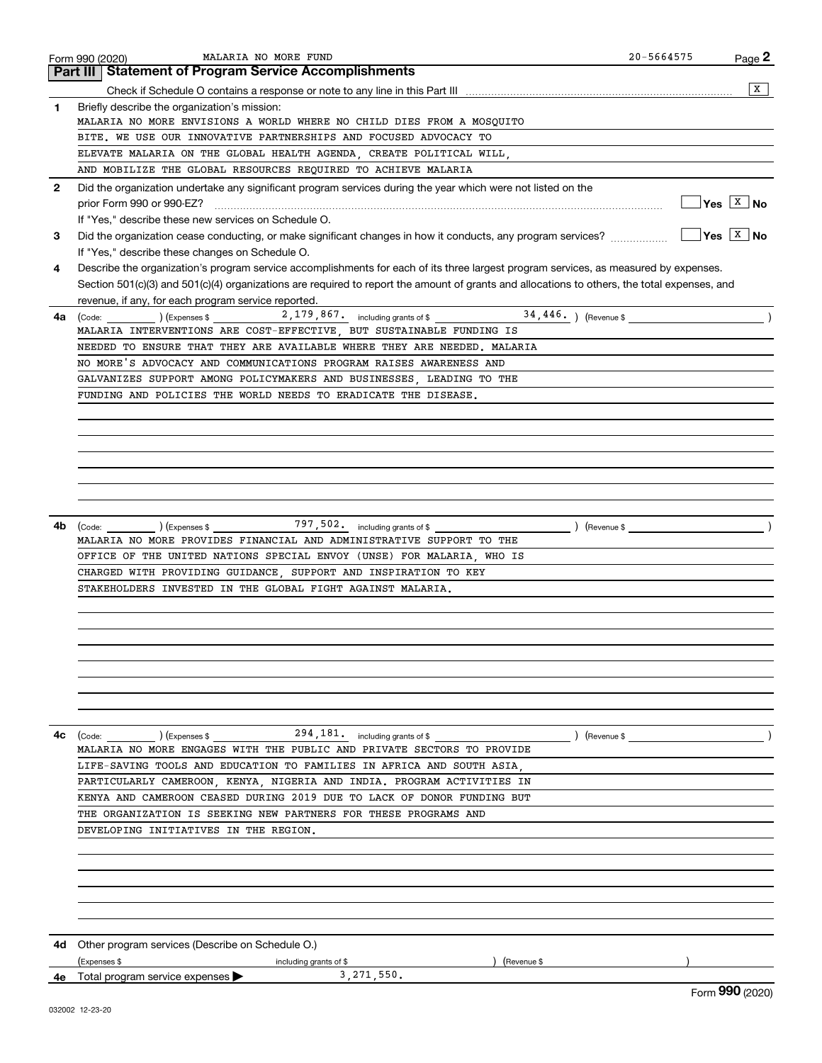|              | MALARIA NO MORE FUND<br>Form 990 (2020)                                                                                                      | $20 - 5664575$          | Page 2                              |
|--------------|----------------------------------------------------------------------------------------------------------------------------------------------|-------------------------|-------------------------------------|
|              | <b>Part III   Statement of Program Service Accomplishments</b>                                                                               |                         |                                     |
|              |                                                                                                                                              |                         | X                                   |
| 1.           | Briefly describe the organization's mission:                                                                                                 |                         |                                     |
|              | MALARIA NO MORE ENVISIONS A WORLD WHERE NO CHILD DIES FROM A MOSQUITO                                                                        |                         |                                     |
|              | BITE. WE USE OUR INNOVATIVE PARTNERSHIPS AND FOCUSED ADVOCACY TO                                                                             |                         |                                     |
|              | ELEVATE MALARIA ON THE GLOBAL HEALTH AGENDA, CREATE POLITICAL WILL,                                                                          |                         |                                     |
|              | AND MOBILIZE THE GLOBAL RESOURCES REQUIRED TO ACHIEVE MALARIA                                                                                |                         |                                     |
| $\mathbf{2}$ | Did the organization undertake any significant program services during the year which were not listed on the                                 |                         |                                     |
|              | prior Form 990 or 990-EZ?                                                                                                                    |                         | $\overline{Y}$ es $\overline{X}$ No |
|              | If "Yes," describe these new services on Schedule O.                                                                                         |                         |                                     |
| 3            |                                                                                                                                              |                         | $\sqrt{Y}$ es $\sqrt{X}$ No         |
|              | If "Yes," describe these changes on Schedule O.                                                                                              |                         |                                     |
| 4            | Describe the organization's program service accomplishments for each of its three largest program services, as measured by expenses.         |                         |                                     |
|              | Section 501(c)(3) and 501(c)(4) organizations are required to report the amount of grants and allocations to others, the total expenses, and |                         |                                     |
|              |                                                                                                                                              |                         |                                     |
|              | revenue, if any, for each program service reported.                                                                                          |                         |                                     |
| 4a           | (Code:<br>MALARIA INTERVENTIONS ARE COST-EFFECTIVE, BUT SUSTAINABLE FUNDING IS                                                               |                         |                                     |
|              | NEEDED TO ENSURE THAT THEY ARE AVAILABLE WHERE THEY ARE NEEDED. MALARIA                                                                      |                         |                                     |
|              | NO MORE'S ADVOCACY AND COMMUNICATIONS PROGRAM RAISES AWARENESS AND                                                                           |                         |                                     |
|              | GALVANIZES SUPPORT AMONG POLICYMAKERS AND BUSINESSES, LEADING TO THE                                                                         |                         |                                     |
|              |                                                                                                                                              |                         |                                     |
|              | FUNDING AND POLICIES THE WORLD NEEDS TO ERADICATE THE DISEASE.                                                                               |                         |                                     |
|              |                                                                                                                                              |                         |                                     |
|              |                                                                                                                                              |                         |                                     |
|              |                                                                                                                                              |                         |                                     |
|              |                                                                                                                                              |                         |                                     |
|              |                                                                                                                                              |                         |                                     |
|              |                                                                                                                                              |                         |                                     |
|              |                                                                                                                                              |                         |                                     |
| 4b           | $797,502.$ including grants of \$<br>) (Expenses \$<br>(Code:                                                                                | $\left(\text{Revenue }$ |                                     |
|              | MALARIA NO MORE PROVIDES FINANCIAL AND ADMINISTRATIVE SUPPORT TO THE                                                                         |                         |                                     |
|              | OFFICE OF THE UNITED NATIONS SPECIAL ENVOY (UNSE) FOR MALARIA, WHO IS                                                                        |                         |                                     |
|              | CHARGED WITH PROVIDING GUIDANCE, SUPPORT AND INSPIRATION TO KEY                                                                              |                         |                                     |
|              | STAKEHOLDERS INVESTED IN THE GLOBAL FIGHT AGAINST MALARIA.                                                                                   |                         |                                     |
|              |                                                                                                                                              |                         |                                     |
|              |                                                                                                                                              |                         |                                     |
|              |                                                                                                                                              |                         |                                     |
|              |                                                                                                                                              |                         |                                     |
|              |                                                                                                                                              |                         |                                     |
|              |                                                                                                                                              |                         |                                     |
|              |                                                                                                                                              |                         |                                     |
|              |                                                                                                                                              |                         |                                     |
| 4с           |                                                                                                                                              | $\angle$ (Revenue \$    |                                     |
|              | MALARIA NO MORE ENGAGES WITH THE PUBLIC AND PRIVATE SECTORS TO PROVIDE                                                                       |                         |                                     |
|              | LIFE-SAVING TOOLS AND EDUCATION TO FAMILIES IN AFRICA AND SOUTH ASIA.                                                                        |                         |                                     |
|              | PARTICULARLY CAMEROON, KENYA, NIGERIA AND INDIA. PROGRAM ACTIVITIES IN                                                                       |                         |                                     |
|              | KENYA AND CAMEROON CEASED DURING 2019 DUE TO LACK OF DONOR FUNDING BUT                                                                       |                         |                                     |
|              | THE ORGANIZATION IS SEEKING NEW PARTNERS FOR THESE PROGRAMS AND                                                                              |                         |                                     |
|              | DEVELOPING INITIATIVES IN THE REGION.                                                                                                        |                         |                                     |
|              |                                                                                                                                              |                         |                                     |
|              |                                                                                                                                              |                         |                                     |
|              |                                                                                                                                              |                         |                                     |
|              |                                                                                                                                              |                         |                                     |
|              |                                                                                                                                              |                         |                                     |
|              |                                                                                                                                              |                         |                                     |
|              |                                                                                                                                              |                         |                                     |
| 4d.          | Other program services (Describe on Schedule O.)                                                                                             |                         |                                     |
|              | (Expenses \$<br>(Revenue \$<br>including grants of \$                                                                                        |                         |                                     |
| 4e           | 3, 271, 550.<br>Total program service expenses ▶                                                                                             |                         | nnn.                                |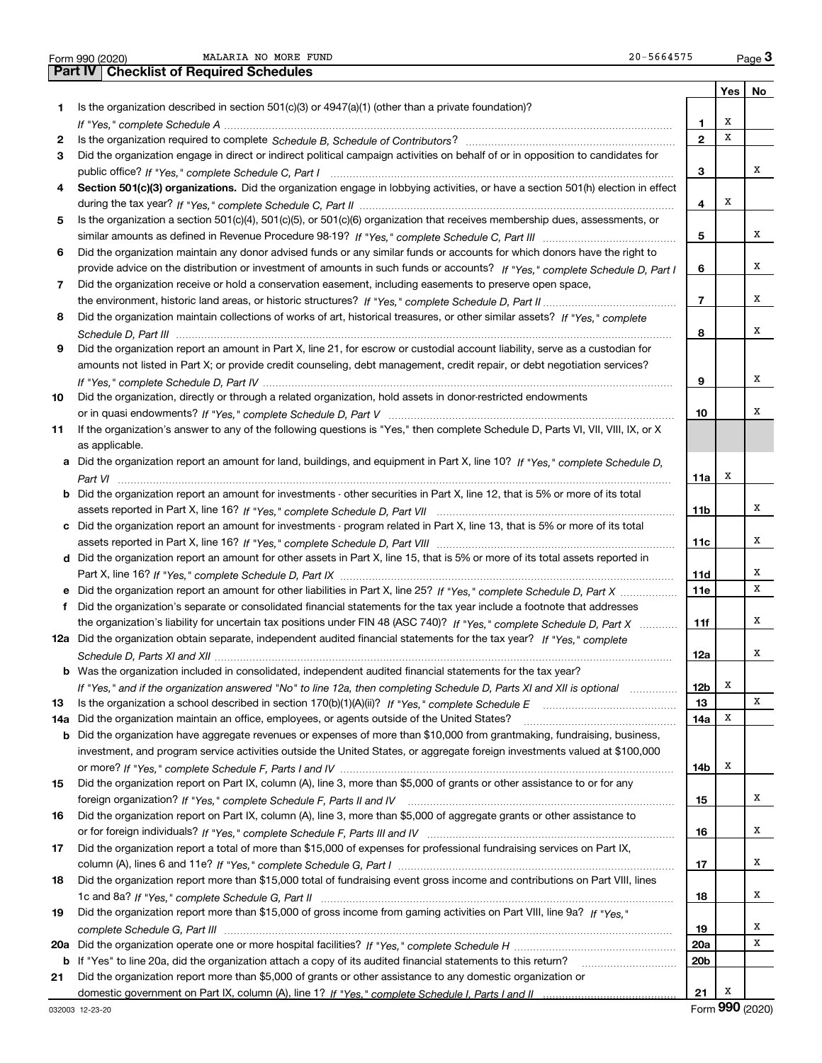|  | Form 990 (2020 |
|--|----------------|

**Yes No** Form 990 (2020) Page MALARIA NO MORE FUND 20-5664575Form 990 (2020) **MALARIA NO MORE FUND**<br> **Part IV** Checklist of Required Schedules<br>
Part IV Checklist of Required Schedules

| 1  | Is the organization described in section $501(c)(3)$ or $4947(a)(1)$ (other than a private foundation)?                                                                                                                                                        |                          |   |                             |
|----|----------------------------------------------------------------------------------------------------------------------------------------------------------------------------------------------------------------------------------------------------------------|--------------------------|---|-----------------------------|
|    |                                                                                                                                                                                                                                                                | 1                        | X |                             |
| 2  |                                                                                                                                                                                                                                                                | $\mathbf{2}$             | X |                             |
| 3  | Did the organization engage in direct or indirect political campaign activities on behalf of or in opposition to candidates for                                                                                                                                |                          |   |                             |
|    |                                                                                                                                                                                                                                                                | з                        |   | х                           |
| 4  | Section 501(c)(3) organizations. Did the organization engage in lobbying activities, or have a section 501(h) election in effect                                                                                                                               |                          |   |                             |
|    |                                                                                                                                                                                                                                                                | 4                        | x |                             |
| 5  | Is the organization a section 501(c)(4), 501(c)(5), or 501(c)(6) organization that receives membership dues, assessments, or                                                                                                                                   |                          |   |                             |
|    |                                                                                                                                                                                                                                                                | 5                        |   | х                           |
| 6  | Did the organization maintain any donor advised funds or any similar funds or accounts for which donors have the right to                                                                                                                                      |                          |   |                             |
|    | provide advice on the distribution or investment of amounts in such funds or accounts? If "Yes," complete Schedule D, Part I                                                                                                                                   | 6                        |   | х                           |
| 7  | Did the organization receive or hold a conservation easement, including easements to preserve open space,                                                                                                                                                      |                          |   |                             |
|    |                                                                                                                                                                                                                                                                | $\overline{\phantom{a}}$ |   | х                           |
| 8  | Did the organization maintain collections of works of art, historical treasures, or other similar assets? If "Yes," complete                                                                                                                                   |                          |   |                             |
|    |                                                                                                                                                                                                                                                                | 8                        |   | х                           |
| 9  | Did the organization report an amount in Part X, line 21, for escrow or custodial account liability, serve as a custodian for                                                                                                                                  |                          |   |                             |
|    | amounts not listed in Part X; or provide credit counseling, debt management, credit repair, or debt negotiation services?                                                                                                                                      |                          |   |                             |
|    |                                                                                                                                                                                                                                                                | 9                        |   | х                           |
| 10 | Did the organization, directly or through a related organization, hold assets in donor-restricted endowments                                                                                                                                                   |                          |   |                             |
|    |                                                                                                                                                                                                                                                                | 10                       |   | х                           |
| 11 | If the organization's answer to any of the following questions is "Yes," then complete Schedule D, Parts VI, VII, VIII, IX, or X                                                                                                                               |                          |   |                             |
|    | as applicable.                                                                                                                                                                                                                                                 |                          |   |                             |
|    | a Did the organization report an amount for land, buildings, and equipment in Part X, line 10? If "Yes," complete Schedule D.                                                                                                                                  |                          |   |                             |
|    |                                                                                                                                                                                                                                                                | 11a                      | x |                             |
|    | <b>b</b> Did the organization report an amount for investments - other securities in Part X, line 12, that is 5% or more of its total                                                                                                                          |                          |   |                             |
|    |                                                                                                                                                                                                                                                                | 11b                      |   | х                           |
|    | c Did the organization report an amount for investments - program related in Part X, line 13, that is 5% or more of its total                                                                                                                                  |                          |   |                             |
|    |                                                                                                                                                                                                                                                                | 11c                      |   | х                           |
|    | d Did the organization report an amount for other assets in Part X, line 15, that is 5% or more of its total assets reported in                                                                                                                                |                          |   |                             |
|    |                                                                                                                                                                                                                                                                | 11d                      |   | х                           |
|    | e Did the organization report an amount for other liabilities in Part X, line 25? If "Yes," complete Schedule D, Part X                                                                                                                                        | <b>11e</b>               |   | х                           |
| f  | Did the organization's separate or consolidated financial statements for the tax year include a footnote that addresses                                                                                                                                        |                          |   |                             |
|    | the organization's liability for uncertain tax positions under FIN 48 (ASC 740)? If "Yes," complete Schedule D, Part X                                                                                                                                         | 11f                      |   | х                           |
|    | 12a Did the organization obtain separate, independent audited financial statements for the tax year? If "Yes," complete                                                                                                                                        |                          |   | х                           |
|    |                                                                                                                                                                                                                                                                | 12a                      |   |                             |
|    | <b>b</b> Was the organization included in consolidated, independent audited financial statements for the tax year?                                                                                                                                             |                          | х |                             |
|    | If "Yes," and if the organization answered "No" to line 12a, then completing Schedule D, Parts XI and XII is optional                                                                                                                                          | 12b<br>13                |   | X                           |
|    |                                                                                                                                                                                                                                                                |                          | Х |                             |
|    | 14a Did the organization maintain an office, employees, or agents outside of the United States?                                                                                                                                                                | 14a                      |   |                             |
|    | <b>b</b> Did the organization have aggregate revenues or expenses of more than \$10,000 from grantmaking, fundraising, business,<br>investment, and program service activities outside the United States, or aggregate foreign investments valued at \$100,000 |                          |   |                             |
|    |                                                                                                                                                                                                                                                                | 14b                      | x |                             |
| 15 | Did the organization report on Part IX, column (A), line 3, more than \$5,000 of grants or other assistance to or for any                                                                                                                                      |                          |   |                             |
|    |                                                                                                                                                                                                                                                                | 15                       |   | х                           |
| 16 | Did the organization report on Part IX, column (A), line 3, more than \$5,000 of aggregate grants or other assistance to                                                                                                                                       |                          |   |                             |
|    |                                                                                                                                                                                                                                                                | 16                       |   | x                           |
| 17 | Did the organization report a total of more than \$15,000 of expenses for professional fundraising services on Part IX,                                                                                                                                        |                          |   |                             |
|    |                                                                                                                                                                                                                                                                | 17                       |   | x                           |
| 18 | Did the organization report more than \$15,000 total of fundraising event gross income and contributions on Part VIII, lines                                                                                                                                   |                          |   |                             |
|    |                                                                                                                                                                                                                                                                | 18                       |   | x                           |
| 19 | Did the organization report more than \$15,000 of gross income from gaming activities on Part VIII, line 9a? If "Yes."                                                                                                                                         |                          |   |                             |
|    |                                                                                                                                                                                                                                                                | 19                       |   | x                           |
|    |                                                                                                                                                                                                                                                                | <b>20a</b>               |   | х                           |
|    | b If "Yes" to line 20a, did the organization attach a copy of its audited financial statements to this return?                                                                                                                                                 | 20 <sub>b</sub>          |   |                             |
| 21 | Did the organization report more than \$5,000 of grants or other assistance to any domestic organization or                                                                                                                                                    |                          |   |                             |
|    |                                                                                                                                                                                                                                                                | 21                       | х |                             |
|    | 00000 10.00.00                                                                                                                                                                                                                                                 |                          |   | $F_{\text{arm}}$ 990 (2020) |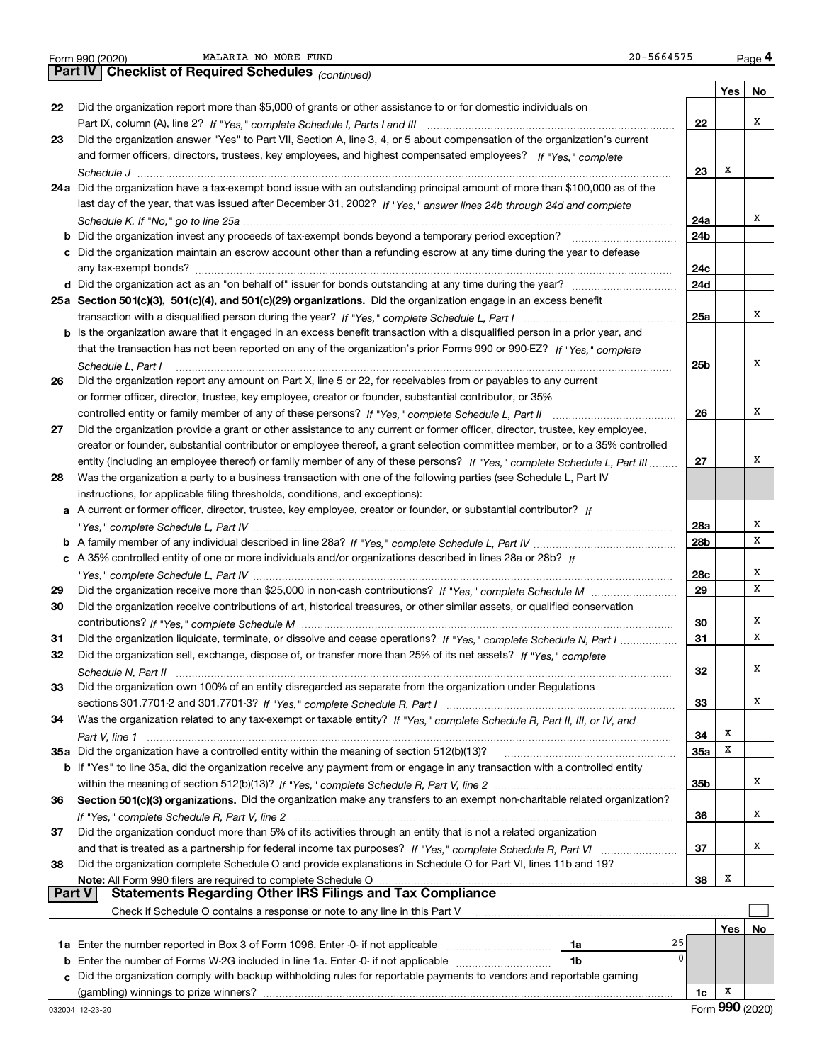|  | Form 990 (2020) |
|--|-----------------|

**Yes No 22**Did the organization report more than \$5,000 of grants or other assistance to or for domestic individuals on **2324a**Did the organization have a tax-exempt bond issue with an outstanding principal amount of more than \$100,000 as of the **25aSection 501(c)(3), 501(c)(4), and 501(c)(29) organizations.**  Did the organization engage in an excess benefit **26272829303132333435a** Did the organization have a controlled entity within the meaning of section 512(b)(13)? **363738222324a24b24c24d25a25b262728a28b28c29303132333435a35b363738b** Did the organization invest any proceeds of tax-exempt bonds beyond a temporary period exception? \_\_\_\_\_\_\_\_\_\_\_\_\_\_\_\_\_ **c**Did the organization maintain an escrow account other than a refunding escrow at any time during the year to defease **d** Did the organization act as an "on behalf of" issuer for bonds outstanding at any time during the year? \_\_\_\_\_\_\_\_\_\_\_\_\_\_\_\_\_\_\_\_\_ **b** Is the organization aware that it engaged in an excess benefit transaction with a disqualified person in a prior year, and **a** A current or former officer, director, trustee, key employee, creator or founder, or substantial contributor? If **b***If "Yes," complete Schedule L, Part IV* A family member of any individual described in line 28a? ~~~~~~~~~~~~~~~ **c***If* A 35% controlled entity of one or more individuals and/or organizations described in lines 28a or 28b? **b** If "Yes" to line 35a, did the organization receive any payment from or engage in any transaction with a controlled entity **Section 501(c)(3) organizations.** Did the organization make any transfers to an exempt non-charitable related organization? **Note:**  All Form 990 filers are required to complete Schedule O **Yes No 1a** Enter the number reported in Box 3 of Form 1096. Enter -0- if not applicable  $\ldots$  $\ldots$  $\ldots$  $\ldots$  $\ldots$ **b** Enter the number of Forms W-2G included in line 1a. Enter -0- if not applicable  $\ldots$  $\ldots$  $\ldots$  $\ldots$  $\ldots$  ${\bf c}$  Did the organization comply with backup withholding rules for reportable payments to vendors and reportable gaming **1a1b1c***(continued)* **4Part IV Checklist of Required Schedules** Part IX, column (A), line 2? H "Yes," complete Schedule I, Parts I and III **www.www.www.www.www.www.www.ww** *If "Yes," complete* and former officers, directors, trustees, key employees, and highest compensated employees? *Schedule J* last day of the year, that was issued after December 31, 2002? If "Yes," answer lines 24b through 24d and complete *Schedule K. If "No," go to line 25a* ~~~~~~~~~~~~~~~~~~~~~~~~~~~~~~~~~~~~~~~~~~~~~ transaction with a disqualified person during the year? If "Yes," complete Schedule L, Part I multimated and the *If "Yes," complete* that the transaction has not been reported on any of the organization's prior Forms 990 or 990-EZ? *Schedule L, Part I* controlled entity or family member of any of these persons?  $H$  "Yes," complete Schedule L, Part II www.www.www.www. entity (including an employee thereof) or family member of any of these persons? If "Yes," c*omplete Schedule L, Part III* ......... *"Yes," complete Schedule L, Part IV* ~~~~~~~~~~~~~~~~~~~~~~~~~~~~~~~~~~~~~~~~~~~~*"Yes," complete Schedule L, Part IV* ~~~~~~~~~~~~~~~~~~~~~~~~~~~~~~~~~~~~~~~~~~~~ Did the organization receive more than \$25,000 in non-cash contributions? If "Yes," complete Schedule M ........................... *If "Yes," complete Schedule M* contributions? ~~~~~~~~~~~~~~~~~~~~~~~~~~~~~~~~~~~~~~~ Did the organization liquidate, terminate, or dissolve and cease operations? If "Yes," c*omplete Schedule N, Part I If "Yes," complete* Did the organization sell, exchange, dispose of, or transfer more than 25% of its net assets? *Schedule N, Part II* ~~~~~~~~~~~~~~~~~~~~~~~~~~~~~~~~~~~~~~~~~~~~~~~~~~~~ *If "Yes," complete Schedule R, Part I* sections 301.7701-2 and 301.7701-3? ~~~~~~~~~~~~~~~~~~~~~~~~ Was the organization related to any tax-exempt or taxable entity? If "Yes," complete Schedule R, Part II, III, or IV, and *Part V, line 1* within the meaning of section 512(b)(13)? If "Yes," complete Schedule R, Part V, line 2 ……………………………………………… If "Yes," complete Schedule R, Part V, line 2 …………………………………………………………………………………………… and that is treated as a partnership for federal income tax purposes? *H* "Yes," complete Schedule R, Part VI ......................... Did the organization answer "Yes" to Part VII, Section A, line 3, 4, or 5 about compensation of the organization's current ~~~~~~~~~~~~~~~~~~~~~~~~~~~~~~~~~~~~~~~~~~~~~~~~~~~~~~~~any tax-exempt bonds? ~~~~~~~~~~~~~~~~~~~~~~~~~~~~~~~~~~~~~~~~~~~~~~~~~~ Did the organization report any amount on Part X, line 5 or 22, for receivables from or payables to any current or former officer, director, trustee, key employee, creator or founder, substantial contributor, or 35% Did the organization provide a grant or other assistance to any current or former officer, director, trustee, key employee, creator or founder, substantial contributor or employee thereof, a grant selection committee member, or to a 35% controlled Was the organization a party to a business transaction with one of the following parties (see Schedule L, Part IV instructions, for applicable filing thresholds, conditions, and exceptions): Did the organization receive contributions of art, historical treasures, or other similar assets, or qualified conservation Did the organization own 100% of an entity disregarded as separate from the organization under Regulations Did the organization conduct more than 5% of its activities through an entity that is not a related organization Did the organization complete Schedule O and provide explanations in Schedule O for Part VI, lines 11b and 19? Check if Schedule O contains a response or note to any line in this Part V (gambling) winnings to prize winners? **Part V** Statements Regarding Other IRS Filings and Tax Compliance  $\mathcal{L}^{\text{max}}$ XXXXXXXXXXXX25 $\overline{0}$ XXXXXXXXXX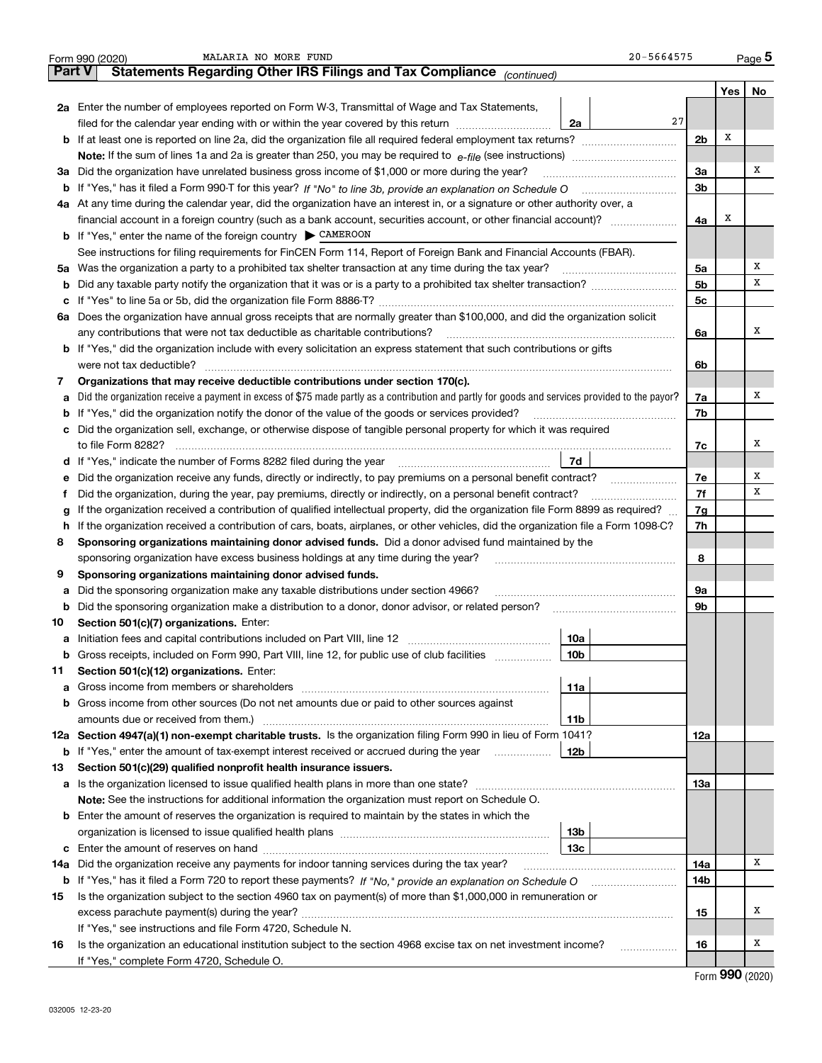|        | 20-5664575<br>MALARIA NO MORE FUND<br>Form 990 (2020)                                                                                           |                |     | <u>Page</u> 5 |
|--------|-------------------------------------------------------------------------------------------------------------------------------------------------|----------------|-----|---------------|
| Part V | Statements Regarding Other IRS Filings and Tax Compliance (continued)                                                                           |                |     |               |
|        |                                                                                                                                                 |                | Yes | No            |
|        | 2a Enter the number of employees reported on Form W-3, Transmittal of Wage and Tax Statements,                                                  |                |     |               |
|        | 27<br>filed for the calendar year ending with or within the year covered by this return<br>2a                                                   |                |     |               |
|        | <b>b</b> If at least one is reported on line 2a, did the organization file all required federal employment tax returns?                         | 2 <sub>b</sub> | X   |               |
|        | Note: If the sum of lines 1a and 2a is greater than 250, you may be required to $e$ -file (see instructions) <i>marrouum</i> manu-              |                |     |               |
|        | 3a Did the organization have unrelated business gross income of \$1,000 or more during the year?                                                | 3a             |     | х             |
|        | b If "Yes," has it filed a Form 990-T for this year? If "No" to line 3b, provide an explanation on Schedule O                                   | 3 <sub>b</sub> |     |               |
|        | 4a At any time during the calendar year, did the organization have an interest in, or a signature or other authority over, a                    |                |     |               |
|        |                                                                                                                                                 | 4a             | X   |               |
|        | <b>b</b> If "Yes," enter the name of the foreign country $\triangleright$ CAMEROON                                                              |                |     |               |
|        | See instructions for filing requirements for FinCEN Form 114, Report of Foreign Bank and Financial Accounts (FBAR).                             |                |     |               |
|        | 5a Was the organization a party to a prohibited tax shelter transaction at any time during the tax year?                                        | 5a             |     | x             |
| b      |                                                                                                                                                 | 5 <sub>b</sub> |     | х             |
| с      |                                                                                                                                                 | 5 <sub>c</sub> |     |               |
| 6а     | Does the organization have annual gross receipts that are normally greater than \$100,000, and did the organization solicit                     |                |     |               |
|        | any contributions that were not tax deductible as charitable contributions?                                                                     | 6a             |     | х             |
|        | <b>b</b> If "Yes," did the organization include with every solicitation an express statement that such contributions or gifts                   |                |     |               |
|        | were not tax deductible?                                                                                                                        | 6b             |     |               |
| 7      | Organizations that may receive deductible contributions under section 170(c).                                                                   |                |     |               |
| а      | Did the organization receive a payment in excess of \$75 made partly as a contribution and partly for goods and services provided to the payor? | 7a             |     | х             |
| b      | If "Yes," did the organization notify the donor of the value of the goods or services provided?                                                 | 7b             |     |               |
|        | c Did the organization sell, exchange, or otherwise dispose of tangible personal property for which it was required                             |                |     |               |
|        | to file Form 8282?                                                                                                                              | 7c             |     | x             |
|        | 7d<br><b>d</b> If "Yes," indicate the number of Forms 8282 filed during the year                                                                |                |     |               |
| е      | Did the organization receive any funds, directly or indirectly, to pay premiums on a personal benefit contract?                                 | 7e             |     | х             |
| f      | Did the organization, during the year, pay premiums, directly or indirectly, on a personal benefit contract?                                    | 7f             |     | х             |
| g      | If the organization received a contribution of qualified intellectual property, did the organization file Form 8899 as required?                | 7g             |     |               |
| h      | If the organization received a contribution of cars, boats, airplanes, or other vehicles, did the organization file a Form 1098-C?              | 7h             |     |               |
| 8      | Sponsoring organizations maintaining donor advised funds. Did a donor advised fund maintained by the                                            |                |     |               |
|        | sponsoring organization have excess business holdings at any time during the year?                                                              | 8              |     |               |
| 9      | Sponsoring organizations maintaining donor advised funds.                                                                                       |                |     |               |
| а      | Did the sponsoring organization make any taxable distributions under section 4966?                                                              | 9а             |     |               |
| b      | Did the sponsoring organization make a distribution to a donor, donor advisor, or related person?                                               | 9b             |     |               |
| 10     | Section 501(c)(7) organizations. Enter:                                                                                                         |                |     |               |
| а      | 10a                                                                                                                                             |                |     |               |
|        | <b>b</b> Gross receipts, included on Form 990, Part VIII, line 12, for public use of club facilities <i>manument</i><br>10b                     |                |     |               |
| 11     | Section 501(c)(12) organizations. Enter:                                                                                                        |                |     |               |
| а      | 11a<br>Gross income from members or shareholders [11] continuum material contracts income from members or shareholders                          |                |     |               |
| b      | Gross income from other sources (Do not net amounts due or paid to other sources against                                                        |                |     |               |
|        | amounts due or received from them.)<br>11b                                                                                                      |                |     |               |
|        | 12a Section 4947(a)(1) non-exempt charitable trusts. Is the organization filing Form 990 in lieu of Form 1041?                                  | 12a            |     |               |
|        | <b>b</b> If "Yes," enter the amount of tax-exempt interest received or accrued during the year<br>12b                                           |                |     |               |
| 13     | Section 501(c)(29) qualified nonprofit health insurance issuers.                                                                                |                |     |               |
| а      |                                                                                                                                                 | 13а            |     |               |
|        | Note: See the instructions for additional information the organization must report on Schedule O.                                               |                |     |               |
|        | <b>b</b> Enter the amount of reserves the organization is required to maintain by the states in which the                                       |                |     |               |
|        | 13 <sub>b</sub>                                                                                                                                 |                |     |               |
| c      | 13с                                                                                                                                             |                |     |               |
| 14a    | Did the organization receive any payments for indoor tanning services during the tax year?                                                      | 14a            |     | х             |
|        |                                                                                                                                                 | 14b            |     |               |
| 15     | Is the organization subject to the section 4960 tax on payment(s) of more than \$1,000,000 in remuneration or                                   |                |     |               |
|        |                                                                                                                                                 | 15             |     | x             |
|        | If "Yes," see instructions and file Form 4720, Schedule N.                                                                                      |                |     |               |
| 16     | Is the organization an educational institution subject to the section 4968 excise tax on net investment income?<br>.                            | 16             |     | x             |
|        | If "Yes," complete Form 4720, Schedule O.                                                                                                       |                |     |               |

Form (2020) **990**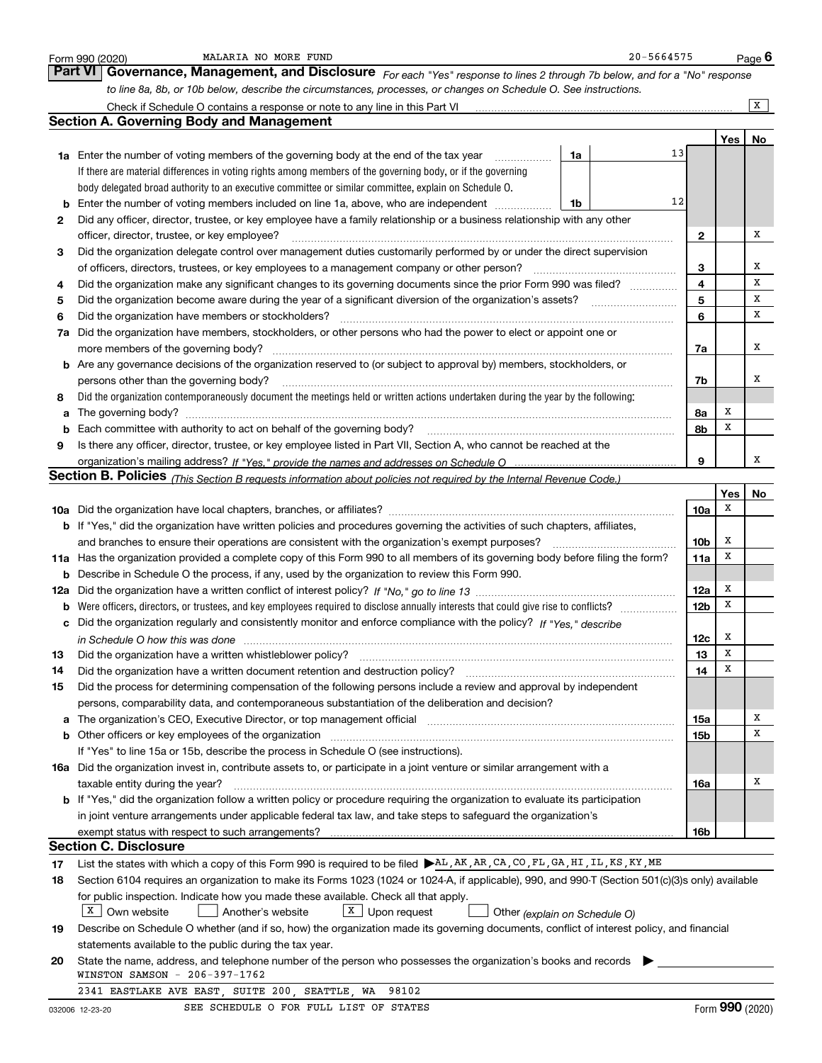|        | 20-5664575<br>MALARIA NO MORE FUND<br>Form 990 (2020)                                                                                                                                                                          |                 |        | Page $6$        |
|--------|--------------------------------------------------------------------------------------------------------------------------------------------------------------------------------------------------------------------------------|-----------------|--------|-----------------|
|        | <b>Part VI</b><br>Governance, Management, and Disclosure For each "Yes" response to lines 2 through 7b below, and for a "No" response                                                                                          |                 |        |                 |
|        | to line 8a, 8b, or 10b below, describe the circumstances, processes, or changes on Schedule O. See instructions.                                                                                                               |                 |        |                 |
|        |                                                                                                                                                                                                                                |                 |        | x               |
|        | <b>Section A. Governing Body and Management</b>                                                                                                                                                                                |                 |        |                 |
|        |                                                                                                                                                                                                                                |                 | Yes    | No              |
|        | <b>1a</b> Enter the number of voting members of the governing body at the end of the tax year<br>1a<br>.                                                                                                                       | 13              |        |                 |
|        | If there are material differences in voting rights among members of the governing body, or if the governing                                                                                                                    |                 |        |                 |
|        | body delegated broad authority to an executive committee or similar committee, explain on Schedule O.                                                                                                                          |                 |        |                 |
| b      | Enter the number of voting members included on line 1a, above, who are independent<br>1b                                                                                                                                       | 12              |        |                 |
| 2      | Did any officer, director, trustee, or key employee have a family relationship or a business relationship with any other                                                                                                       |                 |        |                 |
|        | officer, director, trustee, or key employee?                                                                                                                                                                                   | 2               |        | x               |
| 3      | Did the organization delegate control over management duties customarily performed by or under the direct supervision                                                                                                          |                 |        |                 |
|        | of officers, directors, trustees, or key employees to a management company or other person?                                                                                                                                    | 3               |        | х               |
| 4      | Did the organization make any significant changes to its governing documents since the prior Form 990 was filed?                                                                                                               | 4               |        | x               |
| 5      | Did the organization become aware during the year of a significant diversion of the organization's assets?                                                                                                                     | 5               |        | x               |
| 6      | Did the organization have members or stockholders?                                                                                                                                                                             | 6               |        | x               |
| 7a     | Did the organization have members, stockholders, or other persons who had the power to elect or appoint one or                                                                                                                 |                 |        |                 |
|        | more members of the governing body?                                                                                                                                                                                            | 7a              |        | x               |
|        | b Are any governance decisions of the organization reserved to (or subject to approval by) members, stockholders, or                                                                                                           |                 |        |                 |
|        | persons other than the governing body?                                                                                                                                                                                         | 7b              |        | х               |
| 8      | Did the organization contemporaneously document the meetings held or written actions undertaken during the year by the following:                                                                                              |                 |        |                 |
| a      | The governing body?                                                                                                                                                                                                            | 8a              | X<br>X |                 |
| b      | Each committee with authority to act on behalf of the governing body?                                                                                                                                                          | 8b              |        |                 |
| 9      | Is there any officer, director, trustee, or key employee listed in Part VII, Section A, who cannot be reached at the                                                                                                           |                 |        | х               |
|        |                                                                                                                                                                                                                                | 9               |        |                 |
|        | <b>Section B. Policies</b> (This Section B requests information about policies not required by the Internal Revenue Code.)                                                                                                     |                 | Yes    |                 |
|        |                                                                                                                                                                                                                                | 10a             | х      | No              |
|        | <b>b</b> If "Yes," did the organization have written policies and procedures governing the activities of such chapters, affiliates,                                                                                            |                 |        |                 |
|        | and branches to ensure their operations are consistent with the organization's exempt purposes?                                                                                                                                | 10b             | х      |                 |
|        | 11a Has the organization provided a complete copy of this Form 990 to all members of its governing body before filing the form?                                                                                                | 11a             | x      |                 |
| b      | Describe in Schedule O the process, if any, used by the organization to review this Form 990.                                                                                                                                  |                 |        |                 |
|        |                                                                                                                                                                                                                                | 12a             | X      |                 |
| b      | Were officers, directors, or trustees, and key employees required to disclose annually interests that could give rise to conflicts?                                                                                            | 12 <sub>b</sub> | х      |                 |
| с      | Did the organization regularly and consistently monitor and enforce compliance with the policy? If "Yes," describe                                                                                                             |                 |        |                 |
|        |                                                                                                                                                                                                                                | 12c             | Х      |                 |
| 13     | Did the organization have a written whistleblower policy?                                                                                                                                                                      | 13              | x      |                 |
| 14     | Did the organization have a written document retention and destruction policy?                                                                                                                                                 | 14              | X      |                 |
| 15     | Did the process for determining compensation of the following persons include a review and approval by independent                                                                                                             |                 |        |                 |
|        | persons, comparability data, and contemporaneous substantiation of the deliberation and decision?                                                                                                                              |                 |        |                 |
| а      | The organization's CEO, Executive Director, or top management official manufactured contains and contained a manufactured with the organization's CEO, Executive Director, or top management official manufactured with the st | 15a             |        | х               |
| b      |                                                                                                                                                                                                                                | 15b             |        | х               |
|        | If "Yes" to line 15a or 15b, describe the process in Schedule O (see instructions).                                                                                                                                            |                 |        |                 |
|        | 16a Did the organization invest in, contribute assets to, or participate in a joint venture or similar arrangement with a                                                                                                      |                 |        |                 |
|        | taxable entity during the year?                                                                                                                                                                                                | 16a             |        | Х               |
|        | <b>b</b> If "Yes," did the organization follow a written policy or procedure requiring the organization to evaluate its participation                                                                                          |                 |        |                 |
|        | in joint venture arrangements under applicable federal tax law, and take steps to safequard the organization's                                                                                                                 |                 |        |                 |
|        |                                                                                                                                                                                                                                | 16b             |        |                 |
|        | <b>Section C. Disclosure</b>                                                                                                                                                                                                   |                 |        |                 |
| 17     | List the states with which a copy of this Form 990 is required to be filed AL, AK, AR, CA, CO, FL, GA, HI, IL, KS, KY, ME                                                                                                      |                 |        |                 |
| 18     | Section 6104 requires an organization to make its Forms 1023 (1024 or 1024-A, if applicable), 990, and 990-T (Section 501(c)(3)s only) available                                                                               |                 |        |                 |
|        | for public inspection. Indicate how you made these available. Check all that apply.                                                                                                                                            |                 |        |                 |
|        | $X$ Own website<br>X Upon request<br>Another's website<br>Other (explain on Schedule O)                                                                                                                                        |                 |        |                 |
| 19     | Describe on Schedule O whether (and if so, how) the organization made its governing documents, conflict of interest policy, and financial                                                                                      |                 |        |                 |
|        | statements available to the public during the tax year.                                                                                                                                                                        |                 |        |                 |
| 20     | State the name, address, and telephone number of the person who possesses the organization's books and records<br>WINSTON SAMSON - 206-397-1762                                                                                |                 |        |                 |
|        | 2341 EASTLAKE AVE EAST, SUITE 200, SEATTLE, WA<br>98102                                                                                                                                                                        |                 |        |                 |
| 000000 | SEE SCHEDULE O FOR FULL LIST OF STATES<br>10.02.02                                                                                                                                                                             |                 |        | Form 990 (2020) |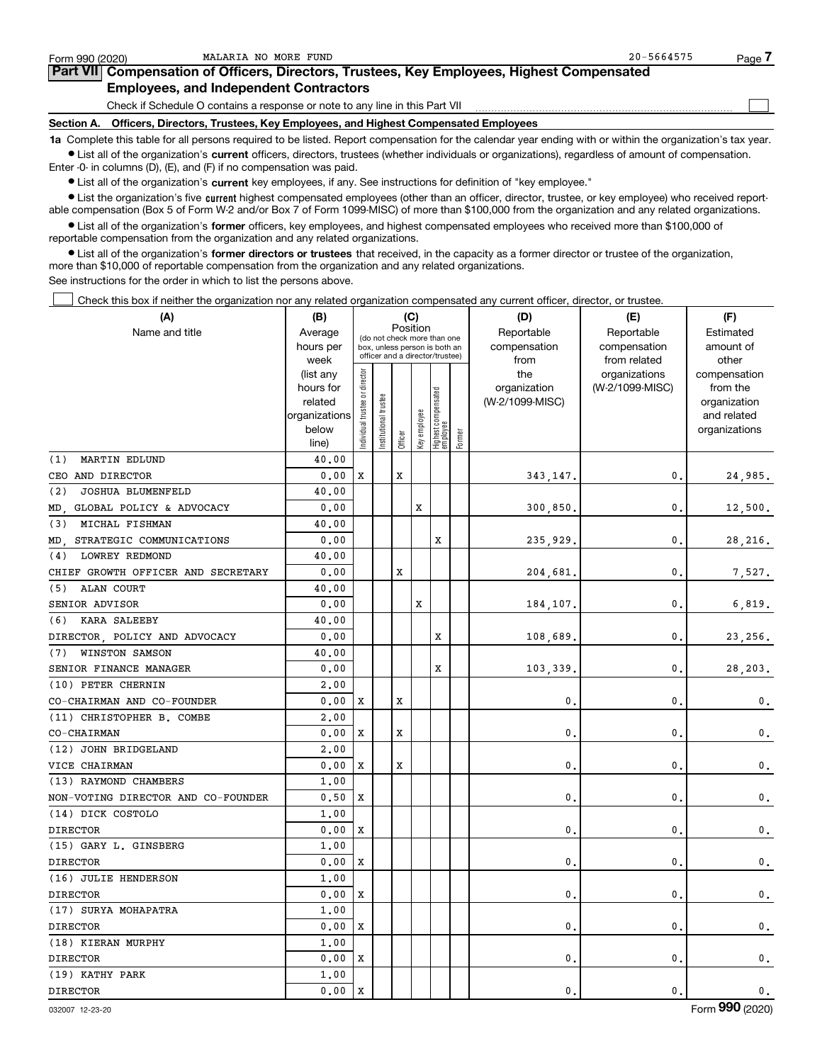| Form 990 (2020) | MALARIA NO MORE FUND                                                                                                                                       | $20 - 5664575$ | Page . |
|-----------------|------------------------------------------------------------------------------------------------------------------------------------------------------------|----------------|--------|
|                 | Part VII Compensation of Officers, Directors, Trustees, Key Employees, Highest Compensated                                                                 |                |        |
|                 | <b>Employees, and Independent Contractors</b>                                                                                                              |                |        |
|                 | Check if Schedule O contains a response or note to any line in this Part VII                                                                               |                |        |
|                 | Section A. Officers, Directors, Trustees, Key Employees, and Highest Compensated Employees                                                                 |                |        |
|                 | 1a Complete this table for all persons required to be listed. Report compensation for the calendar year ending with or within the organization's tax year. |                |        |

MALARIA NO MORE FUND 20-5664575

**•** List all of the organization's current officers, directors, trustees (whether individuals or organizations), regardless of amount of compensation. Enter -0- in columns (D), (E), and (F) if no compensation was paid.

 $\bullet$  List all of the organization's  $\,$ current key employees, if any. See instructions for definition of "key employee."

**•** List the organization's five current highest compensated employees (other than an officer, director, trustee, or key employee) who received reportable compensation (Box 5 of Form W-2 and/or Box 7 of Form 1099-MISC) of more than \$100,000 from the organization and any related organizations.

**•** List all of the organization's former officers, key employees, and highest compensated employees who received more than \$100,000 of reportable compensation from the organization and any related organizations.

**former directors or trustees**  ¥ List all of the organization's that received, in the capacity as a former director or trustee of the organization, more than \$10,000 of reportable compensation from the organization and any related organizations.

See instructions for the order in which to list the persons above.

Check this box if neither the organization nor any related organization compensated any current officer, director, or trustee.  $\mathcal{L}^{\text{max}}$ 

| (A)                                | (B)                    |                                         |                                                                  |         | (C)          |                                 |           | (D)             | (E)                              | (F)                      |
|------------------------------------|------------------------|-----------------------------------------|------------------------------------------------------------------|---------|--------------|---------------------------------|-----------|-----------------|----------------------------------|--------------------------|
| Name and title                     | Average                | Position<br>(do not check more than one |                                                                  |         | Reportable   | Reportable                      | Estimated |                 |                                  |                          |
|                                    | hours per              |                                         | box, unless person is both an<br>officer and a director/trustee) |         | compensation | compensation                    | amount of |                 |                                  |                          |
|                                    | week                   |                                         |                                                                  |         |              |                                 |           | from<br>the     | from related                     | other                    |
|                                    | (list any<br>hours for |                                         |                                                                  |         |              |                                 |           | organization    | organizations<br>(W-2/1099-MISC) | compensation<br>from the |
|                                    | related                |                                         | trustee                                                          |         |              |                                 |           | (W-2/1099-MISC) |                                  | organization             |
|                                    | organizations          |                                         |                                                                  |         |              |                                 |           |                 |                                  | and related              |
|                                    | below                  | Individual trustee or director          | Institutional t                                                  |         | Key employee | Highest compensated<br>employee |           |                 |                                  | organizations            |
|                                    | line)                  |                                         |                                                                  | Officer |              |                                 | Former    |                 |                                  |                          |
| <b>MARTIN EDLUND</b><br>(1)        | 40.00                  |                                         |                                                                  |         |              |                                 |           |                 |                                  |                          |
| CEO AND DIRECTOR                   | 0.00                   | X                                       |                                                                  | X       |              |                                 |           | 343, 147.       | 0.                               | 24,985.                  |
| (2)<br>JOSHUA BLUMENFELD           | 40.00                  |                                         |                                                                  |         |              |                                 |           |                 |                                  |                          |
| GLOBAL POLICY & ADVOCACY<br>MD.    | 0.00                   |                                         |                                                                  |         | x            |                                 |           | 300,850.        | $\mathbf 0$                      | 12,500.                  |
| (3)<br>MICHAL FISHMAN              | 40.00                  |                                         |                                                                  |         |              |                                 |           |                 |                                  |                          |
| MD. STRATEGIC COMMUNICATIONS       | 0.00                   |                                         |                                                                  |         |              | х                               |           | 235,929         | $\mathbf{0}$                     | 28,216.                  |
| <b>LOWREY REDMOND</b><br>(4)       | 40.00                  |                                         |                                                                  |         |              |                                 |           |                 |                                  |                          |
| CHIEF GROWTH OFFICER AND SECRETARY | 0.00                   |                                         |                                                                  | X       |              |                                 |           | 204,681         | $\mathbf 0$                      | 7,527.                   |
| ALAN COURT<br>(5)                  | 40.00                  |                                         |                                                                  |         |              |                                 |           |                 |                                  |                          |
| SENIOR ADVISOR                     | 0.00                   |                                         |                                                                  |         | X            |                                 |           | 184,107.        | $\mathbf{0}$                     | 6,819.                   |
| (6)<br>KARA SALEEBY                | 40.00                  |                                         |                                                                  |         |              |                                 |           |                 |                                  |                          |
| DIRECTOR, POLICY AND ADVOCACY      | 0.00                   |                                         |                                                                  |         |              | х                               |           | 108,689         | $\mathbf{0}$                     | 23,256.                  |
| WINSTON SAMSON<br>(7)              | 40.00                  |                                         |                                                                  |         |              |                                 |           |                 |                                  |                          |
| SENIOR FINANCE MANAGER             | 0.00                   |                                         |                                                                  |         |              | х                               |           | 103,339         | $\mathbf{0}$                     | 28,203.                  |
| (10) PETER CHERNIN                 | 2,00                   |                                         |                                                                  |         |              |                                 |           |                 |                                  |                          |
| CO-CHAIRMAN AND CO-FOUNDER         | 0.00                   | X                                       |                                                                  | X       |              |                                 |           | 0               | $\mathbf 0$                      | 0.                       |
| (11) CHRISTOPHER B. COMBE          | 2,00                   |                                         |                                                                  |         |              |                                 |           |                 |                                  |                          |
| CO-CHAIRMAN                        | 0.00                   | X                                       |                                                                  | X       |              |                                 |           | $\mathbf{0}$    | $\mathbf{0}$                     | 0.                       |
| (12) JOHN BRIDGELAND               | 2,00                   |                                         |                                                                  |         |              |                                 |           |                 |                                  |                          |
| VICE CHAIRMAN                      | 0.00                   | X                                       |                                                                  | x       |              |                                 |           | 0               | $\mathbf 0$                      | 0.                       |
| (13) RAYMOND CHAMBERS              | 1,00                   |                                         |                                                                  |         |              |                                 |           |                 |                                  |                          |
| NON-VOTING DIRECTOR AND CO-FOUNDER | 0.50                   | X                                       |                                                                  |         |              |                                 |           | 0               | $\mathbf{0}$                     | 0.                       |
| (14) DICK COSTOLO                  | 1,00                   |                                         |                                                                  |         |              |                                 |           |                 |                                  |                          |
| <b>DIRECTOR</b>                    | 0.00                   | X                                       |                                                                  |         |              |                                 |           | $\mathbf 0$     | $\mathbf{0}$                     | 0.                       |
| (15) GARY L. GINSBERG              | 1.00                   |                                         |                                                                  |         |              |                                 |           |                 |                                  |                          |
| <b>DIRECTOR</b>                    | 0.00                   | X                                       |                                                                  |         |              |                                 |           | $\mathbf{0}$ .  | $\mathbf{0}$                     | $\mathbf 0$ .            |
| (16) JULIE HENDERSON               | 1.00                   |                                         |                                                                  |         |              |                                 |           |                 |                                  |                          |
| <b>DIRECTOR</b>                    | 0.00                   | X                                       |                                                                  |         |              |                                 |           | $\mathbf{0}$    | $\mathbf{0}$                     | 0.                       |
| (17) SURYA MOHAPATRA               | 1.00                   |                                         |                                                                  |         |              |                                 |           |                 |                                  |                          |
| <b>DIRECTOR</b>                    | 0.00                   | X                                       |                                                                  |         |              |                                 |           | $\mathbf{0}$ .  | $\mathbf{0}$ .                   | $\mathbf 0$ .            |
| (18) KIERAN MURPHY                 | 1.00                   |                                         |                                                                  |         |              |                                 |           |                 |                                  |                          |
| <b>DIRECTOR</b>                    | 0.00                   | X                                       |                                                                  |         |              |                                 |           | $\mathbf{0}$ .  | $\mathbf{0}$                     | 0.                       |
| (19) KATHY PARK                    | 1,00                   |                                         |                                                                  |         |              |                                 |           |                 |                                  |                          |
| <b>DIRECTOR</b>                    | 0.00                   | X                                       |                                                                  |         |              |                                 |           | $\mathbf{0}$ .  | $\mathbf{0}$ .                   | 0.                       |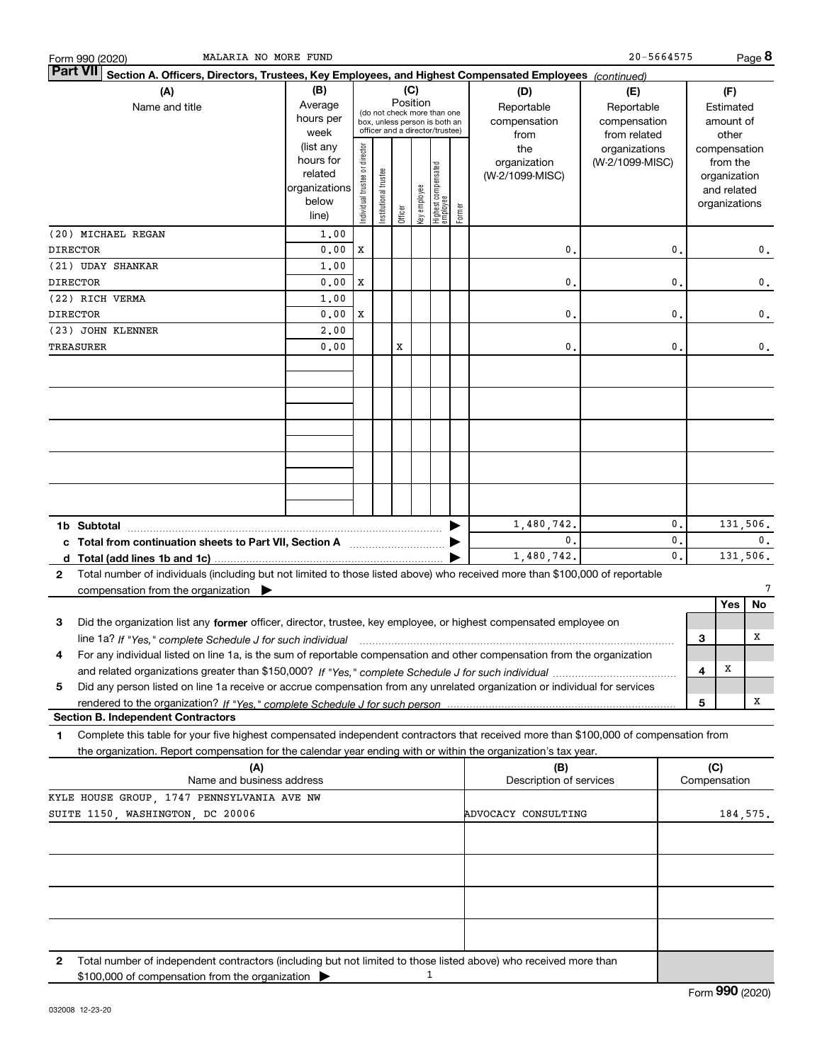| Section A. Officers, Directors, Trustees, Key Employees, and Highest Compensated Employees (continued)<br>(C)<br>(B)<br>(A)<br>(D)<br>(F)<br>(E)<br>Position<br>Average<br>Reportable<br>Name and title<br>Reportable<br>Estimated<br>(do not check more than one<br>hours per<br>compensation<br>compensation<br>amount of<br>box, unless person is both an<br>officer and a director/trustee)<br>week<br>from related<br>from<br>other<br>(list any<br>ndividual trustee or director<br>the<br>organizations<br>compensation<br>hours for<br>(W-2/1099-MISC)<br>organization<br>from the<br>Highest compensated<br>employee<br>nstitutional trustee<br>related<br>(W-2/1099-MISC)<br>organization<br>organizations<br>key employee<br>and related<br>below<br>organizations<br>Former<br>Officer<br>line)<br>(20) MICHAEL REGAN<br>1,00<br><b>DIRECTOR</b><br>0.00<br>X<br>$\mathbf{0}$ .<br>0.<br>0.<br>(21) UDAY SHANKAR<br>1,00<br>0.00<br>X<br>$\mathbf{0}$ .<br>0.<br>0.<br>(22) RICH VERMA<br>1,00<br>0.00<br>X<br>$\mathbf{0}$ .<br>0.<br>0.<br>(23) JOHN KLENNER<br>2,00<br>0.00<br>х<br>0.<br>0.<br>0.<br>0.<br>131,506.<br>1,480,742.<br>0.<br>0.<br>0.<br>c Total from continuation sheets to Part VII, Section A <b>manual</b> contains the Total from continuum<br>0.<br>131,506.<br>1,480,742.<br>Total number of individuals (including but not limited to those listed above) who received more than \$100,000 of reportable<br>2<br>7<br>compensation from the organization $\blacktriangleright$<br>Yes<br>No<br>Did the organization list any former officer, director, trustee, key employee, or highest compensated employee on<br>з<br>x<br>3<br>line 1a? If "Yes," complete Schedule J for such individual manumental content content from the complete schedu<br>For any individual listed on line 1a, is the sum of reportable compensation and other compensation from the organization<br>4<br>х<br>4<br>Did any person listed on line 1a receive or accrue compensation from any unrelated organization or individual for services<br>5<br>x<br>5<br><b>Section B. Independent Contractors</b><br>Complete this table for your five highest compensated independent contractors that received more than \$100,000 of compensation from<br>1<br>the organization. Report compensation for the calendar year ending with or within the organization's tax year.<br>(C)<br>(A)<br>(B)<br>Name and business address<br>Description of services<br>Compensation<br>KYLE HOUSE GROUP, 1747 PENNSYLVANIA AVE NW<br>ADVOCACY CONSULTING<br>184,575.<br>Total number of independent contractors (including but not limited to those listed above) who received more than<br>2<br>1<br>\$100,000 of compensation from the organization | MALARIA NO MORE FUND<br>Form 990 (2020) |  |  |  |  |  |  |  | 20-5664575 |  | Page 8 |
|------------------------------------------------------------------------------------------------------------------------------------------------------------------------------------------------------------------------------------------------------------------------------------------------------------------------------------------------------------------------------------------------------------------------------------------------------------------------------------------------------------------------------------------------------------------------------------------------------------------------------------------------------------------------------------------------------------------------------------------------------------------------------------------------------------------------------------------------------------------------------------------------------------------------------------------------------------------------------------------------------------------------------------------------------------------------------------------------------------------------------------------------------------------------------------------------------------------------------------------------------------------------------------------------------------------------------------------------------------------------------------------------------------------------------------------------------------------------------------------------------------------------------------------------------------------------------------------------------------------------------------------------------------------------------------------------------------------------------------------------------------------------------------------------------------------------------------------------------------------------------------------------------------------------------------------------------------------------------------------------------------------------------------------------------------------------------------------------------------------------------------------------------------------------------------------------------------------------------------------------------------------------------------------------------------------------------------------------------------------------------------------------------------------------------------------------------------------------------------------------------------------------------------------------------------------------------------------------------------------------------------------------------------------------------------------------------------------------------------------------------------|-----------------------------------------|--|--|--|--|--|--|--|------------|--|--------|
|                                                                                                                                                                                                                                                                                                                                                                                                                                                                                                                                                                                                                                                                                                                                                                                                                                                                                                                                                                                                                                                                                                                                                                                                                                                                                                                                                                                                                                                                                                                                                                                                                                                                                                                                                                                                                                                                                                                                                                                                                                                                                                                                                                                                                                                                                                                                                                                                                                                                                                                                                                                                                                                                                                                                                            | Part VII                                |  |  |  |  |  |  |  |            |  |        |
|                                                                                                                                                                                                                                                                                                                                                                                                                                                                                                                                                                                                                                                                                                                                                                                                                                                                                                                                                                                                                                                                                                                                                                                                                                                                                                                                                                                                                                                                                                                                                                                                                                                                                                                                                                                                                                                                                                                                                                                                                                                                                                                                                                                                                                                                                                                                                                                                                                                                                                                                                                                                                                                                                                                                                            |                                         |  |  |  |  |  |  |  |            |  |        |
|                                                                                                                                                                                                                                                                                                                                                                                                                                                                                                                                                                                                                                                                                                                                                                                                                                                                                                                                                                                                                                                                                                                                                                                                                                                                                                                                                                                                                                                                                                                                                                                                                                                                                                                                                                                                                                                                                                                                                                                                                                                                                                                                                                                                                                                                                                                                                                                                                                                                                                                                                                                                                                                                                                                                                            |                                         |  |  |  |  |  |  |  |            |  |        |
|                                                                                                                                                                                                                                                                                                                                                                                                                                                                                                                                                                                                                                                                                                                                                                                                                                                                                                                                                                                                                                                                                                                                                                                                                                                                                                                                                                                                                                                                                                                                                                                                                                                                                                                                                                                                                                                                                                                                                                                                                                                                                                                                                                                                                                                                                                                                                                                                                                                                                                                                                                                                                                                                                                                                                            |                                         |  |  |  |  |  |  |  |            |  |        |
|                                                                                                                                                                                                                                                                                                                                                                                                                                                                                                                                                                                                                                                                                                                                                                                                                                                                                                                                                                                                                                                                                                                                                                                                                                                                                                                                                                                                                                                                                                                                                                                                                                                                                                                                                                                                                                                                                                                                                                                                                                                                                                                                                                                                                                                                                                                                                                                                                                                                                                                                                                                                                                                                                                                                                            |                                         |  |  |  |  |  |  |  |            |  |        |
|                                                                                                                                                                                                                                                                                                                                                                                                                                                                                                                                                                                                                                                                                                                                                                                                                                                                                                                                                                                                                                                                                                                                                                                                                                                                                                                                                                                                                                                                                                                                                                                                                                                                                                                                                                                                                                                                                                                                                                                                                                                                                                                                                                                                                                                                                                                                                                                                                                                                                                                                                                                                                                                                                                                                                            | <b>DIRECTOR</b>                         |  |  |  |  |  |  |  |            |  |        |
|                                                                                                                                                                                                                                                                                                                                                                                                                                                                                                                                                                                                                                                                                                                                                                                                                                                                                                                                                                                                                                                                                                                                                                                                                                                                                                                                                                                                                                                                                                                                                                                                                                                                                                                                                                                                                                                                                                                                                                                                                                                                                                                                                                                                                                                                                                                                                                                                                                                                                                                                                                                                                                                                                                                                                            |                                         |  |  |  |  |  |  |  |            |  |        |
|                                                                                                                                                                                                                                                                                                                                                                                                                                                                                                                                                                                                                                                                                                                                                                                                                                                                                                                                                                                                                                                                                                                                                                                                                                                                                                                                                                                                                                                                                                                                                                                                                                                                                                                                                                                                                                                                                                                                                                                                                                                                                                                                                                                                                                                                                                                                                                                                                                                                                                                                                                                                                                                                                                                                                            | <b>DIRECTOR</b>                         |  |  |  |  |  |  |  |            |  |        |
|                                                                                                                                                                                                                                                                                                                                                                                                                                                                                                                                                                                                                                                                                                                                                                                                                                                                                                                                                                                                                                                                                                                                                                                                                                                                                                                                                                                                                                                                                                                                                                                                                                                                                                                                                                                                                                                                                                                                                                                                                                                                                                                                                                                                                                                                                                                                                                                                                                                                                                                                                                                                                                                                                                                                                            |                                         |  |  |  |  |  |  |  |            |  |        |
|                                                                                                                                                                                                                                                                                                                                                                                                                                                                                                                                                                                                                                                                                                                                                                                                                                                                                                                                                                                                                                                                                                                                                                                                                                                                                                                                                                                                                                                                                                                                                                                                                                                                                                                                                                                                                                                                                                                                                                                                                                                                                                                                                                                                                                                                                                                                                                                                                                                                                                                                                                                                                                                                                                                                                            | TREASURER                               |  |  |  |  |  |  |  |            |  |        |
|                                                                                                                                                                                                                                                                                                                                                                                                                                                                                                                                                                                                                                                                                                                                                                                                                                                                                                                                                                                                                                                                                                                                                                                                                                                                                                                                                                                                                                                                                                                                                                                                                                                                                                                                                                                                                                                                                                                                                                                                                                                                                                                                                                                                                                                                                                                                                                                                                                                                                                                                                                                                                                                                                                                                                            |                                         |  |  |  |  |  |  |  |            |  |        |
|                                                                                                                                                                                                                                                                                                                                                                                                                                                                                                                                                                                                                                                                                                                                                                                                                                                                                                                                                                                                                                                                                                                                                                                                                                                                                                                                                                                                                                                                                                                                                                                                                                                                                                                                                                                                                                                                                                                                                                                                                                                                                                                                                                                                                                                                                                                                                                                                                                                                                                                                                                                                                                                                                                                                                            |                                         |  |  |  |  |  |  |  |            |  |        |
|                                                                                                                                                                                                                                                                                                                                                                                                                                                                                                                                                                                                                                                                                                                                                                                                                                                                                                                                                                                                                                                                                                                                                                                                                                                                                                                                                                                                                                                                                                                                                                                                                                                                                                                                                                                                                                                                                                                                                                                                                                                                                                                                                                                                                                                                                                                                                                                                                                                                                                                                                                                                                                                                                                                                                            |                                         |  |  |  |  |  |  |  |            |  |        |
|                                                                                                                                                                                                                                                                                                                                                                                                                                                                                                                                                                                                                                                                                                                                                                                                                                                                                                                                                                                                                                                                                                                                                                                                                                                                                                                                                                                                                                                                                                                                                                                                                                                                                                                                                                                                                                                                                                                                                                                                                                                                                                                                                                                                                                                                                                                                                                                                                                                                                                                                                                                                                                                                                                                                                            |                                         |  |  |  |  |  |  |  |            |  |        |
|                                                                                                                                                                                                                                                                                                                                                                                                                                                                                                                                                                                                                                                                                                                                                                                                                                                                                                                                                                                                                                                                                                                                                                                                                                                                                                                                                                                                                                                                                                                                                                                                                                                                                                                                                                                                                                                                                                                                                                                                                                                                                                                                                                                                                                                                                                                                                                                                                                                                                                                                                                                                                                                                                                                                                            |                                         |  |  |  |  |  |  |  |            |  |        |
|                                                                                                                                                                                                                                                                                                                                                                                                                                                                                                                                                                                                                                                                                                                                                                                                                                                                                                                                                                                                                                                                                                                                                                                                                                                                                                                                                                                                                                                                                                                                                                                                                                                                                                                                                                                                                                                                                                                                                                                                                                                                                                                                                                                                                                                                                                                                                                                                                                                                                                                                                                                                                                                                                                                                                            |                                         |  |  |  |  |  |  |  |            |  |        |
|                                                                                                                                                                                                                                                                                                                                                                                                                                                                                                                                                                                                                                                                                                                                                                                                                                                                                                                                                                                                                                                                                                                                                                                                                                                                                                                                                                                                                                                                                                                                                                                                                                                                                                                                                                                                                                                                                                                                                                                                                                                                                                                                                                                                                                                                                                                                                                                                                                                                                                                                                                                                                                                                                                                                                            |                                         |  |  |  |  |  |  |  |            |  |        |
|                                                                                                                                                                                                                                                                                                                                                                                                                                                                                                                                                                                                                                                                                                                                                                                                                                                                                                                                                                                                                                                                                                                                                                                                                                                                                                                                                                                                                                                                                                                                                                                                                                                                                                                                                                                                                                                                                                                                                                                                                                                                                                                                                                                                                                                                                                                                                                                                                                                                                                                                                                                                                                                                                                                                                            |                                         |  |  |  |  |  |  |  |            |  |        |
|                                                                                                                                                                                                                                                                                                                                                                                                                                                                                                                                                                                                                                                                                                                                                                                                                                                                                                                                                                                                                                                                                                                                                                                                                                                                                                                                                                                                                                                                                                                                                                                                                                                                                                                                                                                                                                                                                                                                                                                                                                                                                                                                                                                                                                                                                                                                                                                                                                                                                                                                                                                                                                                                                                                                                            |                                         |  |  |  |  |  |  |  |            |  |        |
|                                                                                                                                                                                                                                                                                                                                                                                                                                                                                                                                                                                                                                                                                                                                                                                                                                                                                                                                                                                                                                                                                                                                                                                                                                                                                                                                                                                                                                                                                                                                                                                                                                                                                                                                                                                                                                                                                                                                                                                                                                                                                                                                                                                                                                                                                                                                                                                                                                                                                                                                                                                                                                                                                                                                                            |                                         |  |  |  |  |  |  |  |            |  |        |
|                                                                                                                                                                                                                                                                                                                                                                                                                                                                                                                                                                                                                                                                                                                                                                                                                                                                                                                                                                                                                                                                                                                                                                                                                                                                                                                                                                                                                                                                                                                                                                                                                                                                                                                                                                                                                                                                                                                                                                                                                                                                                                                                                                                                                                                                                                                                                                                                                                                                                                                                                                                                                                                                                                                                                            |                                         |  |  |  |  |  |  |  |            |  |        |
|                                                                                                                                                                                                                                                                                                                                                                                                                                                                                                                                                                                                                                                                                                                                                                                                                                                                                                                                                                                                                                                                                                                                                                                                                                                                                                                                                                                                                                                                                                                                                                                                                                                                                                                                                                                                                                                                                                                                                                                                                                                                                                                                                                                                                                                                                                                                                                                                                                                                                                                                                                                                                                                                                                                                                            |                                         |  |  |  |  |  |  |  |            |  |        |
|                                                                                                                                                                                                                                                                                                                                                                                                                                                                                                                                                                                                                                                                                                                                                                                                                                                                                                                                                                                                                                                                                                                                                                                                                                                                                                                                                                                                                                                                                                                                                                                                                                                                                                                                                                                                                                                                                                                                                                                                                                                                                                                                                                                                                                                                                                                                                                                                                                                                                                                                                                                                                                                                                                                                                            |                                         |  |  |  |  |  |  |  |            |  |        |
|                                                                                                                                                                                                                                                                                                                                                                                                                                                                                                                                                                                                                                                                                                                                                                                                                                                                                                                                                                                                                                                                                                                                                                                                                                                                                                                                                                                                                                                                                                                                                                                                                                                                                                                                                                                                                                                                                                                                                                                                                                                                                                                                                                                                                                                                                                                                                                                                                                                                                                                                                                                                                                                                                                                                                            |                                         |  |  |  |  |  |  |  |            |  |        |
|                                                                                                                                                                                                                                                                                                                                                                                                                                                                                                                                                                                                                                                                                                                                                                                                                                                                                                                                                                                                                                                                                                                                                                                                                                                                                                                                                                                                                                                                                                                                                                                                                                                                                                                                                                                                                                                                                                                                                                                                                                                                                                                                                                                                                                                                                                                                                                                                                                                                                                                                                                                                                                                                                                                                                            |                                         |  |  |  |  |  |  |  |            |  |        |
|                                                                                                                                                                                                                                                                                                                                                                                                                                                                                                                                                                                                                                                                                                                                                                                                                                                                                                                                                                                                                                                                                                                                                                                                                                                                                                                                                                                                                                                                                                                                                                                                                                                                                                                                                                                                                                                                                                                                                                                                                                                                                                                                                                                                                                                                                                                                                                                                                                                                                                                                                                                                                                                                                                                                                            |                                         |  |  |  |  |  |  |  |            |  |        |
|                                                                                                                                                                                                                                                                                                                                                                                                                                                                                                                                                                                                                                                                                                                                                                                                                                                                                                                                                                                                                                                                                                                                                                                                                                                                                                                                                                                                                                                                                                                                                                                                                                                                                                                                                                                                                                                                                                                                                                                                                                                                                                                                                                                                                                                                                                                                                                                                                                                                                                                                                                                                                                                                                                                                                            |                                         |  |  |  |  |  |  |  |            |  |        |
|                                                                                                                                                                                                                                                                                                                                                                                                                                                                                                                                                                                                                                                                                                                                                                                                                                                                                                                                                                                                                                                                                                                                                                                                                                                                                                                                                                                                                                                                                                                                                                                                                                                                                                                                                                                                                                                                                                                                                                                                                                                                                                                                                                                                                                                                                                                                                                                                                                                                                                                                                                                                                                                                                                                                                            |                                         |  |  |  |  |  |  |  |            |  |        |
|                                                                                                                                                                                                                                                                                                                                                                                                                                                                                                                                                                                                                                                                                                                                                                                                                                                                                                                                                                                                                                                                                                                                                                                                                                                                                                                                                                                                                                                                                                                                                                                                                                                                                                                                                                                                                                                                                                                                                                                                                                                                                                                                                                                                                                                                                                                                                                                                                                                                                                                                                                                                                                                                                                                                                            |                                         |  |  |  |  |  |  |  |            |  |        |
|                                                                                                                                                                                                                                                                                                                                                                                                                                                                                                                                                                                                                                                                                                                                                                                                                                                                                                                                                                                                                                                                                                                                                                                                                                                                                                                                                                                                                                                                                                                                                                                                                                                                                                                                                                                                                                                                                                                                                                                                                                                                                                                                                                                                                                                                                                                                                                                                                                                                                                                                                                                                                                                                                                                                                            |                                         |  |  |  |  |  |  |  |            |  |        |
|                                                                                                                                                                                                                                                                                                                                                                                                                                                                                                                                                                                                                                                                                                                                                                                                                                                                                                                                                                                                                                                                                                                                                                                                                                                                                                                                                                                                                                                                                                                                                                                                                                                                                                                                                                                                                                                                                                                                                                                                                                                                                                                                                                                                                                                                                                                                                                                                                                                                                                                                                                                                                                                                                                                                                            |                                         |  |  |  |  |  |  |  |            |  |        |
|                                                                                                                                                                                                                                                                                                                                                                                                                                                                                                                                                                                                                                                                                                                                                                                                                                                                                                                                                                                                                                                                                                                                                                                                                                                                                                                                                                                                                                                                                                                                                                                                                                                                                                                                                                                                                                                                                                                                                                                                                                                                                                                                                                                                                                                                                                                                                                                                                                                                                                                                                                                                                                                                                                                                                            |                                         |  |  |  |  |  |  |  |            |  |        |
|                                                                                                                                                                                                                                                                                                                                                                                                                                                                                                                                                                                                                                                                                                                                                                                                                                                                                                                                                                                                                                                                                                                                                                                                                                                                                                                                                                                                                                                                                                                                                                                                                                                                                                                                                                                                                                                                                                                                                                                                                                                                                                                                                                                                                                                                                                                                                                                                                                                                                                                                                                                                                                                                                                                                                            |                                         |  |  |  |  |  |  |  |            |  |        |
|                                                                                                                                                                                                                                                                                                                                                                                                                                                                                                                                                                                                                                                                                                                                                                                                                                                                                                                                                                                                                                                                                                                                                                                                                                                                                                                                                                                                                                                                                                                                                                                                                                                                                                                                                                                                                                                                                                                                                                                                                                                                                                                                                                                                                                                                                                                                                                                                                                                                                                                                                                                                                                                                                                                                                            |                                         |  |  |  |  |  |  |  |            |  |        |
|                                                                                                                                                                                                                                                                                                                                                                                                                                                                                                                                                                                                                                                                                                                                                                                                                                                                                                                                                                                                                                                                                                                                                                                                                                                                                                                                                                                                                                                                                                                                                                                                                                                                                                                                                                                                                                                                                                                                                                                                                                                                                                                                                                                                                                                                                                                                                                                                                                                                                                                                                                                                                                                                                                                                                            | SUITE 1150, WASHINGTON, DC 20006        |  |  |  |  |  |  |  |            |  |        |
|                                                                                                                                                                                                                                                                                                                                                                                                                                                                                                                                                                                                                                                                                                                                                                                                                                                                                                                                                                                                                                                                                                                                                                                                                                                                                                                                                                                                                                                                                                                                                                                                                                                                                                                                                                                                                                                                                                                                                                                                                                                                                                                                                                                                                                                                                                                                                                                                                                                                                                                                                                                                                                                                                                                                                            |                                         |  |  |  |  |  |  |  |            |  |        |
|                                                                                                                                                                                                                                                                                                                                                                                                                                                                                                                                                                                                                                                                                                                                                                                                                                                                                                                                                                                                                                                                                                                                                                                                                                                                                                                                                                                                                                                                                                                                                                                                                                                                                                                                                                                                                                                                                                                                                                                                                                                                                                                                                                                                                                                                                                                                                                                                                                                                                                                                                                                                                                                                                                                                                            |                                         |  |  |  |  |  |  |  |            |  |        |
|                                                                                                                                                                                                                                                                                                                                                                                                                                                                                                                                                                                                                                                                                                                                                                                                                                                                                                                                                                                                                                                                                                                                                                                                                                                                                                                                                                                                                                                                                                                                                                                                                                                                                                                                                                                                                                                                                                                                                                                                                                                                                                                                                                                                                                                                                                                                                                                                                                                                                                                                                                                                                                                                                                                                                            |                                         |  |  |  |  |  |  |  |            |  |        |
|                                                                                                                                                                                                                                                                                                                                                                                                                                                                                                                                                                                                                                                                                                                                                                                                                                                                                                                                                                                                                                                                                                                                                                                                                                                                                                                                                                                                                                                                                                                                                                                                                                                                                                                                                                                                                                                                                                                                                                                                                                                                                                                                                                                                                                                                                                                                                                                                                                                                                                                                                                                                                                                                                                                                                            |                                         |  |  |  |  |  |  |  |            |  |        |
|                                                                                                                                                                                                                                                                                                                                                                                                                                                                                                                                                                                                                                                                                                                                                                                                                                                                                                                                                                                                                                                                                                                                                                                                                                                                                                                                                                                                                                                                                                                                                                                                                                                                                                                                                                                                                                                                                                                                                                                                                                                                                                                                                                                                                                                                                                                                                                                                                                                                                                                                                                                                                                                                                                                                                            |                                         |  |  |  |  |  |  |  |            |  |        |
|                                                                                                                                                                                                                                                                                                                                                                                                                                                                                                                                                                                                                                                                                                                                                                                                                                                                                                                                                                                                                                                                                                                                                                                                                                                                                                                                                                                                                                                                                                                                                                                                                                                                                                                                                                                                                                                                                                                                                                                                                                                                                                                                                                                                                                                                                                                                                                                                                                                                                                                                                                                                                                                                                                                                                            |                                         |  |  |  |  |  |  |  |            |  |        |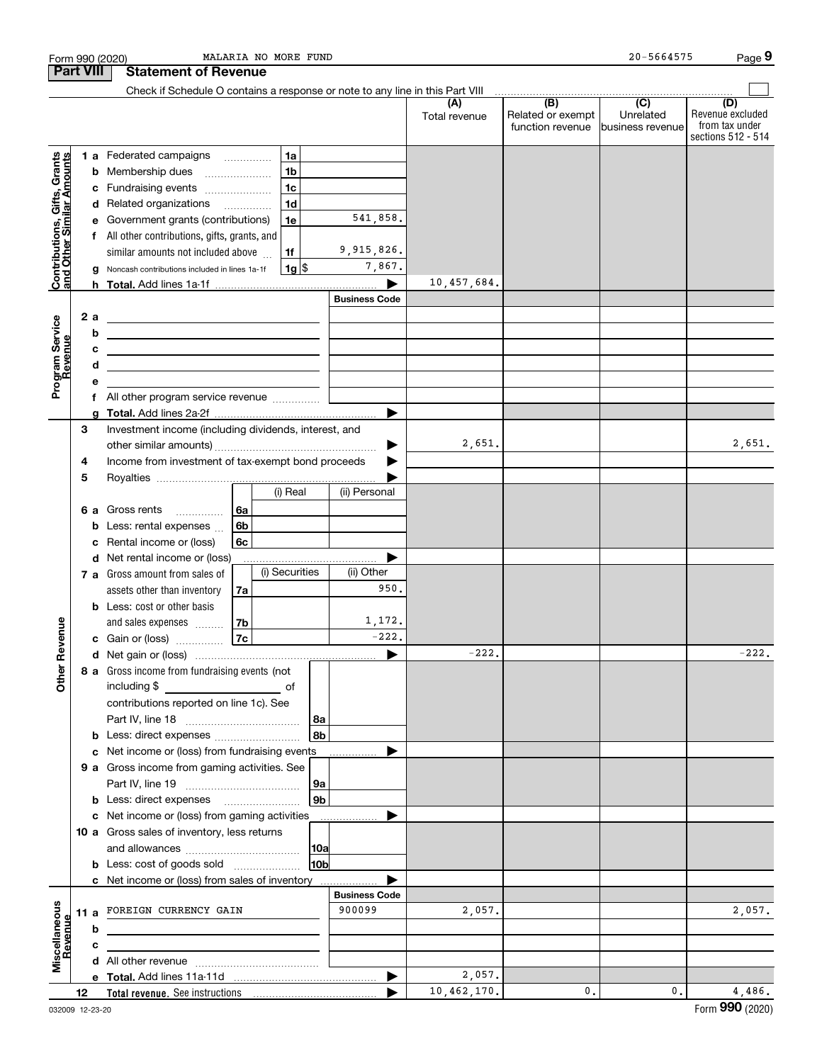|                                                           | Form 990 (2020)                              |                                                                                                                      | MALARIA NO MORE FUND |                      |               |                                       | 20-5664575                     | Page 9                             |
|-----------------------------------------------------------|----------------------------------------------|----------------------------------------------------------------------------------------------------------------------|----------------------|----------------------|---------------|---------------------------------------|--------------------------------|------------------------------------|
|                                                           | <b>Part VIII</b>                             | <b>Statement of Revenue</b>                                                                                          |                      |                      |               |                                       |                                |                                    |
|                                                           |                                              | Check if Schedule O contains a response or note to any line in this Part VIII                                        |                      |                      | (A)           | (B)                                   | $\overline{C}$                 | (D)                                |
|                                                           |                                              |                                                                                                                      |                      |                      | Total revenue | Related or exempt<br>function revenue | Unrelated<br>lbusiness revenue | Revenue excluded<br>from tax under |
|                                                           |                                              |                                                                                                                      |                      |                      |               |                                       |                                | sections 512 - 514                 |
|                                                           |                                              | <b>1 a</b> Federated campaigns                                                                                       | 1a                   |                      |               |                                       |                                |                                    |
| Contributions, Gifts, Grants<br>and Other Similar Amounts |                                              | <b>b</b> Membership dues                                                                                             | 1 <sub>b</sub>       |                      |               |                                       |                                |                                    |
|                                                           | с                                            | Fundraising events                                                                                                   | 1 <sub>c</sub>       |                      |               |                                       |                                |                                    |
|                                                           |                                              | d Related organizations                                                                                              | 1 <sub>d</sub>       | 541,858.             |               |                                       |                                |                                    |
|                                                           | е                                            | Government grants (contributions)                                                                                    | 1e                   |                      |               |                                       |                                |                                    |
|                                                           |                                              | f All other contributions, gifts, grants, and<br>similar amounts not included above                                  | 1f                   | 9,915,826.           |               |                                       |                                |                                    |
|                                                           |                                              | g Noncash contributions included in lines 1a-1f                                                                      | $1g$ \$              | 7,867.               |               |                                       |                                |                                    |
|                                                           |                                              |                                                                                                                      |                      |                      | 10,457,684.   |                                       |                                |                                    |
|                                                           |                                              |                                                                                                                      |                      | <b>Business Code</b> |               |                                       |                                |                                    |
|                                                           | 2a                                           | <u> 1989 - Johann Barbara, marka a shekara tsa 1989 - An tsa 1989 - An tsa 1989 - An tsa 1989 - An tsa 1989 - An</u> |                      |                      |               |                                       |                                |                                    |
| Program Service<br>Revenue                                | b                                            | <u> 1989 - Johann Barbara, martxa alemaniar arg</u>                                                                  |                      |                      |               |                                       |                                |                                    |
|                                                           | c                                            |                                                                                                                      |                      |                      |               |                                       |                                |                                    |
| evenue                                                    | d                                            | <u> 1989 - Johann John Stein, mars an de Francisco (f. 1989)</u>                                                     |                      |                      |               |                                       |                                |                                    |
|                                                           | е                                            |                                                                                                                      |                      |                      |               |                                       |                                |                                    |
|                                                           | f                                            | All other program service revenue                                                                                    |                      |                      |               |                                       |                                |                                    |
|                                                           | a                                            |                                                                                                                      |                      | ▶                    |               |                                       |                                |                                    |
|                                                           | 3                                            | Investment income (including dividends, interest, and                                                                |                      |                      |               |                                       |                                |                                    |
|                                                           |                                              |                                                                                                                      |                      | ▶                    | 2,651.        |                                       |                                | 2,651.                             |
|                                                           | 4                                            | Income from investment of tax-exempt bond proceeds                                                                   |                      |                      |               |                                       |                                |                                    |
|                                                           | 5                                            |                                                                                                                      |                      |                      |               |                                       |                                |                                    |
|                                                           |                                              |                                                                                                                      | (i) Real             | (ii) Personal        |               |                                       |                                |                                    |
|                                                           | 6а                                           | Gross rents                                                                                                          | 6а                   |                      |               |                                       |                                |                                    |
|                                                           | Less: rental expenses<br>6 <sub>b</sub><br>b |                                                                                                                      |                      |                      |               |                                       |                                |                                    |
|                                                           | c                                            | Rental income or (loss)                                                                                              | 6с                   |                      |               |                                       |                                |                                    |
|                                                           |                                              | d Net rental income or (loss)                                                                                        |                      |                      |               |                                       |                                |                                    |
|                                                           |                                              | <b>7 a</b> Gross amount from sales of                                                                                | (i) Securities       | (ii) Other           |               |                                       |                                |                                    |
|                                                           |                                              | assets other than inventory                                                                                          | 7a                   | 950.                 |               |                                       |                                |                                    |
|                                                           |                                              | <b>b</b> Less: cost or other basis                                                                                   |                      | 1,172.               |               |                                       |                                |                                    |
| venue                                                     |                                              | and sales expenses<br><b>c</b> Gain or (loss) $\ldots$                                                               | 7b<br>7c             | $-222.$              |               |                                       |                                |                                    |
|                                                           |                                              |                                                                                                                      |                      |                      | $-222.$       |                                       |                                | $-222.$                            |
| Other Re                                                  |                                              | 8 a Gross income from fundraising events (not                                                                        |                      |                      |               |                                       |                                |                                    |
|                                                           |                                              |                                                                                                                      |                      |                      |               |                                       |                                |                                    |
|                                                           |                                              | contributions reported on line 1c). See                                                                              |                      |                      |               |                                       |                                |                                    |
|                                                           |                                              |                                                                                                                      |                      | 8a                   |               |                                       |                                |                                    |
|                                                           |                                              |                                                                                                                      |                      | 8b                   |               |                                       |                                |                                    |
|                                                           | c                                            | Net income or (loss) from fundraising events                                                                         |                      |                      |               |                                       |                                |                                    |
|                                                           |                                              | 9 a Gross income from gaming activities. See                                                                         |                      |                      |               |                                       |                                |                                    |
|                                                           |                                              |                                                                                                                      |                      | 9a                   |               |                                       |                                |                                    |
|                                                           |                                              | <b>b</b> Less: direct expenses <b>manually</b>                                                                       |                      | 9b                   |               |                                       |                                |                                    |
|                                                           | c                                            | Net income or (loss) from gaming activities                                                                          |                      |                      |               |                                       |                                |                                    |
|                                                           |                                              | 10 a Gross sales of inventory, less returns                                                                          |                      |                      |               |                                       |                                |                                    |
|                                                           |                                              |                                                                                                                      |                      | 10a                  |               |                                       |                                |                                    |
|                                                           |                                              | <b>b</b> Less: cost of goods sold                                                                                    |                      | 10b                  |               |                                       |                                |                                    |
|                                                           |                                              | c Net income or (loss) from sales of inventory                                                                       |                      | <b>Business Code</b> |               |                                       |                                |                                    |
|                                                           |                                              | FOREIGN CURRENCY GAIN                                                                                                |                      | 900099               | 2,057.        |                                       |                                | 2,057.                             |
| Miscellaneous<br>Revenue                                  | 11a<br>b                                     |                                                                                                                      |                      |                      |               |                                       |                                |                                    |
|                                                           | c                                            |                                                                                                                      |                      |                      |               |                                       |                                |                                    |
|                                                           |                                              |                                                                                                                      |                      |                      |               |                                       |                                |                                    |
|                                                           |                                              |                                                                                                                      |                      |                      | 2,057.        |                                       |                                |                                    |
|                                                           | 12                                           |                                                                                                                      |                      |                      | 10,462,170.   | $\mathbf{0}$ .                        | 0.                             | 4,486.                             |
|                                                           |                                              |                                                                                                                      |                      |                      |               |                                       |                                |                                    |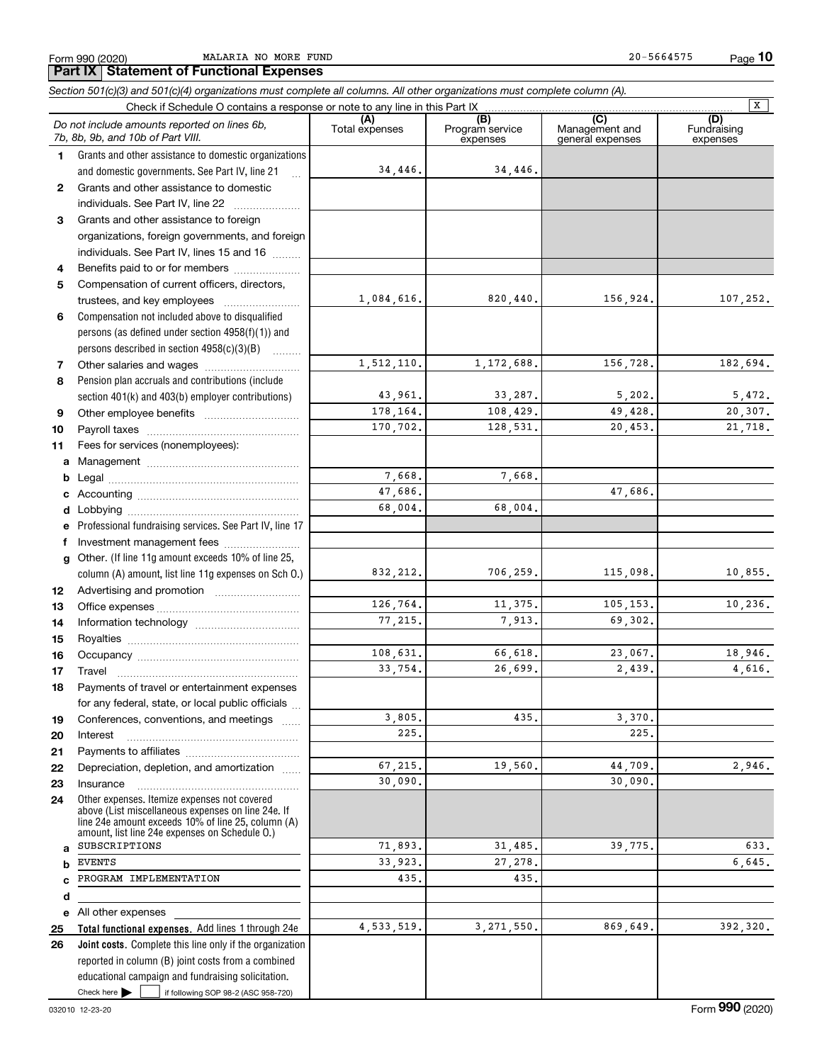Form 990 (2020) Page MALARIA NO MORE FUND 20-5664575 **10**

|              | Section 501(c)(3) and 501(c)(4) organizations must complete all columns. All other organizations must complete column (A).                                                                                 |                       |                                    |                                           |                                |
|--------------|------------------------------------------------------------------------------------------------------------------------------------------------------------------------------------------------------------|-----------------------|------------------------------------|-------------------------------------------|--------------------------------|
|              | Check if Schedule O contains a response or note to any line in this Part IX                                                                                                                                |                       |                                    |                                           | $\overline{\mathbf{x}}$        |
|              | Do not include amounts reported on lines 6b,<br>7b, 8b, 9b, and 10b of Part VIII.                                                                                                                          | (A)<br>Total expenses | (B)<br>Program service<br>expenses | (C)<br>Management and<br>general expenses | (D)<br>Fundraising<br>expenses |
| 1.           | Grants and other assistance to domestic organizations                                                                                                                                                      |                       |                                    |                                           |                                |
|              | and domestic governments. See Part IV, line 21<br>$\ddotsc$                                                                                                                                                | 34,446.               | 34,446.                            |                                           |                                |
| $\mathbf{2}$ | Grants and other assistance to domestic                                                                                                                                                                    |                       |                                    |                                           |                                |
|              | individuals. See Part IV, line 22                                                                                                                                                                          |                       |                                    |                                           |                                |
| 3            | Grants and other assistance to foreign                                                                                                                                                                     |                       |                                    |                                           |                                |
|              | organizations, foreign governments, and foreign                                                                                                                                                            |                       |                                    |                                           |                                |
|              | individuals. See Part IV, lines 15 and 16                                                                                                                                                                  |                       |                                    |                                           |                                |
| 4            | Benefits paid to or for members                                                                                                                                                                            |                       |                                    |                                           |                                |
| 5            | Compensation of current officers, directors,                                                                                                                                                               |                       |                                    |                                           |                                |
|              | trustees, and key employees                                                                                                                                                                                | 1,084,616.            | 820,440.                           | 156,924.                                  | 107,252.                       |
| 6            | Compensation not included above to disqualified                                                                                                                                                            |                       |                                    |                                           |                                |
|              | persons (as defined under section 4958(f)(1)) and                                                                                                                                                          |                       |                                    |                                           |                                |
|              | persons described in section 4958(c)(3)(B)                                                                                                                                                                 |                       |                                    |                                           |                                |
| 7            |                                                                                                                                                                                                            | 1,512,110.            | 1,172,688.                         | 156,728.                                  | 182,694.                       |
| 8            | Pension plan accruals and contributions (include                                                                                                                                                           |                       |                                    |                                           |                                |
|              | section 401(k) and 403(b) employer contributions)                                                                                                                                                          | 43,961.               | 33,287.                            | 5,202.                                    | 5,472.                         |
| 9            |                                                                                                                                                                                                            | 178,164.              | 108,429.                           | 49,428.                                   | 20,307.                        |
| 10           |                                                                                                                                                                                                            | 170,702.              | 128,531.                           | 20,453.                                   | 21,718.                        |
| 11           | Fees for services (nonemployees):                                                                                                                                                                          |                       |                                    |                                           |                                |
| a            |                                                                                                                                                                                                            |                       |                                    |                                           |                                |
| b            |                                                                                                                                                                                                            | 7,668.                | 7,668.                             |                                           |                                |
|              |                                                                                                                                                                                                            | 47,686.               |                                    | 47,686.                                   |                                |
| d            |                                                                                                                                                                                                            | 68,004.               | 68,004.                            |                                           |                                |
|              | Professional fundraising services. See Part IV, line 17                                                                                                                                                    |                       |                                    |                                           |                                |
| f            | Investment management fees                                                                                                                                                                                 |                       |                                    |                                           |                                |
| a            | Other. (If line 11g amount exceeds 10% of line 25,                                                                                                                                                         |                       |                                    |                                           |                                |
|              | column (A) amount, list line 11g expenses on Sch 0.)                                                                                                                                                       | 832, 212.             | 706,259.                           | 115,098.                                  | 10,855.                        |
| 12           |                                                                                                                                                                                                            |                       |                                    |                                           |                                |
| 13           |                                                                                                                                                                                                            | 126,764.              | 11,375.                            | 105,153.                                  | 10, 236.                       |
| 14           |                                                                                                                                                                                                            | 77,215.               | 7,913.                             | 69,302.                                   |                                |
| 15           |                                                                                                                                                                                                            |                       |                                    |                                           |                                |
| 16           |                                                                                                                                                                                                            | 108,631.              | 66,618.                            | 23,067.                                   | 18,946.                        |
| 17           |                                                                                                                                                                                                            | 33,754.               | 26,699.                            | 2,439.                                    | 4,616.                         |
| 18           | Payments of travel or entertainment expenses                                                                                                                                                               |                       |                                    |                                           |                                |
|              | for any federal, state, or local public officials                                                                                                                                                          |                       |                                    |                                           |                                |
| 19           | Conferences, conventions, and meetings                                                                                                                                                                     | 3,805.                | 435.                               | 3,370.                                    |                                |
| 20           | Interest                                                                                                                                                                                                   | 225.                  |                                    | 225.                                      |                                |
| 21           |                                                                                                                                                                                                            |                       |                                    |                                           |                                |
| 22           | Depreciation, depletion, and amortization                                                                                                                                                                  | 67,215.               | 19,560.                            | 44,709.                                   | 2,946.                         |
| 23           | Insurance                                                                                                                                                                                                  | 30,090.               |                                    | 30,090.                                   |                                |
| 24           | Other expenses. Itemize expenses not covered<br>above (List miscellaneous expenses on line 24e. If<br>line 24e amount exceeds 10% of line 25, column (A)<br>amount, list line 24e expenses on Schedule O.) |                       |                                    |                                           |                                |
| a            | SUBSCRIPTIONS                                                                                                                                                                                              | 71,893.               | 31,485.                            | 39,775.                                   | 633.                           |
| b            | <b>EVENTS</b>                                                                                                                                                                                              | 33,923.               | 27,278.                            |                                           | 6,645.                         |
| c            | PROGRAM IMPLEMENTATION                                                                                                                                                                                     | 435.                  | 435.                               |                                           |                                |
| d            |                                                                                                                                                                                                            |                       |                                    |                                           |                                |
| е            | All other expenses                                                                                                                                                                                         |                       |                                    |                                           |                                |
| 25           | Total functional expenses. Add lines 1 through 24e                                                                                                                                                         | 4,533,519.            | 3, 271, 550.                       | 869,649.                                  | 392,320.                       |
| 26           | Joint costs. Complete this line only if the organization<br>reported in column (B) joint costs from a combined                                                                                             |                       |                                    |                                           |                                |
|              | educational campaign and fundraising solicitation.                                                                                                                                                         |                       |                                    |                                           |                                |
|              | Check here $\blacktriangleright$<br>if following SOP 98-2 (ASC 958-720)                                                                                                                                    |                       |                                    |                                           |                                |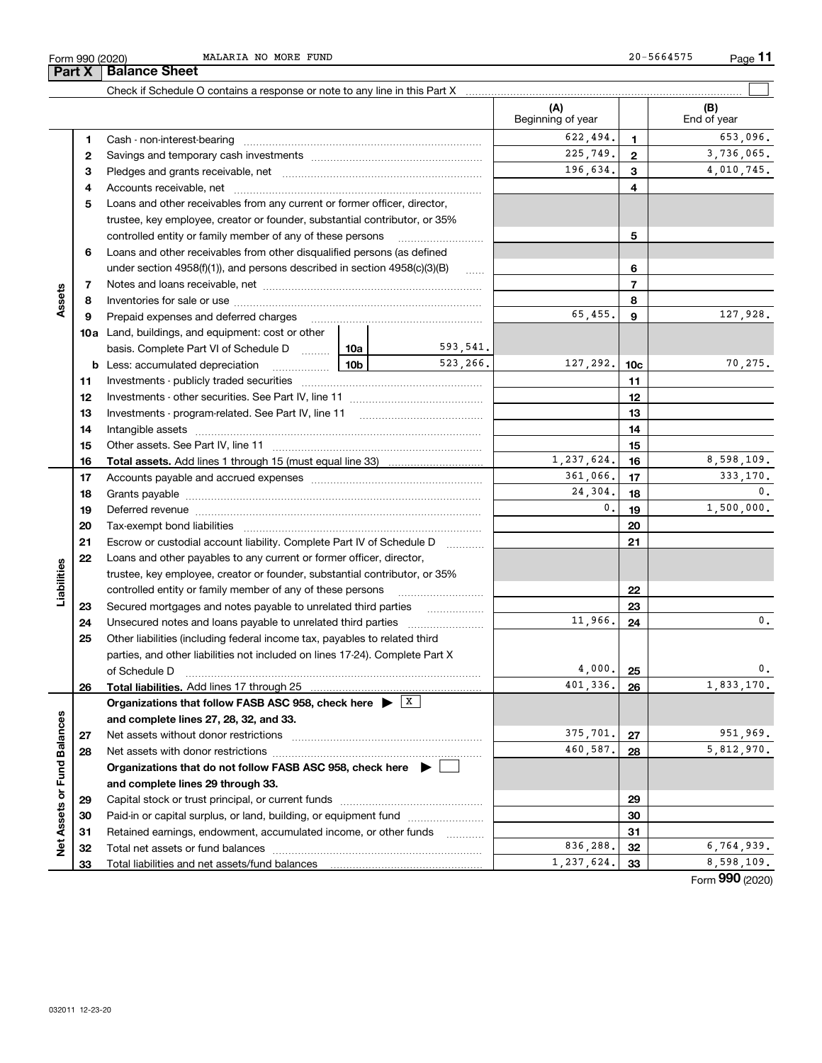Total liabilities and net assets/fund balances

|                             | Form 990 (2020)<br>Part X | MALARIA NO MORE FUND<br><b>Balance Sheet</b>                                                                                                                                                                                   |                 |                          |                          |              | 20-5664575<br>Page $1$ |
|-----------------------------|---------------------------|--------------------------------------------------------------------------------------------------------------------------------------------------------------------------------------------------------------------------------|-----------------|--------------------------|--------------------------|--------------|------------------------|
|                             |                           |                                                                                                                                                                                                                                |                 |                          |                          |              |                        |
|                             |                           | Check if Schedule O contains a response or note to any line in this Part X [11] manufacture in the schedule O contains a response or note to any line in this Part X [11] manufacture in the Schedule O contains a response or |                 |                          | (A)<br>Beginning of year |              | (B)<br>End of year     |
|                             | 1                         |                                                                                                                                                                                                                                |                 |                          | 622,494.                 | 1.           | 653,096.               |
|                             | 2                         |                                                                                                                                                                                                                                |                 |                          | 225,749.                 | $\mathbf{2}$ | 3,736,065.             |
|                             | з                         |                                                                                                                                                                                                                                |                 |                          | 196,634.                 | 3            | 4,010,745.             |
|                             | 4                         |                                                                                                                                                                                                                                |                 |                          |                          | 4            |                        |
|                             | 5                         | Loans and other receivables from any current or former officer, director,                                                                                                                                                      |                 |                          |                          |              |                        |
|                             |                           | trustee, key employee, creator or founder, substantial contributor, or 35%                                                                                                                                                     |                 |                          |                          |              |                        |
|                             |                           | controlled entity or family member of any of these persons                                                                                                                                                                     |                 | 5                        |                          |              |                        |
|                             | 6                         | Loans and other receivables from other disqualified persons (as defined                                                                                                                                                        |                 |                          |                          |              |                        |
|                             |                           | under section $4958(f)(1)$ , and persons described in section $4958(c)(3)(B)$                                                                                                                                                  |                 | 6                        |                          |              |                        |
|                             | 7                         |                                                                                                                                                                                                                                |                 | $\overline{\phantom{a}}$ |                          |              |                        |
| Assets                      | 8                         |                                                                                                                                                                                                                                |                 |                          |                          | 8            |                        |
|                             | 9                         | Prepaid expenses and deferred charges [11] [11] Prepaid expenses and deferred charges [11] [11] Martin Martin Martin Martin Martin Martin Martin Martin Martin Martin Martin Martin Martin Martin Martin Martin Martin Martin  |                 |                          | 65,455.                  | 9            | 127,928.               |
|                             |                           | <b>10a</b> Land, buildings, and equipment: cost or other                                                                                                                                                                       |                 |                          |                          |              |                        |
|                             |                           | basis. Complete Part VI of Schedule D  10a                                                                                                                                                                                     |                 | 593,541.                 |                          |              |                        |
|                             |                           | <b>b</b> Less: accumulated depreciation                                                                                                                                                                                        | 10 <sub>b</sub> | 523,266.                 | 127,292.                 | 10c          | 70,275.                |
|                             | 11                        | Investments - publicly traded securities                                                                                                                                                                                       |                 |                          |                          | 11           |                        |
|                             | 12                        |                                                                                                                                                                                                                                |                 |                          |                          | 12           |                        |
|                             | 13                        | Investments - program-related. See Part IV, line 11                                                                                                                                                                            |                 |                          |                          | 13           |                        |
|                             | 14                        |                                                                                                                                                                                                                                |                 |                          |                          | 14           |                        |
|                             | 15                        | Other assets. See Part IV, line 11                                                                                                                                                                                             |                 |                          |                          | 15           |                        |
|                             | 16                        |                                                                                                                                                                                                                                |                 |                          | 1.237.624.               | 16           | 8,598,109,             |
|                             | 17                        |                                                                                                                                                                                                                                |                 |                          | 361,066.                 | 17           | 333,170.               |
|                             | 18                        |                                                                                                                                                                                                                                |                 |                          | 24,304.                  | 18           | 0.                     |
|                             | 19                        |                                                                                                                                                                                                                                |                 |                          | 0.                       | 19           | 1,500,000.             |
|                             | 20                        |                                                                                                                                                                                                                                |                 |                          |                          | 20           |                        |
|                             | 21                        | Escrow or custodial account liability. Complete Part IV of Schedule D                                                                                                                                                          |                 |                          |                          | 21           |                        |
|                             | 22                        | Loans and other payables to any current or former officer, director,                                                                                                                                                           |                 |                          |                          |              |                        |
| Liabilities                 |                           | trustee, key employee, creator or founder, substantial contributor, or 35%                                                                                                                                                     |                 |                          |                          |              |                        |
|                             |                           | controlled entity or family member of any of these persons                                                                                                                                                                     |                 |                          |                          | 22           |                        |
|                             | 23                        | Secured mortgages and notes payable to unrelated third parties                                                                                                                                                                 |                 |                          | 11,966.                  | 23           | 0,                     |
|                             | 24<br>25                  |                                                                                                                                                                                                                                |                 |                          |                          | 24           |                        |
|                             |                           | Other liabilities (including federal income tax, payables to related third<br>parties, and other liabilities not included on lines 17-24). Complete Part X                                                                     |                 |                          |                          |              |                        |
|                             |                           | of Schedule D                                                                                                                                                                                                                  |                 |                          | 4,000.                   | 25           | 0,                     |
|                             | 26                        | Total liabilities. Add lines 17 through 25                                                                                                                                                                                     |                 |                          | 401,336.                 | 26           | 1,833,170.             |
|                             |                           | Organizations that follow FASB ASC 958, check here $\triangleright$ $\lfloor x \rfloor$                                                                                                                                        |                 |                          |                          |              |                        |
|                             |                           | and complete lines 27, 28, 32, and 33.                                                                                                                                                                                         |                 |                          |                          |              |                        |
|                             | 27                        | Net assets without donor restrictions                                                                                                                                                                                          |                 |                          | 375,701.                 | 27           | 951,969.               |
|                             | 28                        |                                                                                                                                                                                                                                |                 |                          | 460,587.                 | 28           | 5,812,970.             |
|                             |                           | Organizations that do not follow FASB ASC 958, check here $\  \bullet \ $                                                                                                                                                      |                 |                          |                          |              |                        |
|                             |                           | and complete lines 29 through 33.                                                                                                                                                                                              |                 |                          |                          |              |                        |
|                             | 29                        |                                                                                                                                                                                                                                |                 |                          |                          | 29           |                        |
|                             | 30                        | Paid-in or capital surplus, or land, building, or equipment fund                                                                                                                                                               |                 |                          |                          | 30           |                        |
|                             |                           |                                                                                                                                                                                                                                |                 |                          |                          |              |                        |
| Net Assets or Fund Balances | 31                        | Retained earnings, endowment, accumulated income, or other funds                                                                                                                                                               |                 |                          |                          | 31           | 6,764,939.             |

 $653,096.$ 

65,455. 127,928.

70,275.

Form (2020) **990**

836,288. 32 6,764,939.  $1,237,624.$  33 8,598,109.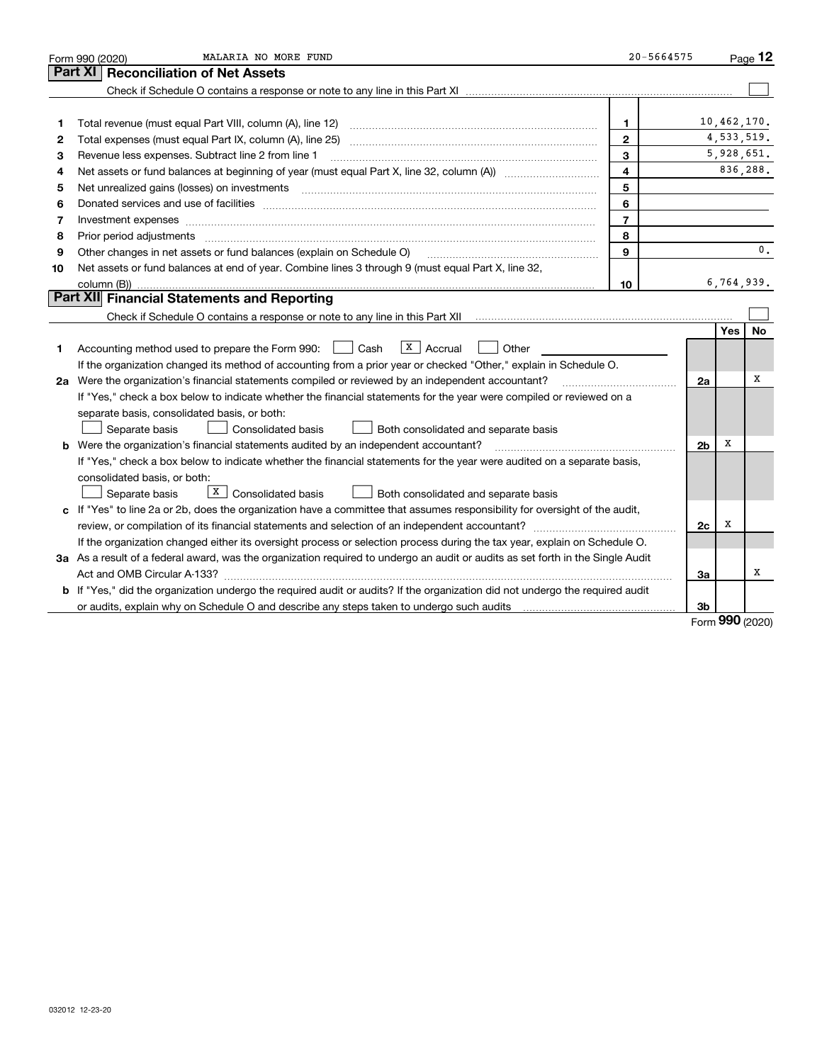|    | MALARIA NO MORE FUND<br>Form 990 (2020)                                                                                                                                                                                       | 20-5664575     |                |             | Page 12  |
|----|-------------------------------------------------------------------------------------------------------------------------------------------------------------------------------------------------------------------------------|----------------|----------------|-------------|----------|
|    | <b>Reconciliation of Net Assets</b><br>Part XI                                                                                                                                                                                |                |                |             |          |
|    |                                                                                                                                                                                                                               |                |                |             |          |
|    |                                                                                                                                                                                                                               |                |                |             |          |
| 1  |                                                                                                                                                                                                                               | $\mathbf{1}$   |                | 10,462,170. |          |
| 2  |                                                                                                                                                                                                                               | $\mathbf{2}$   |                | 4,533,519.  |          |
| з  | Revenue less expenses. Subtract line 2 from line 1                                                                                                                                                                            | 3              |                | 5,928,651.  |          |
| 4  |                                                                                                                                                                                                                               | 4              |                |             | 836,288. |
| 5  | Net unrealized gains (losses) on investments [11] matter continuum matter is a set of the set of the set of the                                                                                                               | 5              |                |             |          |
| 6  |                                                                                                                                                                                                                               | 6              |                |             |          |
| 7  | Investment expenses www.communication.com/www.communication.com/www.communication.com/www.com                                                                                                                                 | $\overline{7}$ |                |             |          |
| 8  | Prior period adjustments manufactured content contract and all the content of the content of the content of the                                                                                                               | 8              |                |             |          |
| 9  | Other changes in net assets or fund balances (explain on Schedule O)                                                                                                                                                          | 9              |                |             | 0.       |
| 10 | Net assets or fund balances at end of year. Combine lines 3 through 9 (must equal Part X, line 32,                                                                                                                            |                |                |             |          |
|    |                                                                                                                                                                                                                               | 10             |                | 6,764,939.  |          |
|    | Part XII Financial Statements and Reporting                                                                                                                                                                                   |                |                |             |          |
|    |                                                                                                                                                                                                                               |                |                |             |          |
|    |                                                                                                                                                                                                                               |                |                | Yes         | No       |
| 1  | $\overline{X}$ Accrual<br>Accounting method used to prepare the Form 990: <u>June</u> Cash<br>Other                                                                                                                           |                |                |             |          |
|    | If the organization changed its method of accounting from a prior year or checked "Other," explain in Schedule O.                                                                                                             |                |                |             |          |
|    | 2a Were the organization's financial statements compiled or reviewed by an independent accountant?                                                                                                                            |                | 2a             |             | х        |
|    | If "Yes," check a box below to indicate whether the financial statements for the year were compiled or reviewed on a                                                                                                          |                |                |             |          |
|    | separate basis, consolidated basis, or both:                                                                                                                                                                                  |                |                |             |          |
|    | Separate basis<br>Consolidated basis<br>Both consolidated and separate basis                                                                                                                                                  |                |                |             |          |
|    | b Were the organization's financial statements audited by an independent accountant?                                                                                                                                          |                | 2 <sub>b</sub> | X           |          |
|    | If "Yes," check a box below to indicate whether the financial statements for the year were audited on a separate basis,                                                                                                       |                |                |             |          |
|    | consolidated basis, or both:                                                                                                                                                                                                  |                |                |             |          |
|    | X   Consolidated basis<br>Separate basis<br>Both consolidated and separate basis                                                                                                                                              |                |                |             |          |
|    | c If "Yes" to line 2a or 2b, does the organization have a committee that assumes responsibility for oversight of the audit,                                                                                                   |                |                |             |          |
|    |                                                                                                                                                                                                                               |                | 2c             | X           |          |
|    | If the organization changed either its oversight process or selection process during the tax year, explain on Schedule O.                                                                                                     |                |                |             |          |
|    | 3a As a result of a federal award, was the organization required to undergo an audit or audits as set forth in the Single Audit                                                                                               |                |                |             |          |
|    |                                                                                                                                                                                                                               |                | За             |             | х        |
|    | b If "Yes," did the organization undergo the required audit or audits? If the organization did not undergo the required audit                                                                                                 |                |                |             |          |
|    | or audits, explain why on Schedule O and describe any steps taken to undergo such audits [11] contains the school of audits [11] or audits [11] or audits [11] or audits [11] or audits [11] or audits [11] or audits [11] or |                | 3b             | <u>nnn</u>  |          |

Form (2020) **990**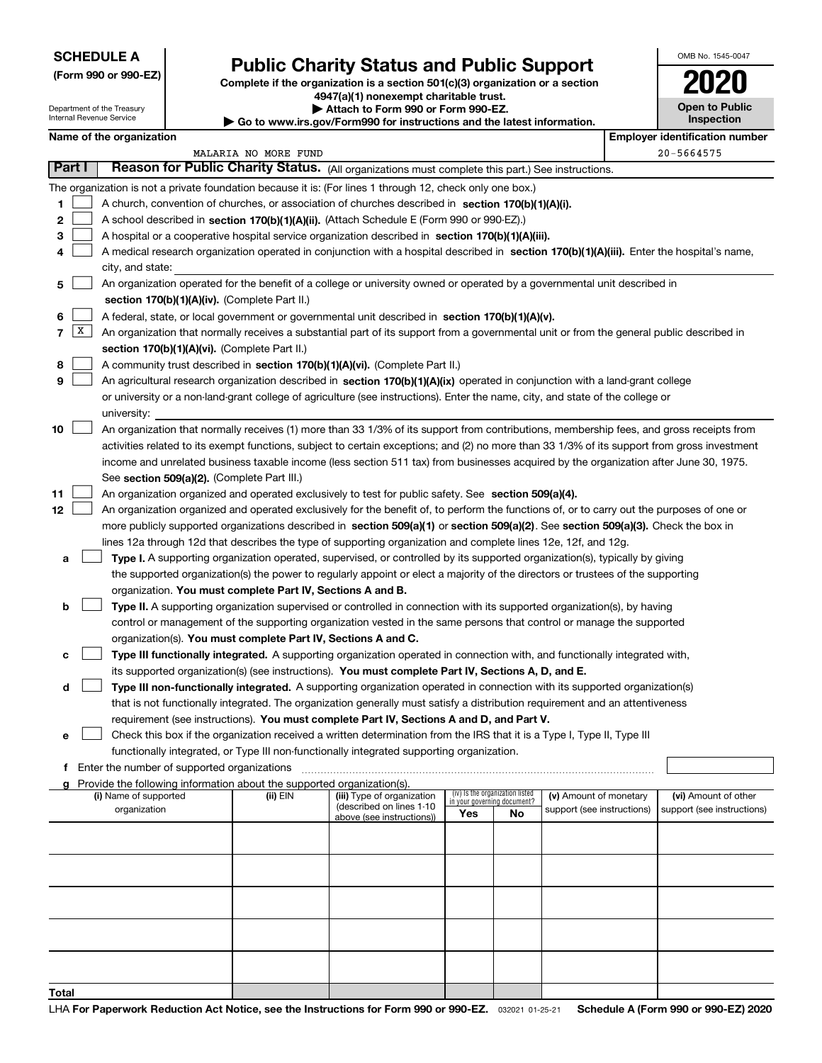| (Form 990 or 990-EZ) |  |  |  |  |
|----------------------|--|--|--|--|
|----------------------|--|--|--|--|

### **Public Charity Status and Public Support**

**Complete if the organization is a section 501(c)(3) organization or a section 4947(a)(1) nonexempt charitable trust.**

**| Attach to Form 990 or Form 990-EZ.** 

| OMB No. 1545-0047     |
|-----------------------|
| 2020                  |
| <b>Open to Public</b> |

|       |              | Department of the Treasury<br>Internal Revenue Service |                                                                                    | ▶ Attach to Form 990 or Form 990-EZ.<br>Go to www.irs.gov/Form990 for instructions and the latest information.                                                                                                                                                                   |     |                                 |                            | <b>Open to Public</b><br><b>Inspection</b> |
|-------|--------------|--------------------------------------------------------|------------------------------------------------------------------------------------|----------------------------------------------------------------------------------------------------------------------------------------------------------------------------------------------------------------------------------------------------------------------------------|-----|---------------------------------|----------------------------|--------------------------------------------|
|       |              | Name of the organization                               |                                                                                    |                                                                                                                                                                                                                                                                                  |     |                                 |                            | <b>Employer identification number</b>      |
|       |              |                                                        | MALARIA NO MORE FUND                                                               |                                                                                                                                                                                                                                                                                  |     |                                 |                            | 20-5664575                                 |
|       | Part I       |                                                        |                                                                                    | Reason for Public Charity Status. (All organizations must complete this part.) See instructions.                                                                                                                                                                                 |     |                                 |                            |                                            |
|       |              |                                                        |                                                                                    | The organization is not a private foundation because it is: (For lines 1 through 12, check only one box.)                                                                                                                                                                        |     |                                 |                            |                                            |
| 1     |              |                                                        |                                                                                    | A church, convention of churches, or association of churches described in section 170(b)(1)(A)(i).                                                                                                                                                                               |     |                                 |                            |                                            |
| 2     |              |                                                        |                                                                                    | A school described in section 170(b)(1)(A)(ii). (Attach Schedule E (Form 990 or 990-EZ).)                                                                                                                                                                                        |     |                                 |                            |                                            |
| з     |              |                                                        |                                                                                    | A hospital or a cooperative hospital service organization described in section $170(b)(1)(A)(iii)$ .                                                                                                                                                                             |     |                                 |                            |                                            |
| 4     |              |                                                        |                                                                                    | A medical research organization operated in conjunction with a hospital described in section 170(b)(1)(A)(iii). Enter the hospital's name,                                                                                                                                       |     |                                 |                            |                                            |
|       |              | city, and state:                                       |                                                                                    |                                                                                                                                                                                                                                                                                  |     |                                 |                            |                                            |
| 5     |              |                                                        |                                                                                    | An organization operated for the benefit of a college or university owned or operated by a governmental unit described in                                                                                                                                                        |     |                                 |                            |                                            |
|       |              |                                                        | section 170(b)(1)(A)(iv). (Complete Part II.)                                      |                                                                                                                                                                                                                                                                                  |     |                                 |                            |                                            |
| 6     |              |                                                        |                                                                                    | A federal, state, or local government or governmental unit described in section 170(b)(1)(A)(v).                                                                                                                                                                                 |     |                                 |                            |                                            |
| 7     | $\mathbf{X}$ |                                                        |                                                                                    | An organization that normally receives a substantial part of its support from a governmental unit or from the general public described in                                                                                                                                        |     |                                 |                            |                                            |
|       |              |                                                        | section 170(b)(1)(A)(vi). (Complete Part II.)                                      |                                                                                                                                                                                                                                                                                  |     |                                 |                            |                                            |
| 8     |              |                                                        |                                                                                    | A community trust described in section 170(b)(1)(A)(vi). (Complete Part II.)                                                                                                                                                                                                     |     |                                 |                            |                                            |
| 9     |              |                                                        |                                                                                    | An agricultural research organization described in section 170(b)(1)(A)(ix) operated in conjunction with a land-grant college                                                                                                                                                    |     |                                 |                            |                                            |
|       |              |                                                        |                                                                                    | or university or a non-land-grant college of agriculture (see instructions). Enter the name, city, and state of the college or                                                                                                                                                   |     |                                 |                            |                                            |
|       |              | university:                                            |                                                                                    |                                                                                                                                                                                                                                                                                  |     |                                 |                            |                                            |
| 10    |              |                                                        |                                                                                    | An organization that normally receives (1) more than 33 1/3% of its support from contributions, membership fees, and gross receipts from                                                                                                                                         |     |                                 |                            |                                            |
|       |              |                                                        |                                                                                    | activities related to its exempt functions, subject to certain exceptions; and (2) no more than 33 1/3% of its support from gross investment                                                                                                                                     |     |                                 |                            |                                            |
|       |              |                                                        |                                                                                    | income and unrelated business taxable income (less section 511 tax) from businesses acquired by the organization after June 30, 1975.                                                                                                                                            |     |                                 |                            |                                            |
|       |              |                                                        | See section 509(a)(2). (Complete Part III.)                                        |                                                                                                                                                                                                                                                                                  |     |                                 |                            |                                            |
| 11    |              |                                                        |                                                                                    | An organization organized and operated exclusively to test for public safety. See section 509(a)(4).                                                                                                                                                                             |     |                                 |                            |                                            |
| 12    |              |                                                        |                                                                                    | An organization organized and operated exclusively for the benefit of, to perform the functions of, or to carry out the purposes of one or<br>more publicly supported organizations described in section 509(a)(1) or section 509(a)(2). See section 509(a)(3). Check the box in |     |                                 |                            |                                            |
|       |              |                                                        |                                                                                    | lines 12a through 12d that describes the type of supporting organization and complete lines 12e, 12f, and 12g.                                                                                                                                                                   |     |                                 |                            |                                            |
|       |              |                                                        |                                                                                    | Type I. A supporting organization operated, supervised, or controlled by its supported organization(s), typically by giving                                                                                                                                                      |     |                                 |                            |                                            |
| а     |              |                                                        |                                                                                    | the supported organization(s) the power to regularly appoint or elect a majority of the directors or trustees of the supporting                                                                                                                                                  |     |                                 |                            |                                            |
|       |              |                                                        | organization. You must complete Part IV, Sections A and B.                         |                                                                                                                                                                                                                                                                                  |     |                                 |                            |                                            |
| b     |              |                                                        |                                                                                    | Type II. A supporting organization supervised or controlled in connection with its supported organization(s), by having                                                                                                                                                          |     |                                 |                            |                                            |
|       |              |                                                        |                                                                                    | control or management of the supporting organization vested in the same persons that control or manage the supported                                                                                                                                                             |     |                                 |                            |                                            |
|       |              |                                                        | organization(s). You must complete Part IV, Sections A and C.                      |                                                                                                                                                                                                                                                                                  |     |                                 |                            |                                            |
| с     |              |                                                        |                                                                                    | Type III functionally integrated. A supporting organization operated in connection with, and functionally integrated with,                                                                                                                                                       |     |                                 |                            |                                            |
|       |              |                                                        |                                                                                    | its supported organization(s) (see instructions). You must complete Part IV, Sections A, D, and E.                                                                                                                                                                               |     |                                 |                            |                                            |
| d     |              |                                                        |                                                                                    | Type III non-functionally integrated. A supporting organization operated in connection with its supported organization(s)                                                                                                                                                        |     |                                 |                            |                                            |
|       |              |                                                        |                                                                                    | that is not functionally integrated. The organization generally must satisfy a distribution requirement and an attentiveness                                                                                                                                                     |     |                                 |                            |                                            |
|       |              |                                                        |                                                                                    | requirement (see instructions). You must complete Part IV, Sections A and D, and Part V.                                                                                                                                                                                         |     |                                 |                            |                                            |
| е     |              |                                                        |                                                                                    | Check this box if the organization received a written determination from the IRS that it is a Type I, Type II, Type III                                                                                                                                                          |     |                                 |                            |                                            |
|       |              |                                                        |                                                                                    | functionally integrated, or Type III non-functionally integrated supporting organization.                                                                                                                                                                                        |     |                                 |                            |                                            |
| f     |              | Enter the number of supported organizations            |                                                                                    |                                                                                                                                                                                                                                                                                  |     |                                 |                            |                                            |
| a     |              | (i) Name of supported                                  | Provide the following information about the supported organization(s).<br>(ii) EIN | (iii) Type of organization                                                                                                                                                                                                                                                       |     | (iv) Is the organization listed | (v) Amount of monetary     | (vi) Amount of other                       |
|       |              | organization                                           |                                                                                    | (described on lines 1-10                                                                                                                                                                                                                                                         |     | in your governing document?     | support (see instructions) | support (see instructions)                 |
|       |              |                                                        |                                                                                    | above (see instructions))                                                                                                                                                                                                                                                        | Yes | No                              |                            |                                            |
|       |              |                                                        |                                                                                    |                                                                                                                                                                                                                                                                                  |     |                                 |                            |                                            |
|       |              |                                                        |                                                                                    |                                                                                                                                                                                                                                                                                  |     |                                 |                            |                                            |
|       |              |                                                        |                                                                                    |                                                                                                                                                                                                                                                                                  |     |                                 |                            |                                            |
|       |              |                                                        |                                                                                    |                                                                                                                                                                                                                                                                                  |     |                                 |                            |                                            |
|       |              |                                                        |                                                                                    |                                                                                                                                                                                                                                                                                  |     |                                 |                            |                                            |
|       |              |                                                        |                                                                                    |                                                                                                                                                                                                                                                                                  |     |                                 |                            |                                            |
|       |              |                                                        |                                                                                    |                                                                                                                                                                                                                                                                                  |     |                                 |                            |                                            |
|       |              |                                                        |                                                                                    |                                                                                                                                                                                                                                                                                  |     |                                 |                            |                                            |
|       |              |                                                        |                                                                                    |                                                                                                                                                                                                                                                                                  |     |                                 |                            |                                            |
| Total |              |                                                        |                                                                                    |                                                                                                                                                                                                                                                                                  |     |                                 |                            |                                            |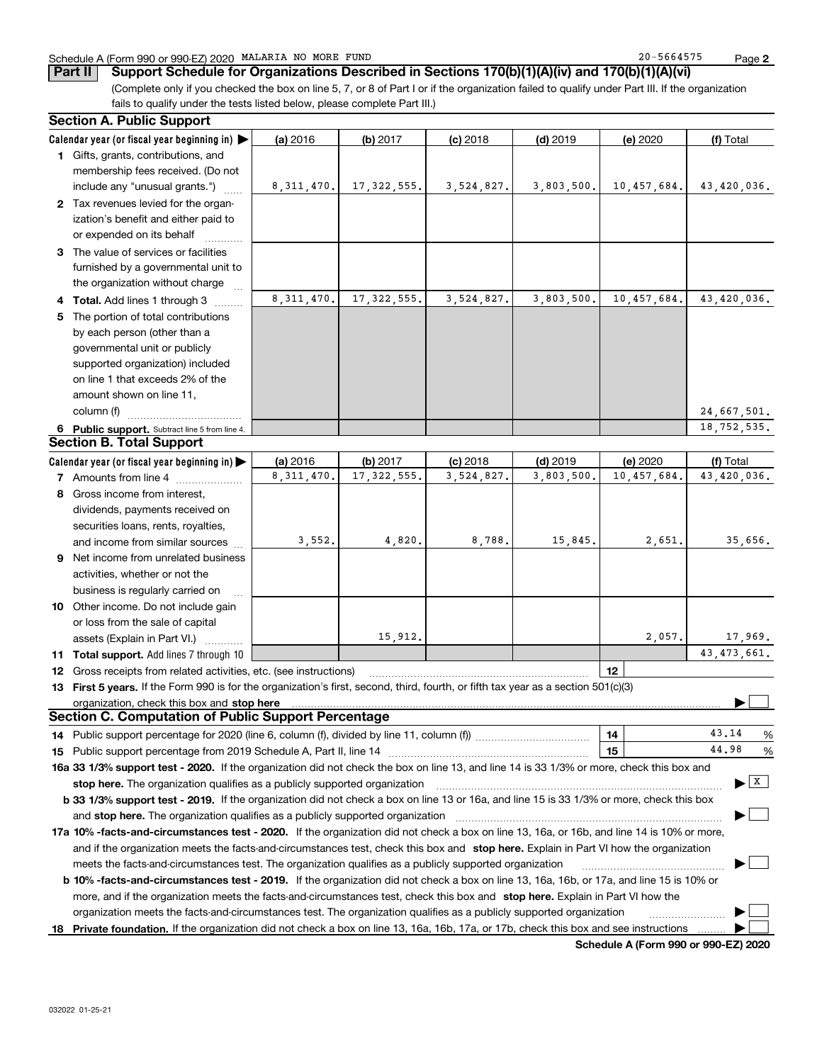#### Schedule A (Form 990 or 990-EZ) 2020 Page MALARIA NO MORE FUND 20-5664575

**2**

**Part II Support Schedule for Organizations Described in Sections 170(b)(1)(A)(iv) and 170(b)(1)(A)(vi)**

(Complete only if you checked the box on line 5, 7, or 8 of Part I or if the organization failed to qualify under Part III. If the organization fails to qualify under the tests listed below, please complete Part III.)

| <b>Section A. Public Support</b>                                                                                                               |              |               |            |            |             |                                          |
|------------------------------------------------------------------------------------------------------------------------------------------------|--------------|---------------|------------|------------|-------------|------------------------------------------|
| Calendar year (or fiscal year beginning in)                                                                                                    | (a) 2016     | (b) 2017      | $(c)$ 2018 | $(d)$ 2019 | (e) 2020    | (f) Total                                |
| 1 Gifts, grants, contributions, and                                                                                                            |              |               |            |            |             |                                          |
| membership fees received. (Do not                                                                                                              |              |               |            |            |             |                                          |
| include any "unusual grants.")                                                                                                                 | 8,311,470.   | 17,322,555.   | 3,524,827. | 3,803,500. | 10,457,684. | 43,420,036.                              |
| 2 Tax revenues levied for the organ-                                                                                                           |              |               |            |            |             |                                          |
| ization's benefit and either paid to                                                                                                           |              |               |            |            |             |                                          |
| or expended on its behalf                                                                                                                      |              |               |            |            |             |                                          |
| 3 The value of services or facilities                                                                                                          |              |               |            |            |             |                                          |
| furnished by a governmental unit to                                                                                                            |              |               |            |            |             |                                          |
| the organization without charge                                                                                                                |              |               |            |            |             |                                          |
| 4 Total. Add lines 1 through 3                                                                                                                 | 8, 311, 470. | 17, 322, 555. | 3,524,827. | 3,803,500. | 10,457,684. | 43,420,036.                              |
| 5 The portion of total contributions                                                                                                           |              |               |            |            |             |                                          |
| by each person (other than a                                                                                                                   |              |               |            |            |             |                                          |
| governmental unit or publicly                                                                                                                  |              |               |            |            |             |                                          |
| supported organization) included                                                                                                               |              |               |            |            |             |                                          |
| on line 1 that exceeds 2% of the                                                                                                               |              |               |            |            |             |                                          |
| amount shown on line 11,                                                                                                                       |              |               |            |            |             |                                          |
| column (f)                                                                                                                                     |              |               |            |            |             | 24,667,501.                              |
| 6 Public support. Subtract line 5 from line 4.                                                                                                 |              |               |            |            |             | 18,752,535.                              |
| <b>Section B. Total Support</b>                                                                                                                |              |               |            |            |             |                                          |
| Calendar year (or fiscal year beginning in)                                                                                                    | (a) 2016     | (b) 2017      | $(c)$ 2018 | $(d)$ 2019 | (e) 2020    | (f) Total                                |
| <b>7</b> Amounts from line 4                                                                                                                   | 8, 311, 470. | 17, 322, 555. | 3,524,827. | 3,803,500. | 10,457,684. | 43,420,036.                              |
| 8 Gross income from interest,                                                                                                                  |              |               |            |            |             |                                          |
| dividends, payments received on                                                                                                                |              |               |            |            |             |                                          |
| securities loans, rents, royalties,                                                                                                            |              |               |            |            |             |                                          |
| and income from similar sources                                                                                                                | 3,552.       | 4,820.        | 8,788.     | 15,845.    | 2,651.      | 35,656.                                  |
| 9 Net income from unrelated business                                                                                                           |              |               |            |            |             |                                          |
| activities, whether or not the                                                                                                                 |              |               |            |            |             |                                          |
| business is regularly carried on                                                                                                               |              |               |            |            |             |                                          |
| 10 Other income. Do not include gain                                                                                                           |              |               |            |            |             |                                          |
| or loss from the sale of capital                                                                                                               |              |               |            |            |             |                                          |
| assets (Explain in Part VI.)                                                                                                                   |              | 15,912.       |            |            | 2,057.      | 17,969.                                  |
| 11 Total support. Add lines 7 through 10                                                                                                       |              |               |            |            |             | 43, 473, 661.                            |
| 12 Gross receipts from related activities, etc. (see instructions)                                                                             |              |               |            |            | 12          |                                          |
| 13 First 5 years. If the Form 990 is for the organization's first, second, third, fourth, or fifth tax year as a section 501(c)(3)             |              |               |            |            |             |                                          |
| organization, check this box and stop here                                                                                                     |              |               |            |            |             |                                          |
| <b>Section C. Computation of Public Support Percentage</b>                                                                                     |              |               |            |            |             |                                          |
|                                                                                                                                                |              |               |            |            | 14          | 43.14<br>%                               |
|                                                                                                                                                |              |               |            |            | 15          | 44.98<br>%                               |
| 16a 33 1/3% support test - 2020. If the organization did not check the box on line 13, and line 14 is 33 1/3% or more, check this box and      |              |               |            |            |             |                                          |
| stop here. The organization qualifies as a publicly supported organization                                                                     |              |               |            |            |             | $\blacktriangleright$ $\boxed{\text{X}}$ |
| b 33 1/3% support test - 2019. If the organization did not check a box on line 13 or 16a, and line 15 is 33 1/3% or more, check this box       |              |               |            |            |             |                                          |
| and stop here. The organization qualifies as a publicly supported organization                                                                 |              |               |            |            |             |                                          |
| 17a 10% -facts-and-circumstances test - 2020. If the organization did not check a box on line 13, 16a, or 16b, and line 14 is 10% or more,     |              |               |            |            |             |                                          |
| and if the organization meets the facts-and-circumstances test, check this box and stop here. Explain in Part VI how the organization          |              |               |            |            |             |                                          |
| meets the facts-and-circumstances test. The organization qualifies as a publicly supported organization                                        |              |               |            |            |             |                                          |
| <b>b 10% -facts-and-circumstances test - 2019.</b> If the organization did not check a box on line 13, 16a, 16b, or 17a, and line 15 is 10% or |              |               |            |            |             |                                          |
| more, and if the organization meets the facts-and-circumstances test, check this box and stop here. Explain in Part VI how the                 |              |               |            |            |             |                                          |
| organization meets the facts-and-circumstances test. The organization qualifies as a publicly supported organization                           |              |               |            |            |             |                                          |
| 18 Private foundation. If the organization did not check a box on line 13, 16a, 16b, 17a, or 17b, check this box and see instructions          |              |               |            |            |             |                                          |
|                                                                                                                                                |              |               |            |            |             |                                          |

**Schedule A (Form 990 or 990-EZ) 2020**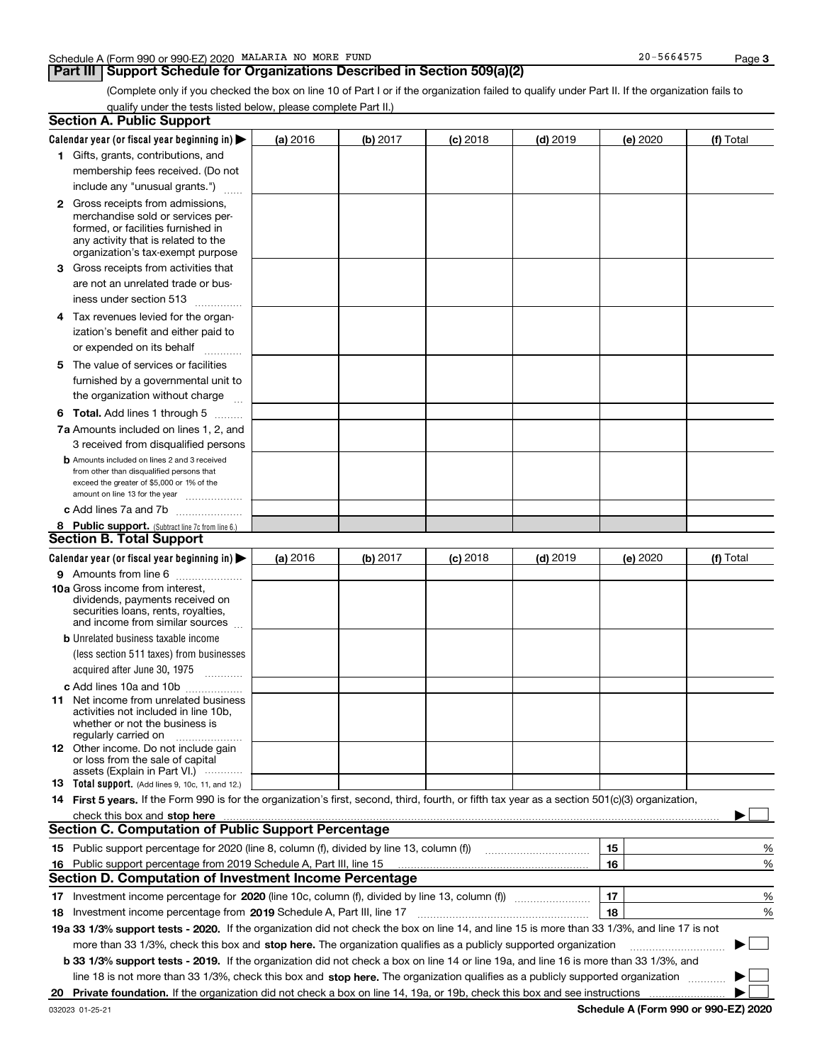### **Part III Support Schedule for Organizations Described in Section 509(a)(2)**

**3**

(Complete only if you checked the box on line 10 of Part I or if the organization failed to qualify under Part II. If the organization fails to qualify under the tests listed below, please complete Part II.)

|    | <b>Section A. Public Support</b>                                                                                                                                                                                                                                         |          |          |            |            |          |           |
|----|--------------------------------------------------------------------------------------------------------------------------------------------------------------------------------------------------------------------------------------------------------------------------|----------|----------|------------|------------|----------|-----------|
|    | Calendar year (or fiscal year beginning in) $\blacktriangleright$                                                                                                                                                                                                        | (a) 2016 | (b) 2017 | $(c)$ 2018 | $(d)$ 2019 | (e) 2020 | (f) Total |
|    | 1 Gifts, grants, contributions, and                                                                                                                                                                                                                                      |          |          |            |            |          |           |
|    | membership fees received. (Do not                                                                                                                                                                                                                                        |          |          |            |            |          |           |
|    | include any "unusual grants.")                                                                                                                                                                                                                                           |          |          |            |            |          |           |
|    | <b>2</b> Gross receipts from admissions,                                                                                                                                                                                                                                 |          |          |            |            |          |           |
|    | merchandise sold or services per-                                                                                                                                                                                                                                        |          |          |            |            |          |           |
|    | formed, or facilities furnished in                                                                                                                                                                                                                                       |          |          |            |            |          |           |
|    | any activity that is related to the<br>organization's tax-exempt purpose                                                                                                                                                                                                 |          |          |            |            |          |           |
|    | 3 Gross receipts from activities that                                                                                                                                                                                                                                    |          |          |            |            |          |           |
|    | are not an unrelated trade or bus-                                                                                                                                                                                                                                       |          |          |            |            |          |           |
|    | iness under section 513                                                                                                                                                                                                                                                  |          |          |            |            |          |           |
|    | 4 Tax revenues levied for the organ-                                                                                                                                                                                                                                     |          |          |            |            |          |           |
|    | ization's benefit and either paid to                                                                                                                                                                                                                                     |          |          |            |            |          |           |
|    | or expended on its behalf<br>.                                                                                                                                                                                                                                           |          |          |            |            |          |           |
|    | 5 The value of services or facilities                                                                                                                                                                                                                                    |          |          |            |            |          |           |
|    | furnished by a governmental unit to                                                                                                                                                                                                                                      |          |          |            |            |          |           |
|    | the organization without charge                                                                                                                                                                                                                                          |          |          |            |            |          |           |
|    | <b>6 Total.</b> Add lines 1 through 5                                                                                                                                                                                                                                    |          |          |            |            |          |           |
|    | 7a Amounts included on lines 1, 2, and                                                                                                                                                                                                                                   |          |          |            |            |          |           |
|    | 3 received from disqualified persons                                                                                                                                                                                                                                     |          |          |            |            |          |           |
|    | <b>b</b> Amounts included on lines 2 and 3 received                                                                                                                                                                                                                      |          |          |            |            |          |           |
|    | from other than disqualified persons that                                                                                                                                                                                                                                |          |          |            |            |          |           |
|    | exceed the greater of \$5,000 or 1% of the<br>amount on line 13 for the year                                                                                                                                                                                             |          |          |            |            |          |           |
|    | c Add lines 7a and 7b                                                                                                                                                                                                                                                    |          |          |            |            |          |           |
|    | 8 Public support. (Subtract line 7c from line 6.)                                                                                                                                                                                                                        |          |          |            |            |          |           |
|    | <b>Section B. Total Support</b>                                                                                                                                                                                                                                          |          |          |            |            |          |           |
|    | Calendar year (or fiscal year beginning in)                                                                                                                                                                                                                              | (a) 2016 | (b) 2017 | $(c)$ 2018 | $(d)$ 2019 | (e) 2020 | (f) Total |
|    | 9 Amounts from line 6                                                                                                                                                                                                                                                    |          |          |            |            |          |           |
|    | <b>10a</b> Gross income from interest,                                                                                                                                                                                                                                   |          |          |            |            |          |           |
|    | dividends, payments received on                                                                                                                                                                                                                                          |          |          |            |            |          |           |
|    | securities loans, rents, royalties,<br>and income from similar sources                                                                                                                                                                                                   |          |          |            |            |          |           |
|    | <b>b</b> Unrelated business taxable income                                                                                                                                                                                                                               |          |          |            |            |          |           |
|    | (less section 511 taxes) from businesses                                                                                                                                                                                                                                 |          |          |            |            |          |           |
|    | acquired after June 30, 1975                                                                                                                                                                                                                                             |          |          |            |            |          |           |
|    | c Add lines 10a and 10b                                                                                                                                                                                                                                                  |          |          |            |            |          |           |
|    | 11 Net income from unrelated business                                                                                                                                                                                                                                    |          |          |            |            |          |           |
|    | activities not included in line 10b,                                                                                                                                                                                                                                     |          |          |            |            |          |           |
|    | whether or not the business is<br>regularly carried on                                                                                                                                                                                                                   |          |          |            |            |          |           |
|    | <b>12</b> Other income. Do not include gain                                                                                                                                                                                                                              |          |          |            |            |          |           |
|    | or loss from the sale of capital                                                                                                                                                                                                                                         |          |          |            |            |          |           |
|    | assets (Explain in Part VI.)<br><b>13</b> Total support. (Add lines 9, 10c, 11, and 12.)                                                                                                                                                                                 |          |          |            |            |          |           |
|    | 14 First 5 years. If the Form 990 is for the organization's first, second, third, fourth, or fifth tax year as a section 501(c)(3) organization,                                                                                                                         |          |          |            |            |          |           |
|    |                                                                                                                                                                                                                                                                          |          |          |            |            |          |           |
|    | check this box and stop here <i>macuum macuum macuum macuum macuum macuum macuum macuum macuum</i><br><b>Section C. Computation of Public Support Percentage</b>                                                                                                         |          |          |            |            |          |           |
|    | 15 Public support percentage for 2020 (line 8, column (f), divided by line 13, column (f))                                                                                                                                                                               |          |          |            |            | 15       | ℀         |
|    | 16 Public support percentage from 2019 Schedule A, Part III, line 15                                                                                                                                                                                                     |          |          |            |            | 16       | %         |
|    | <b>Section D. Computation of Investment Income Percentage</b>                                                                                                                                                                                                            |          |          |            |            |          |           |
|    | Investment income percentage for 2020 (line 10c, column (f), divided by line 13, column (f))                                                                                                                                                                             |          |          |            |            | 17       | %         |
| 17 |                                                                                                                                                                                                                                                                          |          |          |            |            | 18       | %         |
|    | <b>18</b> Investment income percentage from <b>2019</b> Schedule A, Part III, line 17<br>19a 33 1/3% support tests - 2020. If the organization did not check the box on line 14, and line 15 is more than 33 1/3%, and line 17 is not                                    |          |          |            |            |          |           |
|    | more than 33 1/3%, check this box and stop here. The organization qualifies as a publicly supported organization                                                                                                                                                         |          |          |            |            |          |           |
|    |                                                                                                                                                                                                                                                                          |          |          |            |            |          |           |
|    | b 33 1/3% support tests - 2019. If the organization did not check a box on line 14 or line 19a, and line 16 is more than 33 1/3%, and<br>line 18 is not more than 33 1/3%, check this box and stop here. The organization qualifies as a publicly supported organization |          |          |            |            |          |           |
|    |                                                                                                                                                                                                                                                                          |          |          |            |            |          |           |
| 20 |                                                                                                                                                                                                                                                                          |          |          |            |            |          |           |

**Schedule A (Form 990 or 990-EZ) 2020**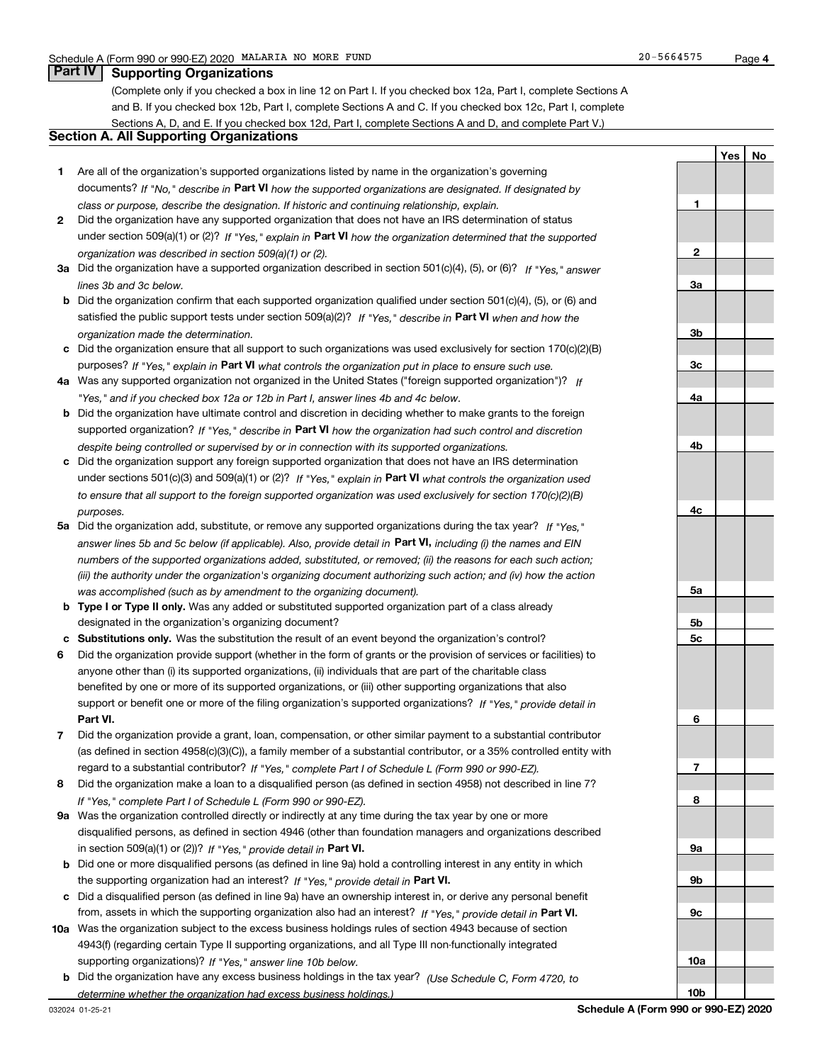**1**

**2**

**3a**

**YesNo**

### **Part IV Supporting Organizations**

(Complete only if you checked a box in line 12 on Part I. If you checked box 12a, Part I, complete Sections A and B. If you checked box 12b, Part I, complete Sections A and C. If you checked box 12c, Part I, complete Sections A, D, and E. If you checked box 12d, Part I, complete Sections A and D, and complete Part V.)

### **Section A. All Supporting Organizations**

- **1** Are all of the organization's supported organizations listed by name in the organization's governing documents? If "No," describe in **Part VI** how the supported organizations are designated. If designated by *class or purpose, describe the designation. If historic and continuing relationship, explain.*
- **2** Did the organization have any supported organization that does not have an IRS determination of status under section 509(a)(1) or (2)? If "Yes," explain in Part VI how the organization determined that the supported *organization was described in section 509(a)(1) or (2).*
- **3a** Did the organization have a supported organization described in section 501(c)(4), (5), or (6)? If "Yes," answer *lines 3b and 3c below.*
- **b** Did the organization confirm that each supported organization qualified under section 501(c)(4), (5), or (6) and satisfied the public support tests under section 509(a)(2)? If "Yes," describe in **Part VI** when and how the *organization made the determination.*
- **c**Did the organization ensure that all support to such organizations was used exclusively for section 170(c)(2)(B) purposes? If "Yes," explain in **Part VI** what controls the organization put in place to ensure such use.
- **4a***If* Was any supported organization not organized in the United States ("foreign supported organization")? *"Yes," and if you checked box 12a or 12b in Part I, answer lines 4b and 4c below.*
- **b** Did the organization have ultimate control and discretion in deciding whether to make grants to the foreign supported organization? If "Yes," describe in **Part VI** how the organization had such control and discretion *despite being controlled or supervised by or in connection with its supported organizations.*
- **c** Did the organization support any foreign supported organization that does not have an IRS determination under sections 501(c)(3) and 509(a)(1) or (2)? If "Yes," explain in **Part VI** what controls the organization used *to ensure that all support to the foreign supported organization was used exclusively for section 170(c)(2)(B) purposes.*
- **5a***If "Yes,"* Did the organization add, substitute, or remove any supported organizations during the tax year? answer lines 5b and 5c below (if applicable). Also, provide detail in **Part VI,** including (i) the names and EIN *numbers of the supported organizations added, substituted, or removed; (ii) the reasons for each such action; (iii) the authority under the organization's organizing document authorizing such action; and (iv) how the action was accomplished (such as by amendment to the organizing document).*
- **b** Type I or Type II only. Was any added or substituted supported organization part of a class already designated in the organization's organizing document?
- **cSubstitutions only.**  Was the substitution the result of an event beyond the organization's control?
- **6** Did the organization provide support (whether in the form of grants or the provision of services or facilities) to **Part VI.** *If "Yes," provide detail in* support or benefit one or more of the filing organization's supported organizations? anyone other than (i) its supported organizations, (ii) individuals that are part of the charitable class benefited by one or more of its supported organizations, or (iii) other supporting organizations that also
- **7**Did the organization provide a grant, loan, compensation, or other similar payment to a substantial contributor *If "Yes," complete Part I of Schedule L (Form 990 or 990-EZ).* regard to a substantial contributor? (as defined in section 4958(c)(3)(C)), a family member of a substantial contributor, or a 35% controlled entity with
- **8** Did the organization make a loan to a disqualified person (as defined in section 4958) not described in line 7? *If "Yes," complete Part I of Schedule L (Form 990 or 990-EZ).*
- **9a** Was the organization controlled directly or indirectly at any time during the tax year by one or more in section 509(a)(1) or (2))? If "Yes," *provide detail in* <code>Part VI.</code> disqualified persons, as defined in section 4946 (other than foundation managers and organizations described
- **b** Did one or more disqualified persons (as defined in line 9a) hold a controlling interest in any entity in which the supporting organization had an interest? If "Yes," provide detail in P**art VI**.
- **c**Did a disqualified person (as defined in line 9a) have an ownership interest in, or derive any personal benefit from, assets in which the supporting organization also had an interest? If "Yes," provide detail in P**art VI.**
- **10a** Was the organization subject to the excess business holdings rules of section 4943 because of section supporting organizations)? If "Yes," answer line 10b below. 4943(f) (regarding certain Type II supporting organizations, and all Type III non-functionally integrated
- **b** Did the organization have any excess business holdings in the tax year? (Use Schedule C, Form 4720, to *determine whether the organization had excess business holdings.)*

**10b**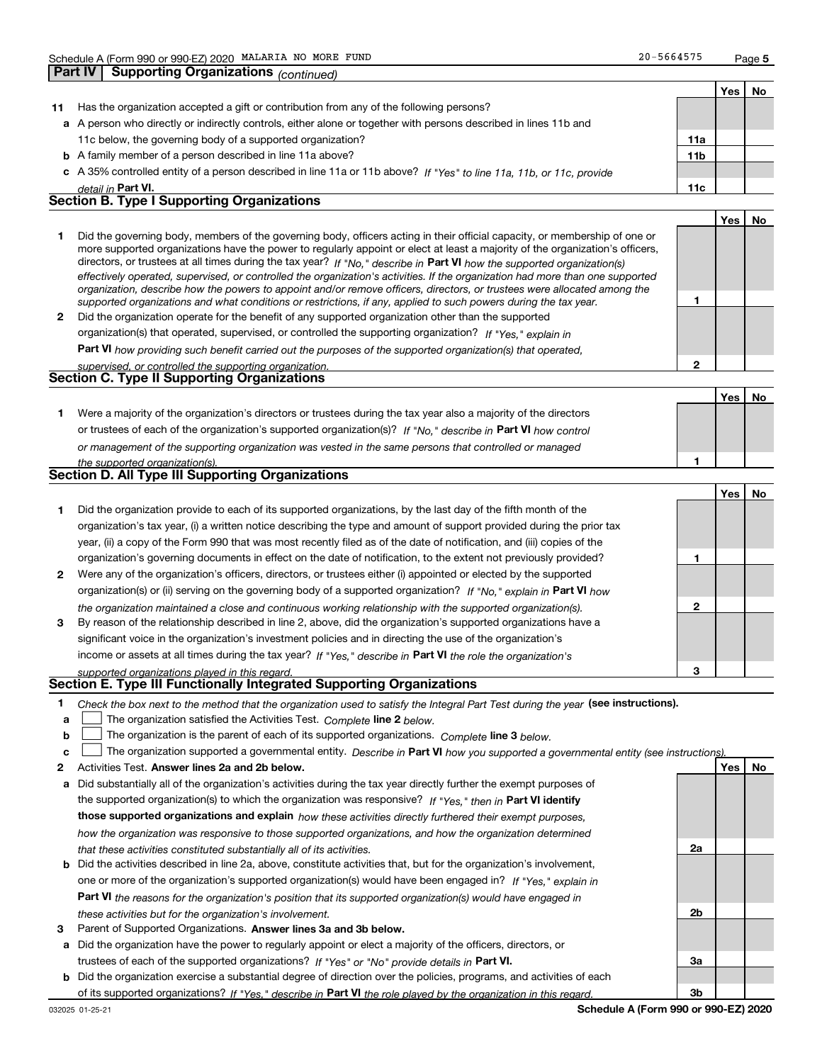**Part IV Supporting Organizations** *(continued)*

**2**

|    |                                                                                                                      |                 | Yes | No. |
|----|----------------------------------------------------------------------------------------------------------------------|-----------------|-----|-----|
| 11 | Has the organization accepted a gift or contribution from any of the following persons?                              |                 |     |     |
|    | a A person who directly or indirectly controls, either alone or together with persons described in lines 11b and     |                 |     |     |
|    | 11c below, the governing body of a supported organization?                                                           | 11a             |     |     |
|    | <b>b</b> A family member of a person described in line 11a above?                                                    | 11 <sub>b</sub> |     |     |
|    | c A 35% controlled entity of a person described in line 11a or 11b above? If "Yes" to line 11a, 11b, or 11c, provide |                 |     |     |
|    | detail in Part VI.                                                                                                   | 11c             |     |     |
|    | <b>Section B. Type I Supporting Organizations</b>                                                                    |                 |     |     |
|    |                                                                                                                      |                 | Yes | No  |
|    |                                                                                                                      |                 |     |     |

|              | Did the governing body, members of the governing body, officers acting in their official capacity, or membership of one or<br>more supported organizations have the power to regularly appoint or elect at least a majority of the organization's officers,<br>directors, or trustees at all times during the tax year? If "No," describe in Part VI how the supported organization(s)<br>effectively operated, supervised, or controlled the organization's activities. If the organization had more than one supported<br>organization, describe how the powers to appoint and/or remove officers, directors, or trustees were allocated among the |  |
|--------------|------------------------------------------------------------------------------------------------------------------------------------------------------------------------------------------------------------------------------------------------------------------------------------------------------------------------------------------------------------------------------------------------------------------------------------------------------------------------------------------------------------------------------------------------------------------------------------------------------------------------------------------------------|--|
|              | supported organizations and what conditions or restrictions, if any, applied to such powers during the tax year.                                                                                                                                                                                                                                                                                                                                                                                                                                                                                                                                     |  |
| $\mathbf{2}$ | Did the organization operate for the benefit of any supported organization other than the supported                                                                                                                                                                                                                                                                                                                                                                                                                                                                                                                                                  |  |
|              | $\alpha$ requirection(a) that energies a unaquised or controlled the supporting examination? $\mu$ is $\mu$                                                                                                                                                                                                                                                                                                                                                                                                                                                                                                                                          |  |

*If "Yes," explain in* organization(s) that operated, supervised, or controlled the supporting organization?

**Part VI**  *how providing such benefit carried out the purposes of the supported organization(s) that operated, supervised, or controlled the supporting organization.*

| supervised. Or controlled the supporting organization. |  |
|--------------------------------------------------------|--|
| <b>Section C. Type II Supporting Organizations</b>     |  |

**Yes No 1**or trustees of each of the organization's supported organization(s)? If "No," describe in **Part VI** how control **1***or management of the supporting organization was vested in the same persons that controlled or managed the supported organization(s).* Were a majority of the organization's directors or trustees during the tax year also a majority of the directors

|              |                                                                                                                        |   | Yes l | No. |
|--------------|------------------------------------------------------------------------------------------------------------------------|---|-------|-----|
|              | Did the organization provide to each of its supported organizations, by the last day of the fifth month of the         |   |       |     |
|              | organization's tax year, (i) a written notice describing the type and amount of support provided during the prior tax  |   |       |     |
|              | year, (ii) a copy of the Form 990 that was most recently filed as of the date of notification, and (iii) copies of the |   |       |     |
|              | organization's governing documents in effect on the date of notification, to the extent not previously provided?       |   |       |     |
| $\mathbf{2}$ | Were any of the organization's officers, directors, or trustees either (i) appointed or elected by the supported       |   |       |     |
|              | organization(s) or (ii) serving on the governing body of a supported organization? If "No," explain in Part VI how     |   |       |     |
|              | the organization maintained a close and continuous working relationship with the supported organization(s).            | 2 |       |     |
| 3            | By reason of the relationship described in line 2, above, did the organization's supported organizations have a        |   |       |     |
|              | significant voice in the organization's investment policies and in directing the use of the organization's             |   |       |     |
|              | income or assets at all times during the tax year? If "Yes," describe in Part VI the role the organization's           |   |       |     |
|              | supported organizations played in this regard.                                                                         | 3 |       |     |

## *supported organizations played in this regard.* **Section E. Type III Functionally Integrated Supporting Organizations**

- **1**Check the box next to the method that the organization used to satisfy the Integral Part Test during the year (see instructions).
- **alinupy** The organization satisfied the Activities Test. Complete line 2 below.
- **b**The organization is the parent of each of its supported organizations. *Complete* line 3 *below.*  $\mathcal{L}^{\text{max}}$

|  |  | $\mathbf{c}$ $\Box$ The organization supported a governmental entity. Describe in Part VI how you supported a governmental entity (see instructions). |  |  |  |  |  |  |
|--|--|-------------------------------------------------------------------------------------------------------------------------------------------------------|--|--|--|--|--|--|
|--|--|-------------------------------------------------------------------------------------------------------------------------------------------------------|--|--|--|--|--|--|

- **2Answer lines 2a and 2b below. Yes No** Activities Test.
- **a** Did substantially all of the organization's activities during the tax year directly further the exempt purposes of the supported organization(s) to which the organization was responsive? If "Yes," then in **Part VI identify those supported organizations and explain**  *how these activities directly furthered their exempt purposes, how the organization was responsive to those supported organizations, and how the organization determined that these activities constituted substantially all of its activities.*
- **b** Did the activities described in line 2a, above, constitute activities that, but for the organization's involvement, **Part VI**  *the reasons for the organization's position that its supported organization(s) would have engaged in* one or more of the organization's supported organization(s) would have been engaged in? If "Yes," e*xplain in these activities but for the organization's involvement.*
- **3** Parent of Supported Organizations. Answer lines 3a and 3b below.
- **a** Did the organization have the power to regularly appoint or elect a majority of the officers, directors, or trustees of each of the supported organizations? If "Yes" or "No" provide details in **Part VI.**
- **b** Did the organization exercise a substantial degree of direction over the policies, programs, and activities of each of its supported organizations? If "Yes," describe in Part VI the role played by the organization in this regard.

**2a**

**2b**

**3a**

**3b**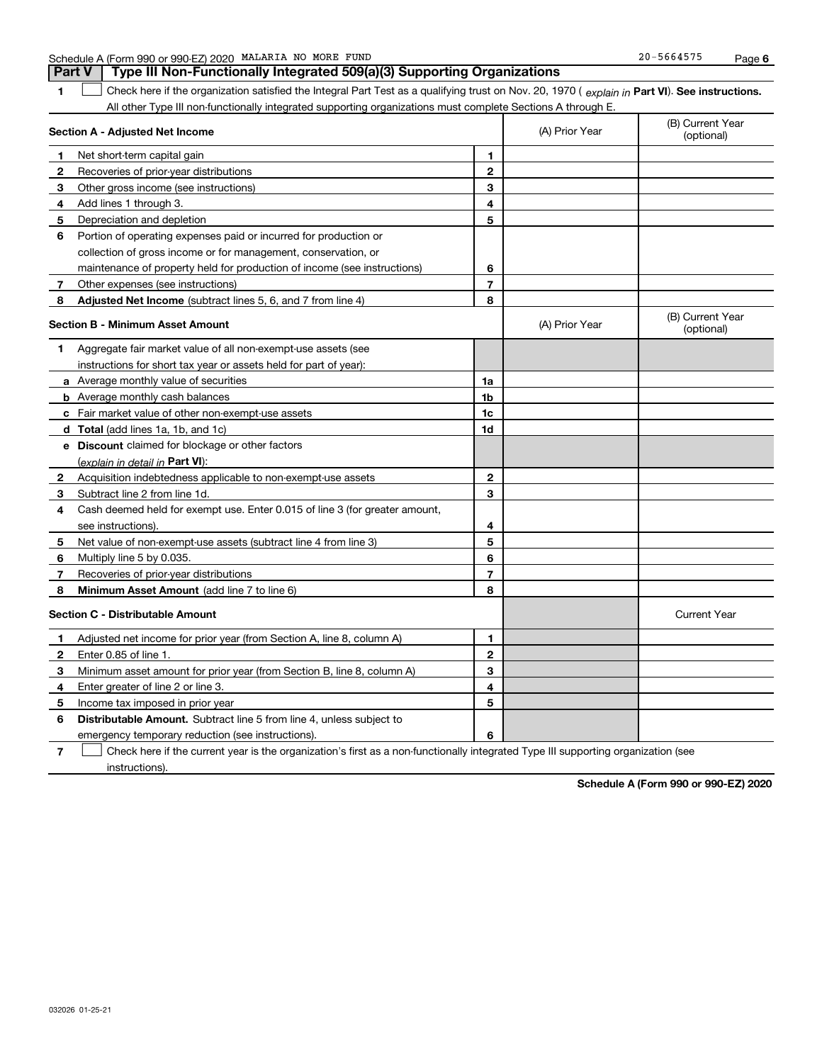|  | Schedule A (Form 990 or 990-EZ) 2020 | NO<br>MALARIA<br>MORE | FUND | $20-$<br>5664575 | Page |  |
|--|--------------------------------------|-----------------------|------|------------------|------|--|
|--|--------------------------------------|-----------------------|------|------------------|------|--|

**1Part VI** Check here if the organization satisfied the Integral Part Test as a qualifying trust on Nov. 20, 1970 ( *explain in* Part **VI**). See instructions. All other Type III non-functionally integrated supporting organizations must complete Sections A through E. **Part V Type III Non-Functionally Integrated 509(a)(3) Supporting Organizations**   $\mathcal{L}^{\text{max}}$ 

|              | Section A - Adjusted Net Income                                             |                | (A) Prior Year | (B) Current Year<br>(optional) |
|--------------|-----------------------------------------------------------------------------|----------------|----------------|--------------------------------|
| 1            | Net short-term capital gain                                                 | 1              |                |                                |
| 2            | Recoveries of prior-year distributions                                      | $\mathbf{2}$   |                |                                |
| З            | Other gross income (see instructions)                                       | 3              |                |                                |
| 4            | Add lines 1 through 3.                                                      | 4              |                |                                |
| 5            | Depreciation and depletion                                                  | 5              |                |                                |
| 6            | Portion of operating expenses paid or incurred for production or            |                |                |                                |
|              | collection of gross income or for management, conservation, or              |                |                |                                |
|              | maintenance of property held for production of income (see instructions)    | 6              |                |                                |
| 7            | Other expenses (see instructions)                                           | $\overline{7}$ |                |                                |
| 8            | Adjusted Net Income (subtract lines 5, 6, and 7 from line 4)                | 8              |                |                                |
|              | <b>Section B - Minimum Asset Amount</b>                                     |                | (A) Prior Year | (B) Current Year<br>(optional) |
| 1.           | Aggregate fair market value of all non-exempt-use assets (see               |                |                |                                |
|              | instructions for short tax year or assets held for part of year):           |                |                |                                |
|              | <b>a</b> Average monthly value of securities                                | 1a             |                |                                |
|              | <b>b</b> Average monthly cash balances                                      | 1 <sub>b</sub> |                |                                |
|              | <b>c</b> Fair market value of other non-exempt-use assets                   | 1c             |                |                                |
|              | d Total (add lines 1a, 1b, and 1c)                                          | 1d             |                |                                |
|              | e Discount claimed for blockage or other factors                            |                |                |                                |
|              | (explain in detail in <b>Part VI</b> ):                                     |                |                |                                |
| $\mathbf{2}$ | Acquisition indebtedness applicable to non-exempt-use assets                | $\mathbf{2}$   |                |                                |
| 3            | Subtract line 2 from line 1d.                                               | 3              |                |                                |
| 4            | Cash deemed held for exempt use. Enter 0.015 of line 3 (for greater amount, |                |                |                                |
|              | see instructions).                                                          | 4              |                |                                |
| 5            | Net value of non-exempt-use assets (subtract line 4 from line 3)            | 5              |                |                                |
| 6            | Multiply line 5 by 0.035.                                                   | 6              |                |                                |
| 7            | Recoveries of prior-year distributions                                      | $\overline{7}$ |                |                                |
| 8            | Minimum Asset Amount (add line 7 to line 6)                                 | 8              |                |                                |
|              | Section C - Distributable Amount                                            |                |                | <b>Current Year</b>            |
| 1            | Adjusted net income for prior year (from Section A, line 8, column A)       | 1              |                |                                |
| 2            | Enter 0.85 of line 1.                                                       | $\mathbf{2}$   |                |                                |
| 3            | Minimum asset amount for prior year (from Section B, line 8, column A)      | 3              |                |                                |
| 4            | Enter greater of line 2 or line 3.                                          | 4              |                |                                |
| 5            | Income tax imposed in prior year                                            | 5              |                |                                |
| 6            | <b>Distributable Amount.</b> Subtract line 5 from line 4, unless subject to |                |                |                                |
|              | emergency temporary reduction (see instructions).                           | 6              |                |                                |
|              |                                                                             |                |                |                                |

**7**Check here if the current year is the organization's first as a non-functionally integrated Type III supporting organization (see instructions).

**Schedule A (Form 990 or 990-EZ) 2020**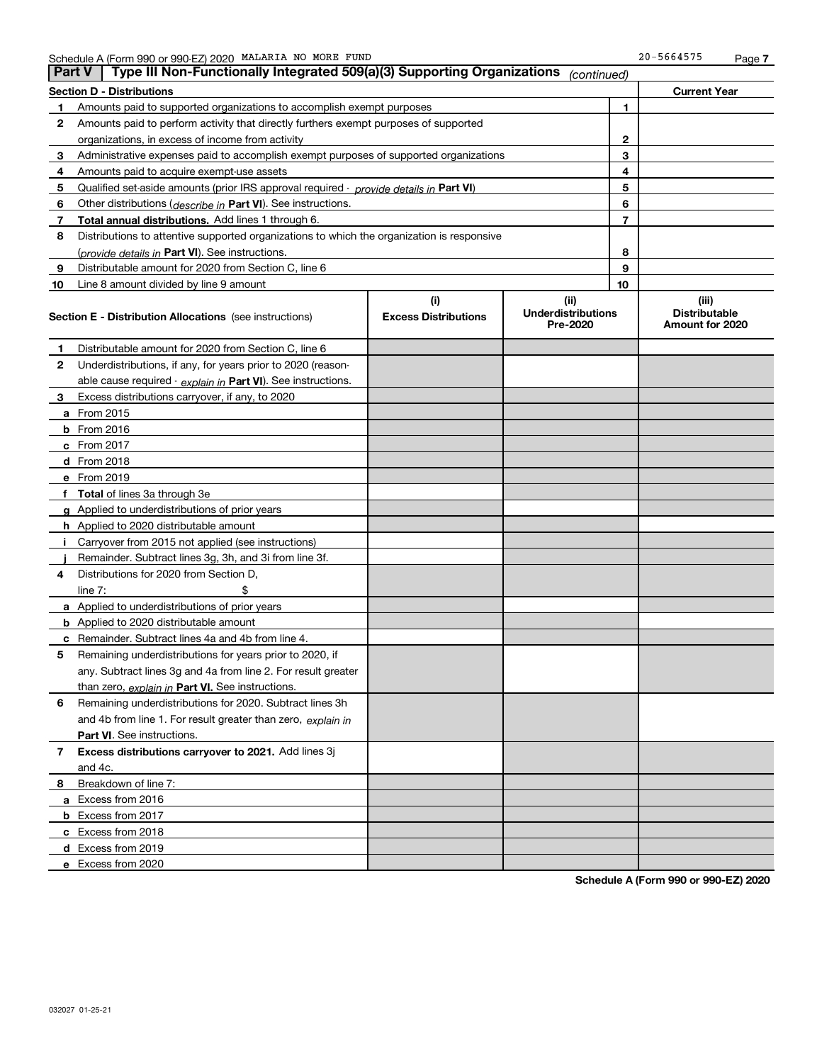| <b>Part V</b> | Type III Non-Functionally Integrated 509(a)(3) Supporting Organizations                    |                                    | (continued)                                   |    |                                                  |
|---------------|--------------------------------------------------------------------------------------------|------------------------------------|-----------------------------------------------|----|--------------------------------------------------|
|               | <b>Section D - Distributions</b>                                                           |                                    |                                               |    | <b>Current Year</b>                              |
| 1             | Amounts paid to supported organizations to accomplish exempt purposes                      |                                    | 1                                             |    |                                                  |
| 2             | Amounts paid to perform activity that directly furthers exempt purposes of supported       |                                    |                                               |    |                                                  |
|               | organizations, in excess of income from activity                                           |                                    | $\mathbf{2}$                                  |    |                                                  |
| 3             | Administrative expenses paid to accomplish exempt purposes of supported organizations      |                                    |                                               | 3  |                                                  |
| 4             | Amounts paid to acquire exempt-use assets                                                  |                                    |                                               | 4  |                                                  |
| 5             | Qualified set-aside amounts (prior IRS approval required - provide details in Part VI)     |                                    |                                               | 5  |                                                  |
| 6             | Other distributions ( <i>describe in</i> Part VI). See instructions.                       |                                    |                                               | 6  |                                                  |
| 7             | Total annual distributions. Add lines 1 through 6.                                         |                                    |                                               | 7  |                                                  |
| 8             | Distributions to attentive supported organizations to which the organization is responsive |                                    |                                               |    |                                                  |
|               | (provide details in Part VI). See instructions.                                            |                                    |                                               | 8  |                                                  |
| 9             | Distributable amount for 2020 from Section C, line 6                                       |                                    |                                               | 9  |                                                  |
| 10            | Line 8 amount divided by line 9 amount                                                     |                                    |                                               | 10 |                                                  |
|               | <b>Section E - Distribution Allocations</b> (see instructions)                             | (i)<br><b>Excess Distributions</b> | (ii)<br><b>Underdistributions</b><br>Pre-2020 |    | (iii)<br><b>Distributable</b><br>Amount for 2020 |
| 1             | Distributable amount for 2020 from Section C, line 6                                       |                                    |                                               |    |                                                  |
| 2             | Underdistributions, if any, for years prior to 2020 (reason-                               |                                    |                                               |    |                                                  |
|               | able cause required - explain in Part VI). See instructions.                               |                                    |                                               |    |                                                  |
| 3             | Excess distributions carryover, if any, to 2020                                            |                                    |                                               |    |                                                  |
|               | a From 2015                                                                                |                                    |                                               |    |                                                  |
|               | <b>b</b> From 2016                                                                         |                                    |                                               |    |                                                  |
|               | $c$ From 2017                                                                              |                                    |                                               |    |                                                  |
|               | d From 2018                                                                                |                                    |                                               |    |                                                  |
|               | e From 2019                                                                                |                                    |                                               |    |                                                  |
|               | f Total of lines 3a through 3e                                                             |                                    |                                               |    |                                                  |
|               | g Applied to underdistributions of prior years                                             |                                    |                                               |    |                                                  |
|               | <b>h</b> Applied to 2020 distributable amount                                              |                                    |                                               |    |                                                  |
|               | Carryover from 2015 not applied (see instructions)                                         |                                    |                                               |    |                                                  |
|               | Remainder. Subtract lines 3g, 3h, and 3i from line 3f.                                     |                                    |                                               |    |                                                  |
| 4             | Distributions for 2020 from Section D,                                                     |                                    |                                               |    |                                                  |
|               | line $7:$                                                                                  |                                    |                                               |    |                                                  |
|               | a Applied to underdistributions of prior years                                             |                                    |                                               |    |                                                  |
|               | <b>b</b> Applied to 2020 distributable amount                                              |                                    |                                               |    |                                                  |
|               | c Remainder. Subtract lines 4a and 4b from line 4.                                         |                                    |                                               |    |                                                  |
| 5.            | Remaining underdistributions for years prior to 2020, if                                   |                                    |                                               |    |                                                  |
|               | any. Subtract lines 3g and 4a from line 2. For result greater                              |                                    |                                               |    |                                                  |
|               | than zero, explain in Part VI. See instructions.                                           |                                    |                                               |    |                                                  |
| 6             | Remaining underdistributions for 2020. Subtract lines 3h                                   |                                    |                                               |    |                                                  |
|               | and 4b from line 1. For result greater than zero, explain in                               |                                    |                                               |    |                                                  |
|               | Part VI. See instructions.                                                                 |                                    |                                               |    |                                                  |
| 7             | Excess distributions carryover to 2021. Add lines 3j                                       |                                    |                                               |    |                                                  |
|               | and 4c.                                                                                    |                                    |                                               |    |                                                  |
| 8             | Breakdown of line 7:                                                                       |                                    |                                               |    |                                                  |
|               | a Excess from 2016                                                                         |                                    |                                               |    |                                                  |
|               | <b>b</b> Excess from 2017                                                                  |                                    |                                               |    |                                                  |
|               | c Excess from 2018                                                                         |                                    |                                               |    |                                                  |
|               | d Excess from 2019                                                                         |                                    |                                               |    |                                                  |
|               | e Excess from 2020                                                                         |                                    |                                               |    |                                                  |

**Schedule A (Form 990 or 990-EZ) 2020**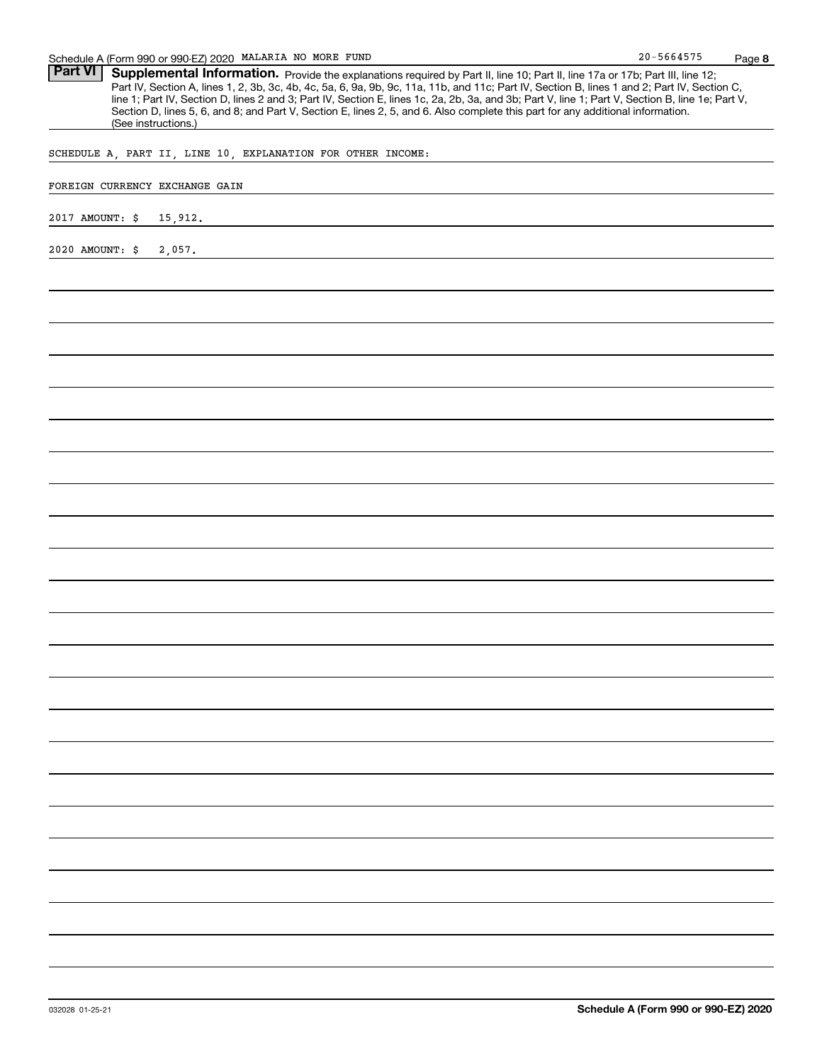Part VI | Supplemental Information. Provide the explanations required by Part II, line 10; Part II, line 17a or 17b; Part III, line 12; Part IV, Section A, lines 1, 2, 3b, 3c, 4b, 4c, 5a, 6, 9a, 9b, 9c, 11a, 11b, and 11c; Part IV, Section B, lines 1 and 2; Part IV, Section C, line 1; Part IV, Section D, lines 2 and 3; Part IV, Section E, lines 1c, 2a, 2b, 3a, and 3b; Part V, line 1; Part V, Section B, line 1e; Part V, Section D, lines 5, 6, and 8; and Part V, Section E, lines 2, 5, and 6. Also complete this part for any additional information. (See instructions.)

SCHEDULE A, PART II, LINE 10, EXPLANATION FOR OTHER INCOME:

### FOREIGN CURRENCY EXCHANGE GAIN

2017 AMOUNT: \$ 15,912.

2020 AMOUNT: \$ 2,057.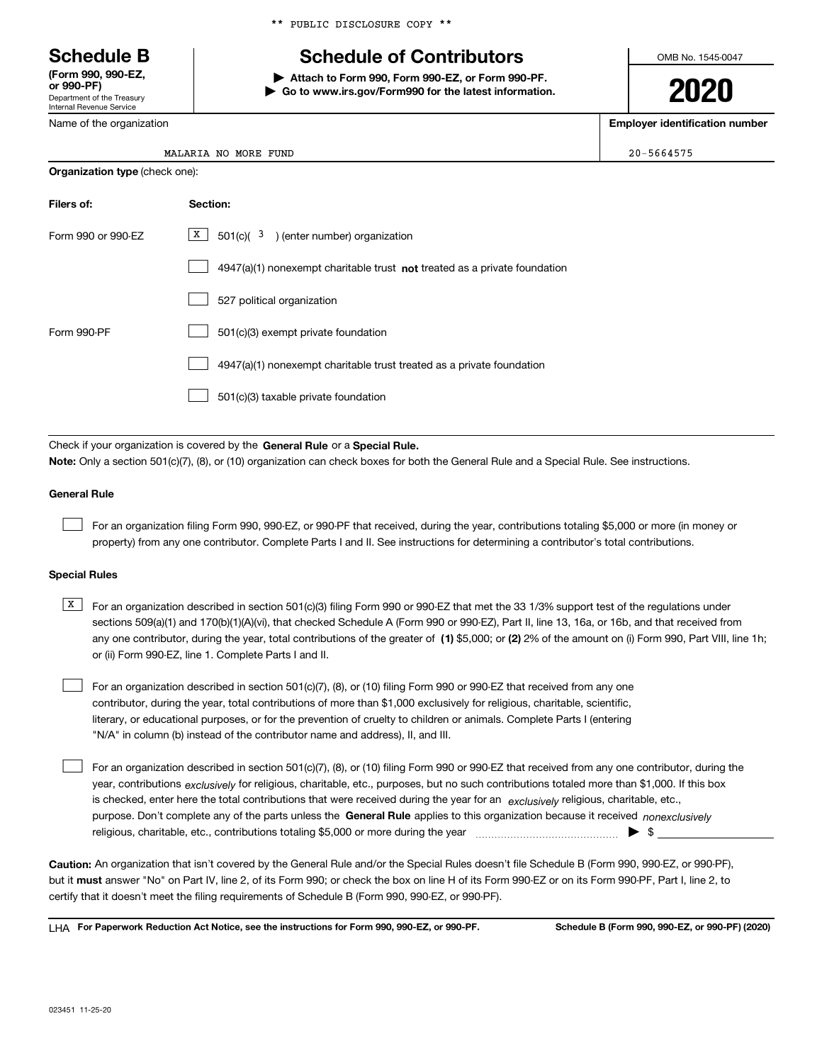Department of the Treasury Internal Revenue Service **(Form 990, 990-EZ, or 990-PF)**

Name of the organization

|  |  | ** PUBLIC DISCLOSURE COPY ** |  |  |
|--|--|------------------------------|--|--|
|--|--|------------------------------|--|--|

### **Schedule B Schedule of Contributors**

**| Attach to Form 990, Form 990-EZ, or Form 990-PF. | Go to www.irs.gov/Form990 for the latest information.** OMB No. 1545-0047

**2020**

**Employer identification number**

 $20 - 5664575$ 

| MALARIA NO MORE FUND |  |  |
|----------------------|--|--|
|                      |  |  |

| <b>Organization type (check one):</b> |                                                                             |  |  |  |
|---------------------------------------|-----------------------------------------------------------------------------|--|--|--|
| Filers of:                            | Section:                                                                    |  |  |  |
| Form 990 or 990-EZ                    | X  <br>$501(c)$ ( $3$ ) (enter number) organization                         |  |  |  |
|                                       | $4947(a)(1)$ nonexempt charitable trust not treated as a private foundation |  |  |  |
|                                       | 527 political organization                                                  |  |  |  |
| Form 990-PF                           | 501(c)(3) exempt private foundation                                         |  |  |  |
|                                       | 4947(a)(1) nonexempt charitable trust treated as a private foundation       |  |  |  |
|                                       | 501(c)(3) taxable private foundation                                        |  |  |  |
|                                       |                                                                             |  |  |  |

Check if your organization is covered by the **General Rule** or a **Special Rule. Note:**  Only a section 501(c)(7), (8), or (10) organization can check boxes for both the General Rule and a Special Rule. See instructions.

### **General Rule**

 $\mathcal{L}^{\text{max}}$ 

For an organization filing Form 990, 990-EZ, or 990-PF that received, during the year, contributions totaling \$5,000 or more (in money or property) from any one contributor. Complete Parts I and II. See instructions for determining a contributor's total contributions.

### **Special Rules**

any one contributor, during the year, total contributions of the greater of  $\,$  (1) \$5,000; or **(2)** 2% of the amount on (i) Form 990, Part VIII, line 1h;  $\overline{X}$  For an organization described in section 501(c)(3) filing Form 990 or 990-EZ that met the 33 1/3% support test of the regulations under sections 509(a)(1) and 170(b)(1)(A)(vi), that checked Schedule A (Form 990 or 990-EZ), Part II, line 13, 16a, or 16b, and that received from or (ii) Form 990-EZ, line 1. Complete Parts I and II.

For an organization described in section 501(c)(7), (8), or (10) filing Form 990 or 990-EZ that received from any one contributor, during the year, total contributions of more than \$1,000 exclusively for religious, charitable, scientific, literary, or educational purposes, or for the prevention of cruelty to children or animals. Complete Parts I (entering "N/A" in column (b) instead of the contributor name and address), II, and III.  $\mathcal{L}^{\text{max}}$ 

purpose. Don't complete any of the parts unless the **General Rule** applies to this organization because it received *nonexclusively* year, contributions <sub>exclusively</sub> for religious, charitable, etc., purposes, but no such contributions totaled more than \$1,000. If this box is checked, enter here the total contributions that were received during the year for an  $\;$ exclusively religious, charitable, etc., For an organization described in section 501(c)(7), (8), or (10) filing Form 990 or 990-EZ that received from any one contributor, during the religious, charitable, etc., contributions totaling \$5,000 or more during the year  $\Box$ — $\Box$   $\Box$   $\Box$  $\mathcal{L}^{\text{max}}$ 

**Caution:**  An organization that isn't covered by the General Rule and/or the Special Rules doesn't file Schedule B (Form 990, 990-EZ, or 990-PF),  **must** but it answer "No" on Part IV, line 2, of its Form 990; or check the box on line H of its Form 990-EZ or on its Form 990-PF, Part I, line 2, to certify that it doesn't meet the filing requirements of Schedule B (Form 990, 990-EZ, or 990-PF).

**For Paperwork Reduction Act Notice, see the instructions for Form 990, 990-EZ, or 990-PF. Schedule B (Form 990, 990-EZ, or 990-PF) (2020)** LHA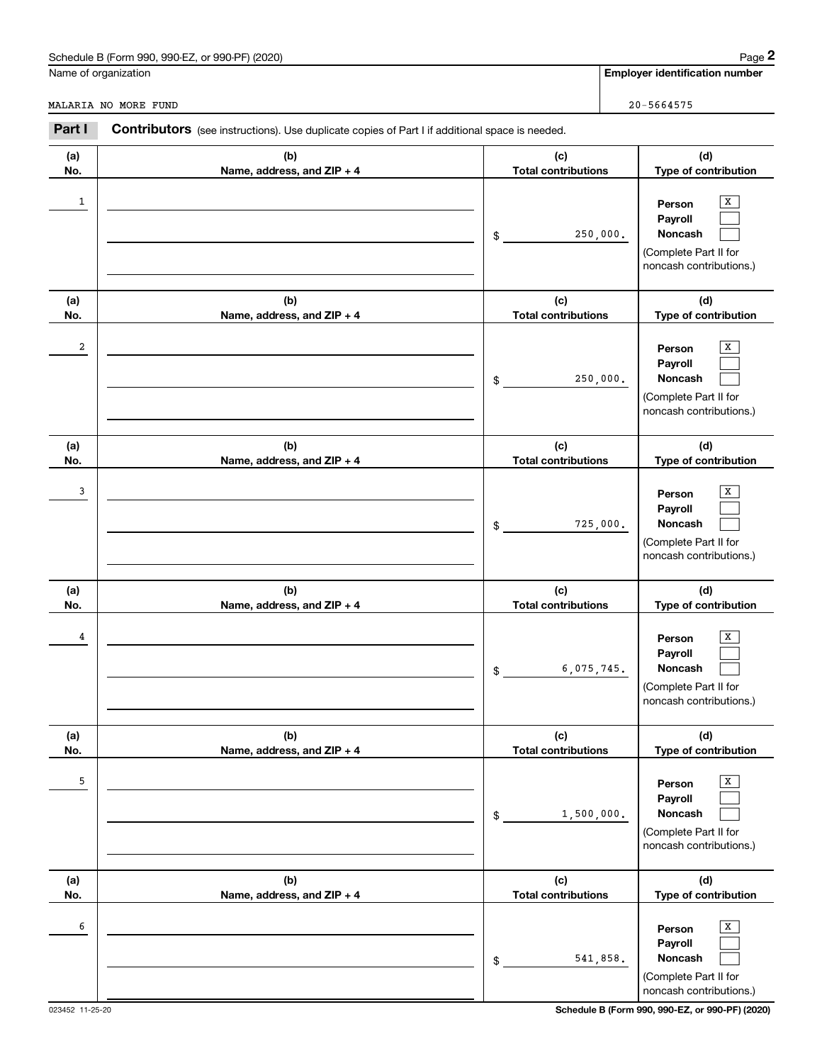### Schedule B (Form 990, 990-EZ, or 990-PF) (2020) **Page 2** Page 2 and the state of the state of the state of the state of the state of the state of the state of the state of the state of the state of the state of the state o

Name of organization

MALARIA NO MORE FUND 20-5664575

#### **(a)No.(b)Name, address, and ZIP + 4 (c)Total contributions (d)Type of contribution PersonPayrollNoncash (a)No.(b)Name, address, and ZIP + 4 (c)Total contributions (d)Type of contribution PersonPayrollNoncash (a)No.(b)Name, address, and ZIP + 4 (c)Total contributions (d)Type of contribution PersonPayrollNoncash (a) No.(b) Name, address, and ZIP + 4 (c) Total contributions (d) Type of contribution PersonPayrollNoncash(a) No.(b) Name, address, and ZIP + 4 (c) Total contributions (d) Type of contribution PersonPayrollNoncash (a) No.(b)Name, address, and ZIP + 4 (c) Total contributions (d) Type of contribution PersonPayrollNoncash Contributors** (see instructions). Use duplicate copies of Part I if additional space is needed. \$(Complete Part II for noncash contributions.) \$(Complete Part II for noncash contributions.) \$(Complete Part II for noncash contributions.) \$(Complete Part II for noncash contributions.) \$(Complete Part II for noncash contributions.) \$(Complete Part II for **2016 Chedule B (Form 990, 990-EZ, or 990-PF) (2020)**<br> **2016 Contributors** (see instructions). Use duplicate copies of Part I if additional space is needed.<br> **201664575**<br> **201664575**  $\boxed{\text{X}}$  $\mathcal{L}^{\text{max}}$  $\mathcal{L}^{\text{max}}$  $\overline{X}$  $\mathcal{L}^{\text{max}}$  $\mathcal{L}^{\text{max}}$  $\boxed{\text{X}}$  $\mathcal{L}^{\text{max}}$  $\mathcal{L}^{\text{max}}$  $\boxed{\text{X}}$  $\mathcal{L}^{\text{max}}$  $\mathcal{L}^{\text{max}}$  $\boxed{\text{X}}$  $\mathcal{L}^{\text{max}}$  $\mathcal{L}^{\text{max}}$  $\boxed{\text{X}}$  $\mathcal{L}^{\text{max}}$  $\mathcal{L}^{\text{max}}$ 1<u>1</u> Person X 250,000. 22 | Person X 250,000. 3and the contract of the contract of the contract of the contract of the contract of the contract of the contract of the contract of the contract of the contract of the contract of the contract of the contract of the contra 725,000. 4<u>die verschieden in der staat de staat de verschieden in de verschieden in de verschieden in de verschieden in de verschieden in de verschieden in de verschieden in de verschieden in de verschieden in de verschieden in de </u> 6,075,745. 5 X 1,500,000. 6<u>secondary and the secondary secondary and the secondary secondary secondary secondary secondary secondary second</u> 541,858.

023452 11-25-20 **Schedule B (Form 990, 990-EZ, or 990-PF) (2020)**

noncash contributions.)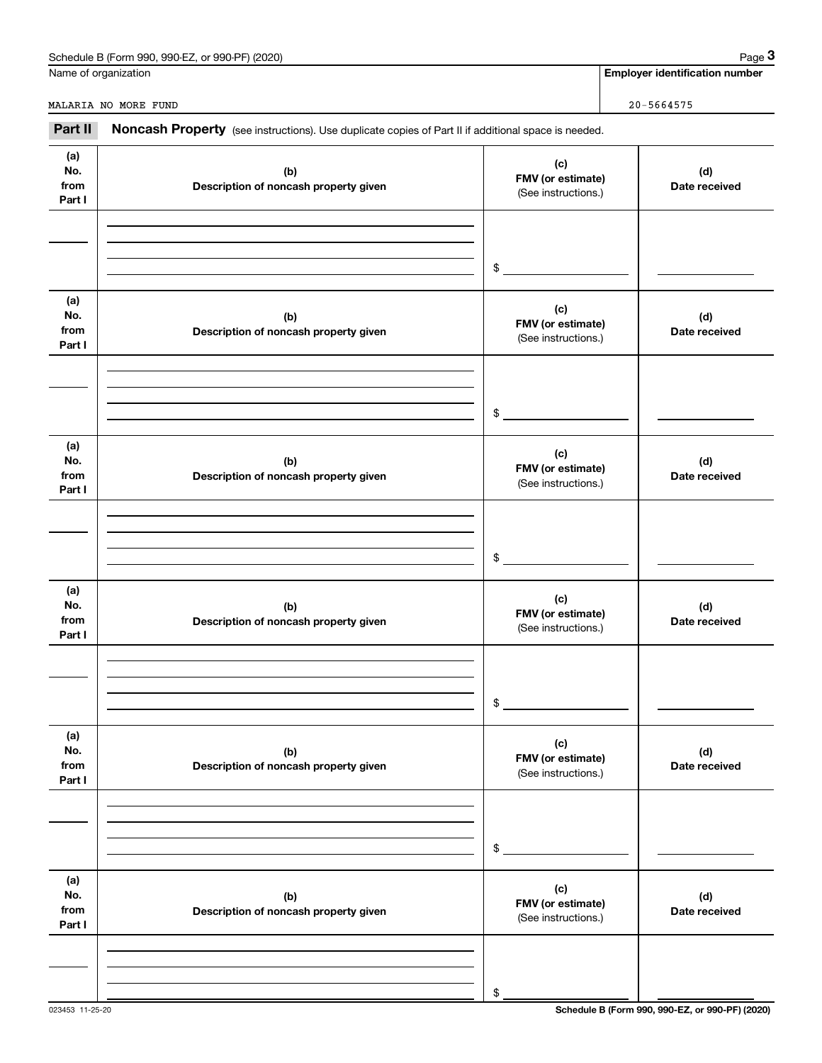| or 990-PF) (2020)<br>990-EZ<br>Schedule B (Form 990, | Page |
|------------------------------------------------------|------|
|                                                      |      |

|                              | Schedule B (Form 990, 990-EZ, or 990-PF) (2020)                                                     |                                                 | Page 3                                |
|------------------------------|-----------------------------------------------------------------------------------------------------|-------------------------------------------------|---------------------------------------|
|                              | Name of organization                                                                                |                                                 | <b>Employer identification number</b> |
|                              | MALARIA NO MORE FUND                                                                                |                                                 | $20 - 5664575$                        |
| Part II                      | Noncash Property (see instructions). Use duplicate copies of Part II if additional space is needed. |                                                 |                                       |
| (a)<br>No.<br>from<br>Part I | (b)<br>Description of noncash property given                                                        | (c)<br>FMV (or estimate)<br>(See instructions.) | (d)<br>Date received                  |
|                              |                                                                                                     | \$                                              |                                       |
| (a)<br>No.<br>from<br>Part I | (b)<br>Description of noncash property given                                                        | (c)<br>FMV (or estimate)<br>(See instructions.) | (d)<br>Date received                  |
|                              |                                                                                                     | \$                                              |                                       |
| (a)<br>No.<br>from<br>Part I | (b)<br>Description of noncash property given                                                        | (c)<br>FMV (or estimate)<br>(See instructions.) | (d)<br>Date received                  |
|                              |                                                                                                     | \$                                              |                                       |
| (a)<br>No.<br>from<br>Part I | (b)<br>Description of noncash property given                                                        | (c)<br>FMV (or estimate)<br>(See instructions.) | (d)<br>Date received                  |
|                              |                                                                                                     | \$                                              |                                       |
| (a)<br>No.<br>from<br>Part I | (b)<br>Description of noncash property given                                                        | (c)<br>FMV (or estimate)<br>(See instructions.) | (d)<br>Date received                  |
|                              |                                                                                                     | \$                                              |                                       |
| (a)<br>No.<br>from<br>Part I | (b)<br>Description of noncash property given                                                        | (c)<br>FMV (or estimate)<br>(See instructions.) | (d)<br>Date received                  |
|                              |                                                                                                     |                                                 |                                       |

023453 11-25-20 **Schedule B (Form 990, 990-EZ, or 990-PF) (2020)**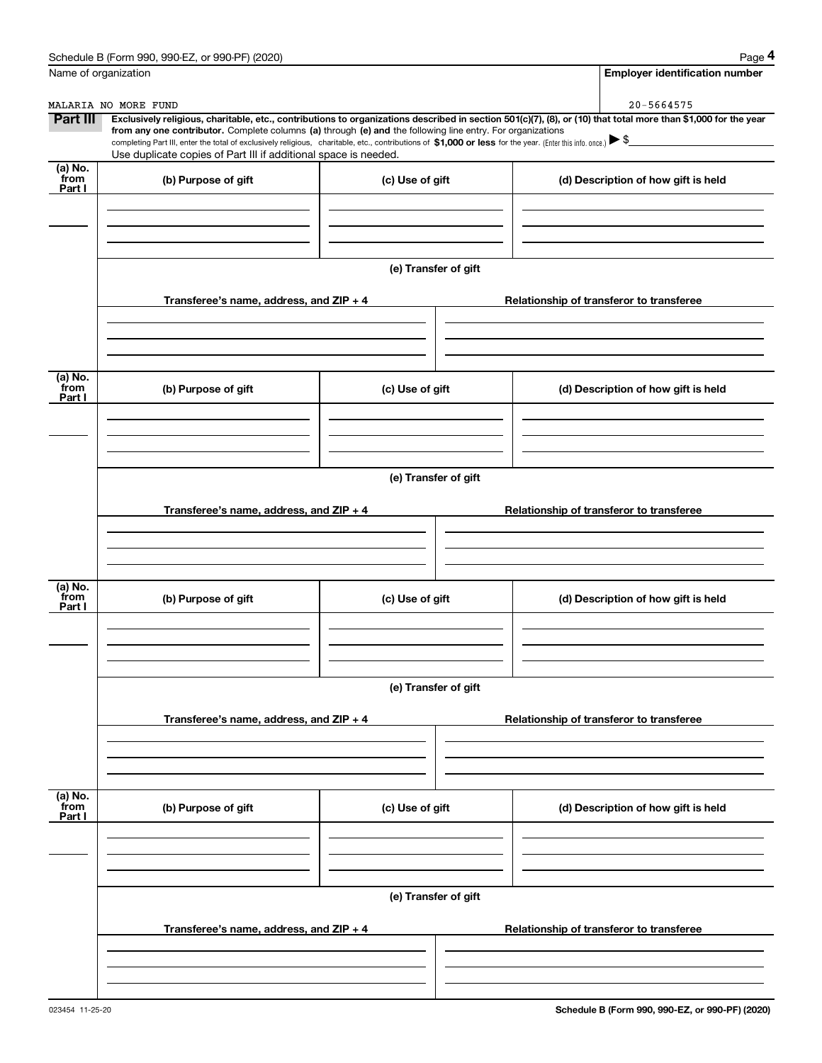|                 | Schedule B (Form 990, 990-EZ, or 990-PF) (2020)                                                                                                                                                                                 |                      | Page 4                                                                                                                                                         |  |  |  |  |  |
|-----------------|---------------------------------------------------------------------------------------------------------------------------------------------------------------------------------------------------------------------------------|----------------------|----------------------------------------------------------------------------------------------------------------------------------------------------------------|--|--|--|--|--|
|                 | Name of organization                                                                                                                                                                                                            |                      | <b>Employer identification number</b>                                                                                                                          |  |  |  |  |  |
|                 | MALARIA NO MORE FUND                                                                                                                                                                                                            |                      | 20-5664575                                                                                                                                                     |  |  |  |  |  |
| <b>Part III</b> | from any one contributor. Complete columns (a) through (e) and the following line entry. For organizations                                                                                                                      |                      | Exclusively religious, charitable, etc., contributions to organizations described in section 501(c)(7), (8), or (10) that total more than \$1,000 for the year |  |  |  |  |  |
|                 | completing Part III, enter the total of exclusively religious, charitable, etc., contributions of \$1,000 or less for the year. (Enter this info. once.) \\$<br>Use duplicate copies of Part III if additional space is needed. |                      |                                                                                                                                                                |  |  |  |  |  |
| (a) No.<br>from |                                                                                                                                                                                                                                 |                      |                                                                                                                                                                |  |  |  |  |  |
| Part I          | (b) Purpose of gift                                                                                                                                                                                                             | (c) Use of gift      | (d) Description of how gift is held                                                                                                                            |  |  |  |  |  |
|                 |                                                                                                                                                                                                                                 |                      |                                                                                                                                                                |  |  |  |  |  |
|                 |                                                                                                                                                                                                                                 |                      |                                                                                                                                                                |  |  |  |  |  |
|                 |                                                                                                                                                                                                                                 |                      |                                                                                                                                                                |  |  |  |  |  |
|                 |                                                                                                                                                                                                                                 | (e) Transfer of gift |                                                                                                                                                                |  |  |  |  |  |
|                 | Transferee's name, address, and ZIP + 4                                                                                                                                                                                         |                      | Relationship of transferor to transferee                                                                                                                       |  |  |  |  |  |
|                 |                                                                                                                                                                                                                                 |                      |                                                                                                                                                                |  |  |  |  |  |
|                 |                                                                                                                                                                                                                                 |                      |                                                                                                                                                                |  |  |  |  |  |
|                 |                                                                                                                                                                                                                                 |                      |                                                                                                                                                                |  |  |  |  |  |
| (a) No.<br>from | (b) Purpose of gift                                                                                                                                                                                                             | (c) Use of gift      | (d) Description of how gift is held                                                                                                                            |  |  |  |  |  |
| Part I          |                                                                                                                                                                                                                                 |                      |                                                                                                                                                                |  |  |  |  |  |
|                 |                                                                                                                                                                                                                                 |                      |                                                                                                                                                                |  |  |  |  |  |
|                 |                                                                                                                                                                                                                                 |                      |                                                                                                                                                                |  |  |  |  |  |
|                 | (e) Transfer of gift                                                                                                                                                                                                            |                      |                                                                                                                                                                |  |  |  |  |  |
|                 |                                                                                                                                                                                                                                 |                      |                                                                                                                                                                |  |  |  |  |  |
|                 | Transferee's name, address, and ZIP + 4                                                                                                                                                                                         |                      | Relationship of transferor to transferee                                                                                                                       |  |  |  |  |  |
|                 |                                                                                                                                                                                                                                 |                      |                                                                                                                                                                |  |  |  |  |  |
|                 |                                                                                                                                                                                                                                 |                      |                                                                                                                                                                |  |  |  |  |  |
| (a) No.         |                                                                                                                                                                                                                                 |                      |                                                                                                                                                                |  |  |  |  |  |
| from<br>Part I  | (b) Purpose of gift                                                                                                                                                                                                             | (c) Use of gift      | (d) Description of how gift is held                                                                                                                            |  |  |  |  |  |
|                 |                                                                                                                                                                                                                                 |                      |                                                                                                                                                                |  |  |  |  |  |
|                 |                                                                                                                                                                                                                                 |                      |                                                                                                                                                                |  |  |  |  |  |
|                 |                                                                                                                                                                                                                                 |                      |                                                                                                                                                                |  |  |  |  |  |
|                 |                                                                                                                                                                                                                                 | (e) Transfer of gift |                                                                                                                                                                |  |  |  |  |  |
|                 | Transferee's name, address, and ZIP + 4                                                                                                                                                                                         |                      | Relationship of transferor to transferee                                                                                                                       |  |  |  |  |  |
|                 |                                                                                                                                                                                                                                 |                      |                                                                                                                                                                |  |  |  |  |  |
|                 |                                                                                                                                                                                                                                 |                      |                                                                                                                                                                |  |  |  |  |  |
|                 |                                                                                                                                                                                                                                 |                      |                                                                                                                                                                |  |  |  |  |  |
| (a) No.<br>from | (b) Purpose of gift                                                                                                                                                                                                             | (c) Use of gift      | (d) Description of how gift is held                                                                                                                            |  |  |  |  |  |
| Part I          |                                                                                                                                                                                                                                 |                      |                                                                                                                                                                |  |  |  |  |  |
|                 |                                                                                                                                                                                                                                 |                      |                                                                                                                                                                |  |  |  |  |  |
|                 |                                                                                                                                                                                                                                 |                      |                                                                                                                                                                |  |  |  |  |  |
|                 |                                                                                                                                                                                                                                 | (e) Transfer of gift |                                                                                                                                                                |  |  |  |  |  |
|                 |                                                                                                                                                                                                                                 |                      |                                                                                                                                                                |  |  |  |  |  |
|                 | Transferee's name, address, and ZIP + 4                                                                                                                                                                                         |                      | Relationship of transferor to transferee                                                                                                                       |  |  |  |  |  |
|                 |                                                                                                                                                                                                                                 |                      |                                                                                                                                                                |  |  |  |  |  |
|                 |                                                                                                                                                                                                                                 |                      |                                                                                                                                                                |  |  |  |  |  |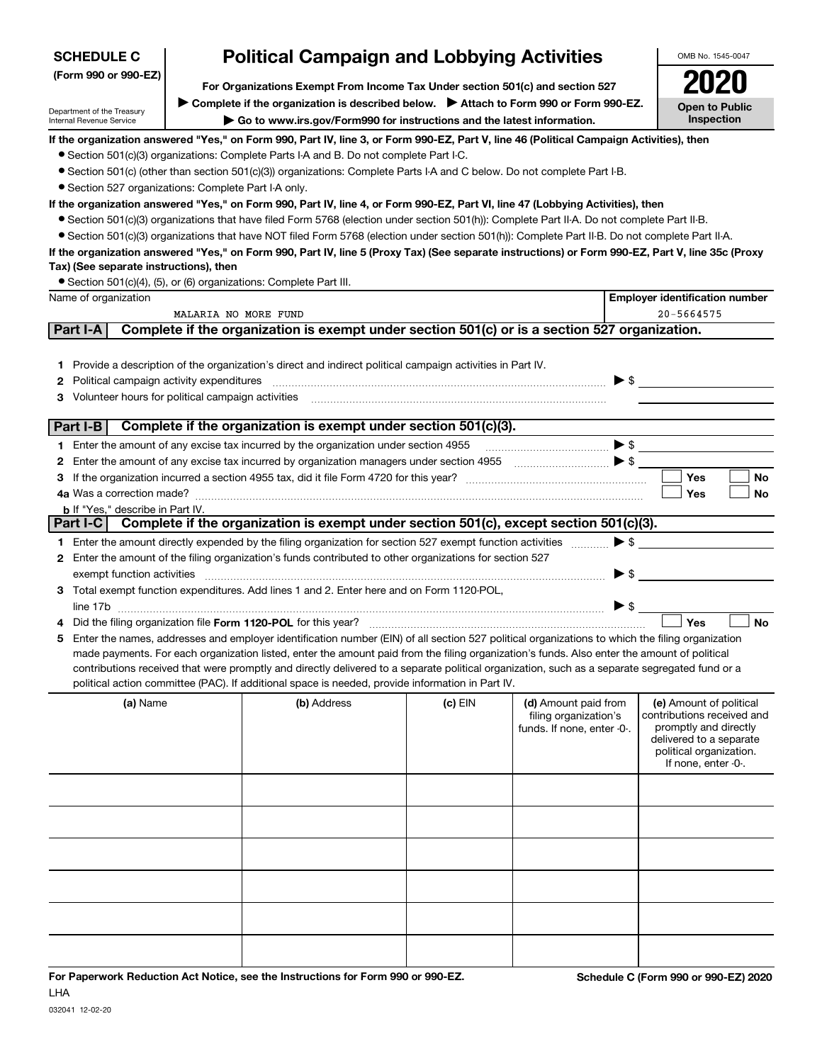| <b>SCHEDULE C</b>                                                                                                                                                                                                           | <b>Political Campaign and Lobbying Activities</b>                                                                                                                                                                                                                                                                                                                                                                                                                                                                                                                          |                                                                                                                                                                                                                                                                                                                                                                                                                                                                                                                                                                                                                                                                                                                                                                                                                                                                                                                                                       |         |                                                                             |                                     | OMB No. 1545-0047                                                                                                                                           |  |  |
|-----------------------------------------------------------------------------------------------------------------------------------------------------------------------------------------------------------------------------|----------------------------------------------------------------------------------------------------------------------------------------------------------------------------------------------------------------------------------------------------------------------------------------------------------------------------------------------------------------------------------------------------------------------------------------------------------------------------------------------------------------------------------------------------------------------------|-------------------------------------------------------------------------------------------------------------------------------------------------------------------------------------------------------------------------------------------------------------------------------------------------------------------------------------------------------------------------------------------------------------------------------------------------------------------------------------------------------------------------------------------------------------------------------------------------------------------------------------------------------------------------------------------------------------------------------------------------------------------------------------------------------------------------------------------------------------------------------------------------------------------------------------------------------|---------|-----------------------------------------------------------------------------|-------------------------------------|-------------------------------------------------------------------------------------------------------------------------------------------------------------|--|--|
| (Form 990 or 990-EZ)                                                                                                                                                                                                        | For Organizations Exempt From Income Tax Under section 501(c) and section 527                                                                                                                                                                                                                                                                                                                                                                                                                                                                                              |                                                                                                                                                                                                                                                                                                                                                                                                                                                                                                                                                                                                                                                                                                                                                                                                                                                                                                                                                       |         |                                                                             |                                     |                                                                                                                                                             |  |  |
| ▶ Complete if the organization is described below. ▶ Attach to Form 990 or Form 990-EZ.<br>Department of the Treasury<br>Go to www.irs.gov/Form990 for instructions and the latest information.<br>Internal Revenue Service |                                                                                                                                                                                                                                                                                                                                                                                                                                                                                                                                                                            |                                                                                                                                                                                                                                                                                                                                                                                                                                                                                                                                                                                                                                                                                                                                                                                                                                                                                                                                                       |         |                                                                             | <b>Open to Public</b><br>Inspection |                                                                                                                                                             |  |  |
| • Section 527 organizations: Complete Part I-A only.<br>Tax) (See separate instructions), then                                                                                                                              |                                                                                                                                                                                                                                                                                                                                                                                                                                                                                                                                                                            | If the organization answered "Yes," on Form 990, Part IV, line 3, or Form 990-EZ, Part V, line 46 (Political Campaign Activities), then<br>• Section 501(c)(3) organizations: Complete Parts I-A and B. Do not complete Part I-C.<br>• Section 501(c) (other than section 501(c)(3)) organizations: Complete Parts I-A and C below. Do not complete Part I-B.<br>If the organization answered "Yes," on Form 990, Part IV, line 4, or Form 990-EZ, Part VI, line 47 (Lobbying Activities), then<br>• Section 501(c)(3) organizations that have filed Form 5768 (election under section 501(h)): Complete Part II-A. Do not complete Part II-B.<br>• Section 501(c)(3) organizations that have NOT filed Form 5768 (election under section 501(h)): Complete Part II-B. Do not complete Part II-A.<br>If the organization answered "Yes," on Form 990, Part IV, line 5 (Proxy Tax) (See separate instructions) or Form 990-EZ, Part V, line 35c (Proxy |         |                                                                             |                                     |                                                                                                                                                             |  |  |
|                                                                                                                                                                                                                             |                                                                                                                                                                                                                                                                                                                                                                                                                                                                                                                                                                            | • Section 501(c)(4), (5), or (6) organizations: Complete Part III.                                                                                                                                                                                                                                                                                                                                                                                                                                                                                                                                                                                                                                                                                                                                                                                                                                                                                    |         |                                                                             |                                     |                                                                                                                                                             |  |  |
| Name of organization                                                                                                                                                                                                        |                                                                                                                                                                                                                                                                                                                                                                                                                                                                                                                                                                            |                                                                                                                                                                                                                                                                                                                                                                                                                                                                                                                                                                                                                                                                                                                                                                                                                                                                                                                                                       |         |                                                                             |                                     | <b>Employer identification number</b>                                                                                                                       |  |  |
|                                                                                                                                                                                                                             | MALARIA NO MORE FUND                                                                                                                                                                                                                                                                                                                                                                                                                                                                                                                                                       |                                                                                                                                                                                                                                                                                                                                                                                                                                                                                                                                                                                                                                                                                                                                                                                                                                                                                                                                                       |         |                                                                             |                                     | 20-5664575                                                                                                                                                  |  |  |
| Part I-A                                                                                                                                                                                                                    |                                                                                                                                                                                                                                                                                                                                                                                                                                                                                                                                                                            | Complete if the organization is exempt under section 501(c) or is a section 527 organization.                                                                                                                                                                                                                                                                                                                                                                                                                                                                                                                                                                                                                                                                                                                                                                                                                                                         |         |                                                                             |                                     |                                                                                                                                                             |  |  |
| Political campaign activity expenditures<br>2<br>Volunteer hours for political campaign activities<br>3                                                                                                                     |                                                                                                                                                                                                                                                                                                                                                                                                                                                                                                                                                                            | 1 Provide a description of the organization's direct and indirect political campaign activities in Part IV.                                                                                                                                                                                                                                                                                                                                                                                                                                                                                                                                                                                                                                                                                                                                                                                                                                           |         |                                                                             |                                     | $\blacktriangleright$ \$                                                                                                                                    |  |  |
| Part I-B                                                                                                                                                                                                                    |                                                                                                                                                                                                                                                                                                                                                                                                                                                                                                                                                                            | Complete if the organization is exempt under section 501(c)(3).                                                                                                                                                                                                                                                                                                                                                                                                                                                                                                                                                                                                                                                                                                                                                                                                                                                                                       |         |                                                                             |                                     |                                                                                                                                                             |  |  |
|                                                                                                                                                                                                                             |                                                                                                                                                                                                                                                                                                                                                                                                                                                                                                                                                                            | 1 Enter the amount of any excise tax incurred by the organization under section 4955                                                                                                                                                                                                                                                                                                                                                                                                                                                                                                                                                                                                                                                                                                                                                                                                                                                                  |         | $\ldots$ $\bullet$                                                          |                                     |                                                                                                                                                             |  |  |
|                                                                                                                                                                                                                             |                                                                                                                                                                                                                                                                                                                                                                                                                                                                                                                                                                            | 2 Enter the amount of any excise tax incurred by organization managers under section 4955                                                                                                                                                                                                                                                                                                                                                                                                                                                                                                                                                                                                                                                                                                                                                                                                                                                             |         | $\bullet$ $\bullet$ $\bullet$ $\bullet$ $\bullet$                           |                                     |                                                                                                                                                             |  |  |
|                                                                                                                                                                                                                             |                                                                                                                                                                                                                                                                                                                                                                                                                                                                                                                                                                            |                                                                                                                                                                                                                                                                                                                                                                                                                                                                                                                                                                                                                                                                                                                                                                                                                                                                                                                                                       |         |                                                                             |                                     | <b>Yes</b><br><b>No</b>                                                                                                                                     |  |  |
|                                                                                                                                                                                                                             |                                                                                                                                                                                                                                                                                                                                                                                                                                                                                                                                                                            |                                                                                                                                                                                                                                                                                                                                                                                                                                                                                                                                                                                                                                                                                                                                                                                                                                                                                                                                                       |         |                                                                             |                                     | Yes<br>No                                                                                                                                                   |  |  |
| <b>b</b> If "Yes," describe in Part IV.                                                                                                                                                                                     |                                                                                                                                                                                                                                                                                                                                                                                                                                                                                                                                                                            |                                                                                                                                                                                                                                                                                                                                                                                                                                                                                                                                                                                                                                                                                                                                                                                                                                                                                                                                                       |         |                                                                             |                                     |                                                                                                                                                             |  |  |
|                                                                                                                                                                                                                             |                                                                                                                                                                                                                                                                                                                                                                                                                                                                                                                                                                            | Part I-C Complete if the organization is exempt under section 501(c), except section 501(c)(3).                                                                                                                                                                                                                                                                                                                                                                                                                                                                                                                                                                                                                                                                                                                                                                                                                                                       |         |                                                                             |                                     |                                                                                                                                                             |  |  |
|                                                                                                                                                                                                                             |                                                                                                                                                                                                                                                                                                                                                                                                                                                                                                                                                                            | 1 Enter the amount directly expended by the filing organization for section 527 exempt function activities                                                                                                                                                                                                                                                                                                                                                                                                                                                                                                                                                                                                                                                                                                                                                                                                                                            |         |                                                                             |                                     | $\blacktriangleright$ \$                                                                                                                                    |  |  |
| exempt function activities                                                                                                                                                                                                  |                                                                                                                                                                                                                                                                                                                                                                                                                                                                                                                                                                            | 2 Enter the amount of the filing organization's funds contributed to other organizations for section 527                                                                                                                                                                                                                                                                                                                                                                                                                                                                                                                                                                                                                                                                                                                                                                                                                                              |         |                                                                             | $\blacktriangleright$ \$            |                                                                                                                                                             |  |  |
|                                                                                                                                                                                                                             |                                                                                                                                                                                                                                                                                                                                                                                                                                                                                                                                                                            | 3 Total exempt function expenditures. Add lines 1 and 2. Enter here and on Form 1120-POL,                                                                                                                                                                                                                                                                                                                                                                                                                                                                                                                                                                                                                                                                                                                                                                                                                                                             |         |                                                                             | $\triangleright$ s                  |                                                                                                                                                             |  |  |
|                                                                                                                                                                                                                             | <b>No</b><br>Yes<br>5 Enter the names, addresses and employer identification number (EIN) of all section 527 political organizations to which the filing organization<br>made payments. For each organization listed, enter the amount paid from the filing organization's funds. Also enter the amount of political<br>contributions received that were promptly and directly delivered to a separate political organization, such as a separate segregated fund or a<br>political action committee (PAC). If additional space is needed, provide information in Part IV. |                                                                                                                                                                                                                                                                                                                                                                                                                                                                                                                                                                                                                                                                                                                                                                                                                                                                                                                                                       |         |                                                                             |                                     |                                                                                                                                                             |  |  |
| (a) Name                                                                                                                                                                                                                    |                                                                                                                                                                                                                                                                                                                                                                                                                                                                                                                                                                            | (b) Address                                                                                                                                                                                                                                                                                                                                                                                                                                                                                                                                                                                                                                                                                                                                                                                                                                                                                                                                           | (c) EIN | (d) Amount paid from<br>filing organization's<br>funds. If none, enter -0-. |                                     | (e) Amount of political<br>contributions received and<br>promptly and directly<br>delivered to a separate<br>political organization.<br>If none, enter -0-. |  |  |
|                                                                                                                                                                                                                             |                                                                                                                                                                                                                                                                                                                                                                                                                                                                                                                                                                            |                                                                                                                                                                                                                                                                                                                                                                                                                                                                                                                                                                                                                                                                                                                                                                                                                                                                                                                                                       |         |                                                                             |                                     |                                                                                                                                                             |  |  |
|                                                                                                                                                                                                                             |                                                                                                                                                                                                                                                                                                                                                                                                                                                                                                                                                                            |                                                                                                                                                                                                                                                                                                                                                                                                                                                                                                                                                                                                                                                                                                                                                                                                                                                                                                                                                       |         |                                                                             |                                     |                                                                                                                                                             |  |  |
|                                                                                                                                                                                                                             |                                                                                                                                                                                                                                                                                                                                                                                                                                                                                                                                                                            |                                                                                                                                                                                                                                                                                                                                                                                                                                                                                                                                                                                                                                                                                                                                                                                                                                                                                                                                                       |         |                                                                             |                                     |                                                                                                                                                             |  |  |
|                                                                                                                                                                                                                             |                                                                                                                                                                                                                                                                                                                                                                                                                                                                                                                                                                            |                                                                                                                                                                                                                                                                                                                                                                                                                                                                                                                                                                                                                                                                                                                                                                                                                                                                                                                                                       |         |                                                                             |                                     |                                                                                                                                                             |  |  |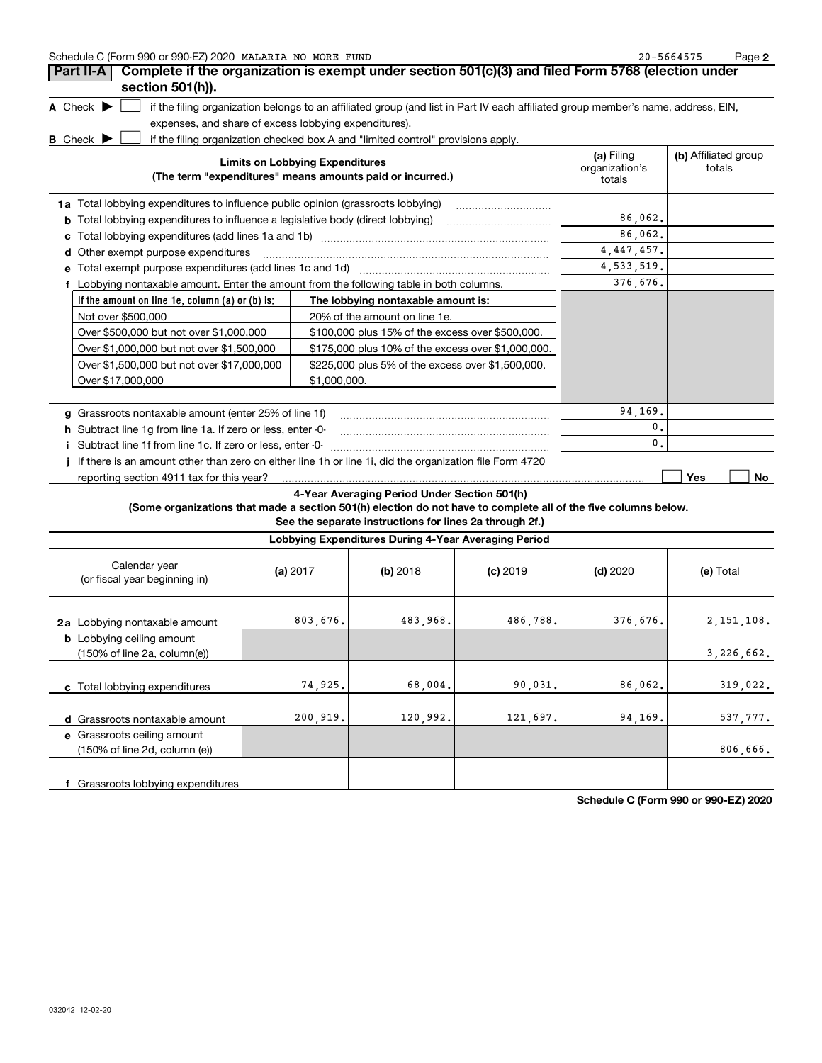| Schedule C (Form 990 or 990-EZ) 2020 MALARIA NO MORE FUND | $20 - 5664575$ | Page |
|-----------------------------------------------------------|----------------|------|
|-----------------------------------------------------------|----------------|------|

| Part II-A                                                                                | Complete if the organization is exempt under section 501(c)(3) and filed Form 5768 (election under                                |                                        |                                |
|------------------------------------------------------------------------------------------|-----------------------------------------------------------------------------------------------------------------------------------|----------------------------------------|--------------------------------|
| section 501(h)).                                                                         |                                                                                                                                   |                                        |                                |
| A Check $\blacktriangleright$                                                            | if the filing organization belongs to an affiliated group (and list in Part IV each affiliated group member's name, address, EIN, |                                        |                                |
| expenses, and share of excess lobbying expenditures).                                    |                                                                                                                                   |                                        |                                |
| <b>B</b> Check                                                                           | if the filing organization checked box A and "limited control" provisions apply.                                                  |                                        |                                |
|                                                                                          | <b>Limits on Lobbying Expenditures</b><br>(The term "expenditures" means amounts paid or incurred.)                               | (a) Filing<br>organization's<br>totals | (b) Affiliated group<br>totals |
| 1a Total lobbying expenditures to influence public opinion (grassroots lobbying)         |                                                                                                                                   |                                        |                                |
| Total lobbying expenditures to influence a legislative body (direct lobbying)<br>b       |                                                                                                                                   | 86,062.                                |                                |
|                                                                                          |                                                                                                                                   | 86,062.                                |                                |
| Other exempt purpose expenditures<br>d                                                   |                                                                                                                                   | 4, 447, 457.                           |                                |
| Total exempt purpose expenditures (add lines 1c and 1d)                                  |                                                                                                                                   | 4, 533, 519.                           |                                |
| f Lobbying nontaxable amount. Enter the amount from the following table in both columns. |                                                                                                                                   | 376,676.                               |                                |
| If the amount on line $1e$ , column $(a)$ or $(b)$ is:                                   | The lobbying nontaxable amount is:                                                                                                |                                        |                                |
| Not over \$500,000                                                                       | 20% of the amount on line 1e.                                                                                                     |                                        |                                |
| Over \$500,000 but not over \$1,000,000                                                  | \$100,000 plus 15% of the excess over \$500,000.                                                                                  |                                        |                                |
| Over \$1,000,000 but not over \$1,500,000                                                | \$175,000 plus 10% of the excess over \$1,000,000.                                                                                |                                        |                                |
| Over \$1,500,000 but not over \$17,000,000                                               | \$225,000 plus 5% of the excess over \$1,500,000.                                                                                 |                                        |                                |
| Over \$17,000,000                                                                        | \$1,000,000.                                                                                                                      |                                        |                                |
| Grassroots nontaxable amount (enter 25% of line 1f)<br>a                                 |                                                                                                                                   | 94,169.                                |                                |
| Subtract line 1q from line 1a. If zero or less, enter -0-<br>h.                          |                                                                                                                                   | 0.                                     |                                |
| Subtract line 1f from line 1c. If zero or less, enter -0-                                |                                                                                                                                   | 0.                                     |                                |
|                                                                                          | If there is an amount other than zero on either line 1h or line 1i, did the organization file Form 4720                           |                                        | Yes                            |
| reporting section 4911 tax for this year?                                                |                                                                                                                                   |                                        | No.                            |

### **4-Year Averaging Period Under Section 501(h)**

**(Some organizations that made a section 501(h) election do not have to complete all of the five columns below.**

**See the separate instructions for lines 2a through 2f.)**

| Lobbying Expenditures During 4-Year Averaging Period                                 |            |          |            |            |              |  |  |  |
|--------------------------------------------------------------------------------------|------------|----------|------------|------------|--------------|--|--|--|
| Calendar year<br>(or fiscal year beginning in)                                       | (a) $2017$ | (b) 2018 | $(c)$ 2019 | $(d)$ 2020 | (e) Total    |  |  |  |
| 2a Lobbying nontaxable amount                                                        | 803,676.   | 483,968. | 486,788.   | 376,676.   | 2, 151, 108. |  |  |  |
| <b>b</b> Lobbying ceiling amount<br>$(150\% \text{ of line } 2a, \text{ column}(e))$ |            |          |            |            | 3,226,662.   |  |  |  |
| c Total lobbying expenditures                                                        | 74,925.    | 68,004.  | 90,031.    | 86,062.    | 319,022.     |  |  |  |
| d Grassroots nontaxable amount                                                       | 200,919.   | 120,992. | 121,697.   | 94,169.    | 537,777.     |  |  |  |
| e Grassroots ceiling amount<br>(150% of line 2d, column (e))                         |            |          |            |            | 806,666.     |  |  |  |
| f Grassroots lobbying expenditures                                                   |            |          |            |            |              |  |  |  |

**Schedule C (Form 990 or 990-EZ) 2020**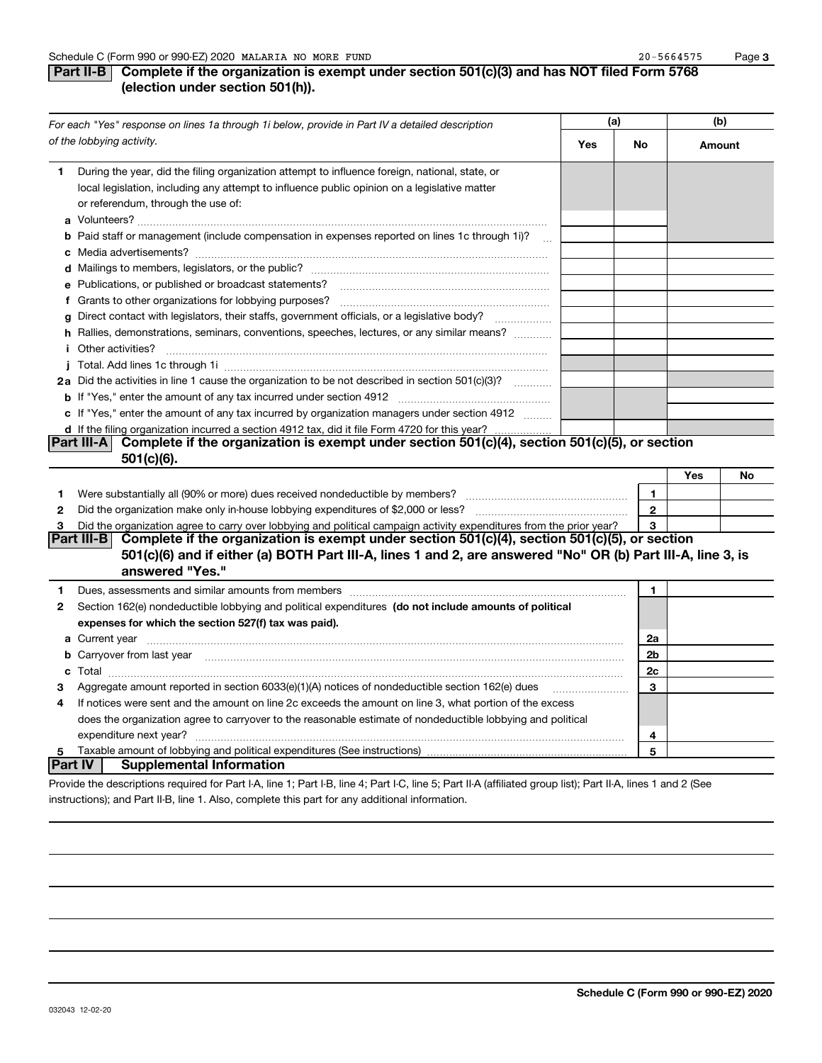### **Part II-B** Complete if the organization is exempt under section 501(c)(3) and has NOT filed Form 5768 **(election under section 501(h)).**

|              | For each "Yes" response on lines 1a through 1i below, provide in Part IV a detailed description                                                                                                                                      | (a) |                | (b)    |    |
|--------------|--------------------------------------------------------------------------------------------------------------------------------------------------------------------------------------------------------------------------------------|-----|----------------|--------|----|
|              | of the lobbying activity.                                                                                                                                                                                                            | Yes | No             | Amount |    |
| 1            | During the year, did the filing organization attempt to influence foreign, national, state, or<br>local legislation, including any attempt to influence public opinion on a legislative matter<br>or referendum, through the use of: |     |                |        |    |
|              | <b>b</b> Paid staff or management (include compensation in expenses reported on lines 1c through 1i)?<br>$\mathbf{r}$                                                                                                                |     |                |        |    |
|              |                                                                                                                                                                                                                                      |     |                |        |    |
|              | e Publications, or published or broadcast statements?                                                                                                                                                                                |     |                |        |    |
|              | f Grants to other organizations for lobbying purposes?                                                                                                                                                                               |     |                |        |    |
|              | g Direct contact with legislators, their staffs, government officials, or a legislative body?                                                                                                                                        |     |                |        |    |
|              | h Rallies, demonstrations, seminars, conventions, speeches, lectures, or any similar means?                                                                                                                                          |     |                |        |    |
|              | <i>i</i> Other activities?                                                                                                                                                                                                           |     |                |        |    |
|              |                                                                                                                                                                                                                                      |     |                |        |    |
|              | 2a Did the activities in line 1 cause the organization to be not described in section 501(c)(3)?                                                                                                                                     |     |                |        |    |
|              |                                                                                                                                                                                                                                      |     |                |        |    |
|              | c If "Yes," enter the amount of any tax incurred by organization managers under section 4912                                                                                                                                         |     |                |        |    |
|              | d If the filing organization incurred a section 4912 tax, did it file Form 4720 for this year?                                                                                                                                       |     |                |        |    |
|              | Complete if the organization is exempt under section $501(c)(4)$ , section $501(c)(5)$ , or section<br> Part III-A                                                                                                                   |     |                |        |    |
|              | 501(c)(6).                                                                                                                                                                                                                           |     |                |        |    |
|              |                                                                                                                                                                                                                                      |     |                | Yes    | No |
| 1            |                                                                                                                                                                                                                                      |     | 1              |        |    |
| $\mathbf{2}$ | Did the organization make only in house lobbying expenditures of \$2,000 or less?                                                                                                                                                    |     | $\overline{2}$ |        |    |
| 3            | Did the organization agree to carry over lobbying and political campaign activity expenditures from the prior year?                                                                                                                  |     | 3              |        |    |
|              | Complete if the organization is exempt under section 501(c)(4), section 501(c)(5), or section<br> Part III-B <br>501(c)(6) and if either (a) BOTH Part III-A, lines 1 and 2, are answered "No" OR (b) Part III-A, line 3, is         |     |                |        |    |
|              | answered "Yes."                                                                                                                                                                                                                      |     |                |        |    |
| 1            |                                                                                                                                                                                                                                      |     | 1              |        |    |
| 2            | Section 162(e) nondeductible lobbying and political expenditures (do not include amounts of political                                                                                                                                |     |                |        |    |
|              | expenses for which the section 527(f) tax was paid).                                                                                                                                                                                 |     |                |        |    |
|              |                                                                                                                                                                                                                                      |     | 2a             |        |    |
|              | <b>b</b> Carryover from last year manufactured and content to content the content of the content of the content of the content of the content of the content of the content of the content of the content of the content of the con  |     | 2 <sub>b</sub> |        |    |
|              |                                                                                                                                                                                                                                      |     | 2c             |        |    |
| 3            | Aggregate amount reported in section 6033(e)(1)(A) notices of nondeductible section 162(e) dues                                                                                                                                      |     | 3              |        |    |
| 4            | If notices were sent and the amount on line 2c exceeds the amount on line 3, what portion of the excess                                                                                                                              |     |                |        |    |
|              | does the organization agree to carryover to the reasonable estimate of nondeductible lobbying and political                                                                                                                          |     |                |        |    |
|              | expenditure next year?                                                                                                                                                                                                               |     | 4              |        |    |
| 5            |                                                                                                                                                                                                                                      |     | 5              |        |    |
|              | Part IV  <br><b>Supplemental Information</b>                                                                                                                                                                                         |     |                |        |    |
|              | Provide the descriptions required for Part I-A, line 1; Part I-B, line 4; Part I-C, line 5; Part II-A (affiliated group list); Part II-A, lines 1 and 2 (See                                                                         |     |                |        |    |

instructions); and Part II-B, line 1. Also, complete this part for any additional information.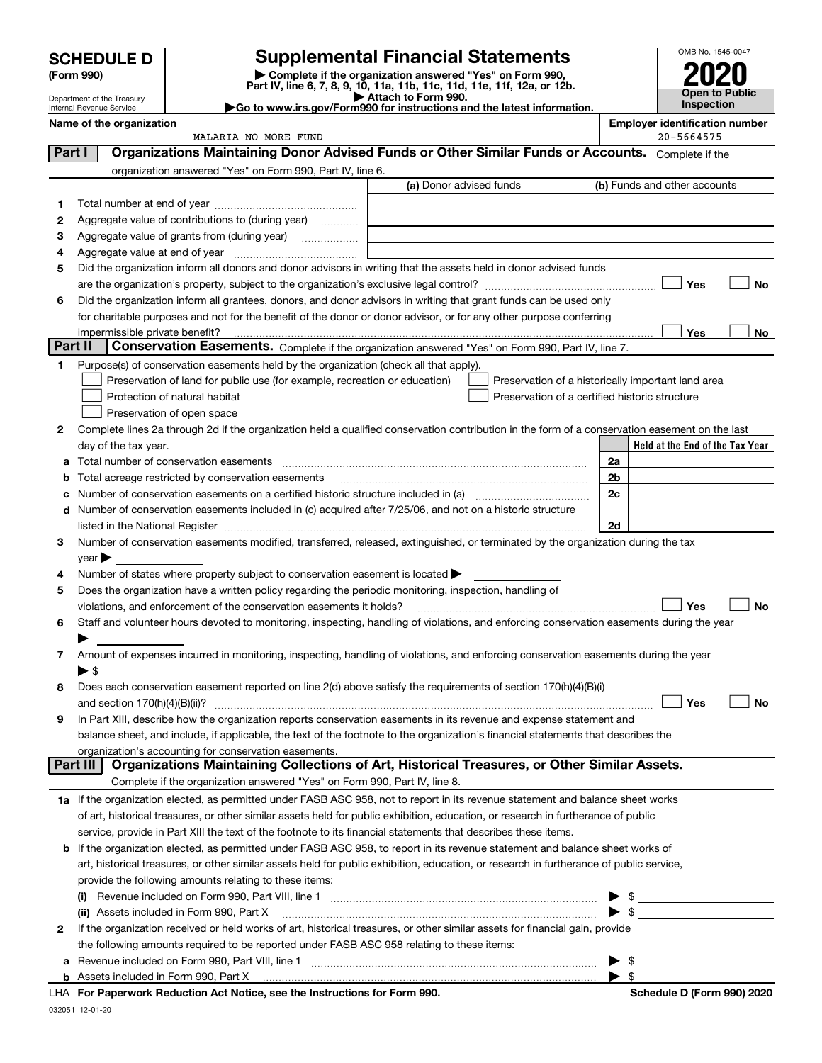Department of the Treasury Internal Revenue Service

### **SCHEDULE D Supplemental Financial Statements**

(Form 990)<br>
Pepartment of the Treasury<br>
Department of the Treasury<br>
Department of the Treasury<br>
Department of the Treasury<br> **Co to www.irs.gov/Form990 for instructions and the latest information.**<br> **Co to www.irs.gov/Form9** 



|          | Name of the organization<br>MALARIA NO MORE FUND                                                                                               |                         | <b>Employer identification number</b><br>$20 - 5664575$ |
|----------|------------------------------------------------------------------------------------------------------------------------------------------------|-------------------------|---------------------------------------------------------|
| Part I   | Organizations Maintaining Donor Advised Funds or Other Similar Funds or Accounts. Complete if the                                              |                         |                                                         |
|          |                                                                                                                                                |                         |                                                         |
|          | organization answered "Yes" on Form 990, Part IV, line 6.                                                                                      | (a) Donor advised funds | (b) Funds and other accounts                            |
|          |                                                                                                                                                |                         |                                                         |
| 1        |                                                                                                                                                |                         |                                                         |
| 2        | Aggregate value of contributions to (during year)                                                                                              |                         |                                                         |
| 3        |                                                                                                                                                |                         |                                                         |
| 4        |                                                                                                                                                |                         |                                                         |
| 5        | Did the organization inform all donors and donor advisors in writing that the assets held in donor advised funds                               |                         |                                                         |
|          |                                                                                                                                                |                         | Yes<br>No                                               |
| 6        | Did the organization inform all grantees, donors, and donor advisors in writing that grant funds can be used only                              |                         |                                                         |
|          | for charitable purposes and not for the benefit of the donor or donor advisor, or for any other purpose conferring                             |                         |                                                         |
|          |                                                                                                                                                |                         | Yes<br>No                                               |
| Part II  | Conservation Easements. Complete if the organization answered "Yes" on Form 990, Part IV, line 7.                                              |                         |                                                         |
| 1        | Purpose(s) of conservation easements held by the organization (check all that apply).                                                          |                         |                                                         |
|          | Preservation of land for public use (for example, recreation or education)                                                                     |                         | Preservation of a historically important land area      |
|          | Protection of natural habitat                                                                                                                  |                         | Preservation of a certified historic structure          |
|          | Preservation of open space                                                                                                                     |                         |                                                         |
| 2        | Complete lines 2a through 2d if the organization held a qualified conservation contribution in the form of a conservation easement on the last |                         |                                                         |
|          | day of the tax year.                                                                                                                           |                         | Held at the End of the Tax Year                         |
| а        | Total number of conservation easements                                                                                                         |                         | 2a                                                      |
| b        | Total acreage restricted by conservation easements                                                                                             |                         | 2b                                                      |
|          |                                                                                                                                                |                         | 2c                                                      |
| d        | Number of conservation easements included in (c) acquired after 7/25/06, and not on a historic structure                                       |                         |                                                         |
|          |                                                                                                                                                |                         | 2d                                                      |
| 3        | Number of conservation easements modified, transferred, released, extinguished, or terminated by the organization during the tax               |                         |                                                         |
|          | $\vee$ ear $\blacktriangleright$                                                                                                               |                         |                                                         |
| 4        | Number of states where property subject to conservation easement is located >                                                                  |                         |                                                         |
| 5        | Does the organization have a written policy regarding the periodic monitoring, inspection, handling of                                         |                         |                                                         |
|          | violations, and enforcement of the conservation easements it holds?                                                                            |                         | Yes<br>No                                               |
| 6        | Staff and volunteer hours devoted to monitoring, inspecting, handling of violations, and enforcing conservation easements during the year      |                         |                                                         |
|          |                                                                                                                                                |                         |                                                         |
| 7        | Amount of expenses incurred in monitoring, inspecting, handling of violations, and enforcing conservation easements during the year            |                         |                                                         |
|          | $\blacktriangleright$ s                                                                                                                        |                         |                                                         |
| 8        | Does each conservation easement reported on line 2(d) above satisfy the requirements of section 170(h)(4)(B)(i)                                |                         |                                                         |
|          |                                                                                                                                                |                         | Yes<br>No                                               |
|          | In Part XIII, describe how the organization reports conservation easements in its revenue and expense statement and                            |                         |                                                         |
|          | balance sheet, and include, if applicable, the text of the footnote to the organization's financial statements that describes the              |                         |                                                         |
|          | organization's accounting for conservation easements.                                                                                          |                         |                                                         |
| Part III | Organizations Maintaining Collections of Art, Historical Treasures, or Other Similar Assets.                                                   |                         |                                                         |
|          | Complete if the organization answered "Yes" on Form 990, Part IV, line 8.                                                                      |                         |                                                         |
|          | 1a If the organization elected, as permitted under FASB ASC 958, not to report in its revenue statement and balance sheet works                |                         |                                                         |
|          | of art, historical treasures, or other similar assets held for public exhibition, education, or research in furtherance of public              |                         |                                                         |
|          | service, provide in Part XIII the text of the footnote to its financial statements that describes these items.                                 |                         |                                                         |
|          | <b>b</b> If the organization elected, as permitted under FASB ASC 958, to report in its revenue statement and balance sheet works of           |                         |                                                         |
|          | art, historical treasures, or other similar assets held for public exhibition, education, or research in furtherance of public service,        |                         |                                                         |
|          | provide the following amounts relating to these items:                                                                                         |                         |                                                         |
|          | (i)                                                                                                                                            |                         | \$                                                      |
|          | (ii) Assets included in Form 990, Part X                                                                                                       |                         | $\blacktriangleright$ \$                                |
| 2        | If the organization received or held works of art, historical treasures, or other similar assets for financial gain, provide                   |                         |                                                         |
|          | the following amounts required to be reported under FASB ASC 958 relating to these items:                                                      |                         |                                                         |

**bFor Paperwork Reduction Act Notice, see the Instructions for Form 990. Schedule D (Form 990) 2020** LHA Assets included in Form 990, Part X 

**a**Revenue included on Form 990, Part VIII, line 1 ~~~~~~~~~~~~~~~~~~~~~~~~~~~~~~

 $\blacktriangleright$  \$

 $\blacktriangleright$  \$

032051 12-01-20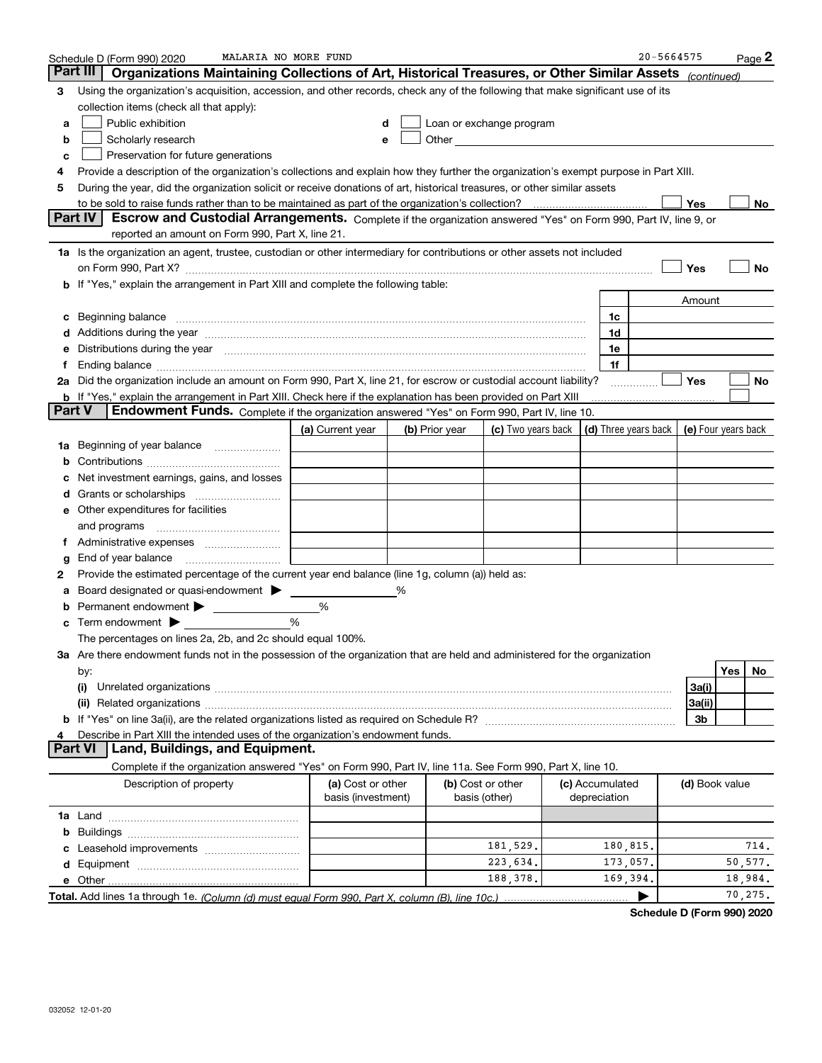|        | MALARIA NO MORE FUND<br>Schedule D (Form 990) 2020                                                                                                                                                                             |                                         |                |                                                                                                                                                                                                                               |                                 | 20-5664575 |                |     | Page 2   |
|--------|--------------------------------------------------------------------------------------------------------------------------------------------------------------------------------------------------------------------------------|-----------------------------------------|----------------|-------------------------------------------------------------------------------------------------------------------------------------------------------------------------------------------------------------------------------|---------------------------------|------------|----------------|-----|----------|
|        | Part III<br>Organizations Maintaining Collections of Art, Historical Treasures, or Other Similar Assets                                                                                                                        |                                         |                |                                                                                                                                                                                                                               |                                 |            | (continued)    |     |          |
| 3      | Using the organization's acquisition, accession, and other records, check any of the following that make significant use of its                                                                                                |                                         |                |                                                                                                                                                                                                                               |                                 |            |                |     |          |
|        | collection items (check all that apply):                                                                                                                                                                                       |                                         |                |                                                                                                                                                                                                                               |                                 |            |                |     |          |
| а      | Public exhibition                                                                                                                                                                                                              | d                                       |                | Loan or exchange program                                                                                                                                                                                                      |                                 |            |                |     |          |
| b      | Scholarly research                                                                                                                                                                                                             | e                                       |                | Other and the contract of the contract of the contract of the contract of the contract of the contract of the contract of the contract of the contract of the contract of the contract of the contract of the contract of the |                                 |            |                |     |          |
| c      | Preservation for future generations                                                                                                                                                                                            |                                         |                |                                                                                                                                                                                                                               |                                 |            |                |     |          |
| 4      | Provide a description of the organization's collections and explain how they further the organization's exempt purpose in Part XIII.                                                                                           |                                         |                |                                                                                                                                                                                                                               |                                 |            |                |     |          |
| 5      | During the year, did the organization solicit or receive donations of art, historical treasures, or other similar assets                                                                                                       |                                         |                |                                                                                                                                                                                                                               |                                 |            |                |     |          |
|        |                                                                                                                                                                                                                                |                                         |                |                                                                                                                                                                                                                               |                                 |            | Yes            |     | No       |
|        | Part IV<br>Escrow and Custodial Arrangements. Complete if the organization answered "Yes" on Form 990, Part IV, line 9, or                                                                                                     |                                         |                |                                                                                                                                                                                                                               |                                 |            |                |     |          |
|        | reported an amount on Form 990, Part X, line 21.                                                                                                                                                                               |                                         |                |                                                                                                                                                                                                                               |                                 |            |                |     |          |
|        | 1a Is the organization an agent, trustee, custodian or other intermediary for contributions or other assets not included                                                                                                       |                                         |                |                                                                                                                                                                                                                               |                                 |            |                |     |          |
|        | on Form 990, Part X? [11] matter contracts and contracts and contracts are contracted to the contract of the contract of the contract of the contract of the contract of the contract of the contract of the contract of the c |                                         |                |                                                                                                                                                                                                                               |                                 |            | Yes            |     | No       |
|        | b If "Yes," explain the arrangement in Part XIII and complete the following table:                                                                                                                                             |                                         |                |                                                                                                                                                                                                                               |                                 |            |                |     |          |
|        |                                                                                                                                                                                                                                |                                         |                |                                                                                                                                                                                                                               |                                 |            | Amount         |     |          |
| c      | Beginning balance                                                                                                                                                                                                              |                                         |                |                                                                                                                                                                                                                               | 1c                              |            |                |     |          |
|        | d Additions during the year measurement contains and a container container and a container container and a container container and a container and a container container and a container container and a container container a |                                         |                |                                                                                                                                                                                                                               | 1d                              |            |                |     |          |
| е      | Distributions during the year measurement contains and all the state of the state of the state of the state of                                                                                                                 |                                         |                |                                                                                                                                                                                                                               | 1e                              |            |                |     |          |
| Ť.     | 2a Did the organization include an amount on Form 990, Part X, line 21, for escrow or custodial account liability?                                                                                                             |                                         |                |                                                                                                                                                                                                                               | 1f                              |            | Yes            |     | No       |
|        | <b>b</b> If "Yes," explain the arrangement in Part XIII. Check here if the explanation has been provided on Part XIII                                                                                                          |                                         |                |                                                                                                                                                                                                                               |                                 |            |                |     |          |
| Part V | Endowment Funds. Complete if the organization answered "Yes" on Form 990, Part IV, line 10.                                                                                                                                    |                                         |                |                                                                                                                                                                                                                               |                                 |            |                |     |          |
|        |                                                                                                                                                                                                                                | (a) Current year                        | (b) Prior year | (c) Two years back $\vert$ (d) Three years back $\vert$ (e) Four years back                                                                                                                                                   |                                 |            |                |     |          |
|        | 1a Beginning of year balance                                                                                                                                                                                                   |                                         |                |                                                                                                                                                                                                                               |                                 |            |                |     |          |
| b      |                                                                                                                                                                                                                                |                                         |                |                                                                                                                                                                                                                               |                                 |            |                |     |          |
|        | Net investment earnings, gains, and losses                                                                                                                                                                                     |                                         |                |                                                                                                                                                                                                                               |                                 |            |                |     |          |
| d      |                                                                                                                                                                                                                                |                                         |                |                                                                                                                                                                                                                               |                                 |            |                |     |          |
|        | <b>e</b> Other expenditures for facilities                                                                                                                                                                                     |                                         |                |                                                                                                                                                                                                                               |                                 |            |                |     |          |
|        | and programs                                                                                                                                                                                                                   |                                         |                |                                                                                                                                                                                                                               |                                 |            |                |     |          |
| Ť.     |                                                                                                                                                                                                                                |                                         |                |                                                                                                                                                                                                                               |                                 |            |                |     |          |
| g      | End of year balance                                                                                                                                                                                                            |                                         |                |                                                                                                                                                                                                                               |                                 |            |                |     |          |
| 2      | Provide the estimated percentage of the current year end balance (line 1g, column (a)) held as:                                                                                                                                |                                         |                |                                                                                                                                                                                                                               |                                 |            |                |     |          |
| а      | Board designated or quasi-endowment >                                                                                                                                                                                          |                                         |                |                                                                                                                                                                                                                               |                                 |            |                |     |          |
| b      | Permanent endowment                                                                                                                                                                                                            | %                                       |                |                                                                                                                                                                                                                               |                                 |            |                |     |          |
| c      | Term endowment $\blacktriangleright$                                                                                                                                                                                           | %                                       |                |                                                                                                                                                                                                                               |                                 |            |                |     |          |
|        | The percentages on lines 2a, 2b, and 2c should equal 100%.                                                                                                                                                                     |                                         |                |                                                                                                                                                                                                                               |                                 |            |                |     |          |
|        | 3a Are there endowment funds not in the possession of the organization that are held and administered for the organization                                                                                                     |                                         |                |                                                                                                                                                                                                                               |                                 |            |                |     |          |
|        | by:                                                                                                                                                                                                                            |                                         |                |                                                                                                                                                                                                                               |                                 |            |                | Yes | No       |
|        | (i)<br>Unrelated organizations [111] March 1999, March 1999, March 1999, March 1999, March 1999, March 1999, March 19                                                                                                          |                                         |                |                                                                                                                                                                                                                               |                                 |            | 3a(i)          |     |          |
|        |                                                                                                                                                                                                                                |                                         |                |                                                                                                                                                                                                                               |                                 |            | 3a(ii)         |     |          |
|        |                                                                                                                                                                                                                                |                                         |                |                                                                                                                                                                                                                               |                                 |            | 3b             |     |          |
| 4      | Describe in Part XIII the intended uses of the organization's endowment funds.<br>Land, Buildings, and Equipment.<br><b>Part VI</b>                                                                                            |                                         |                |                                                                                                                                                                                                                               |                                 |            |                |     |          |
|        | Complete if the organization answered "Yes" on Form 990, Part IV, line 11a. See Form 990, Part X, line 10.                                                                                                                     |                                         |                |                                                                                                                                                                                                                               |                                 |            |                |     |          |
|        |                                                                                                                                                                                                                                |                                         |                |                                                                                                                                                                                                                               |                                 |            |                |     |          |
|        | Description of property                                                                                                                                                                                                        | (a) Cost or other<br>basis (investment) |                | (b) Cost or other<br>basis (other)                                                                                                                                                                                            | (c) Accumulated<br>depreciation |            | (d) Book value |     |          |
|        |                                                                                                                                                                                                                                |                                         |                |                                                                                                                                                                                                                               |                                 |            |                |     |          |
|        |                                                                                                                                                                                                                                |                                         |                |                                                                                                                                                                                                                               |                                 |            |                |     |          |
|        |                                                                                                                                                                                                                                |                                         |                | 181,529.                                                                                                                                                                                                                      | 180,815.                        |            |                |     | 714.     |
|        |                                                                                                                                                                                                                                |                                         |                | 223,634.                                                                                                                                                                                                                      | 173,057.                        |            |                |     | 50, 577. |
|        |                                                                                                                                                                                                                                |                                         |                | 188,378.                                                                                                                                                                                                                      | 169,394.                        |            |                |     | 18,984.  |
|        |                                                                                                                                                                                                                                |                                         |                |                                                                                                                                                                                                                               |                                 | ▶          |                |     | 70, 275. |
|        |                                                                                                                                                                                                                                |                                         |                |                                                                                                                                                                                                                               |                                 |            |                |     |          |

**Schedule D (Form 990) 2020**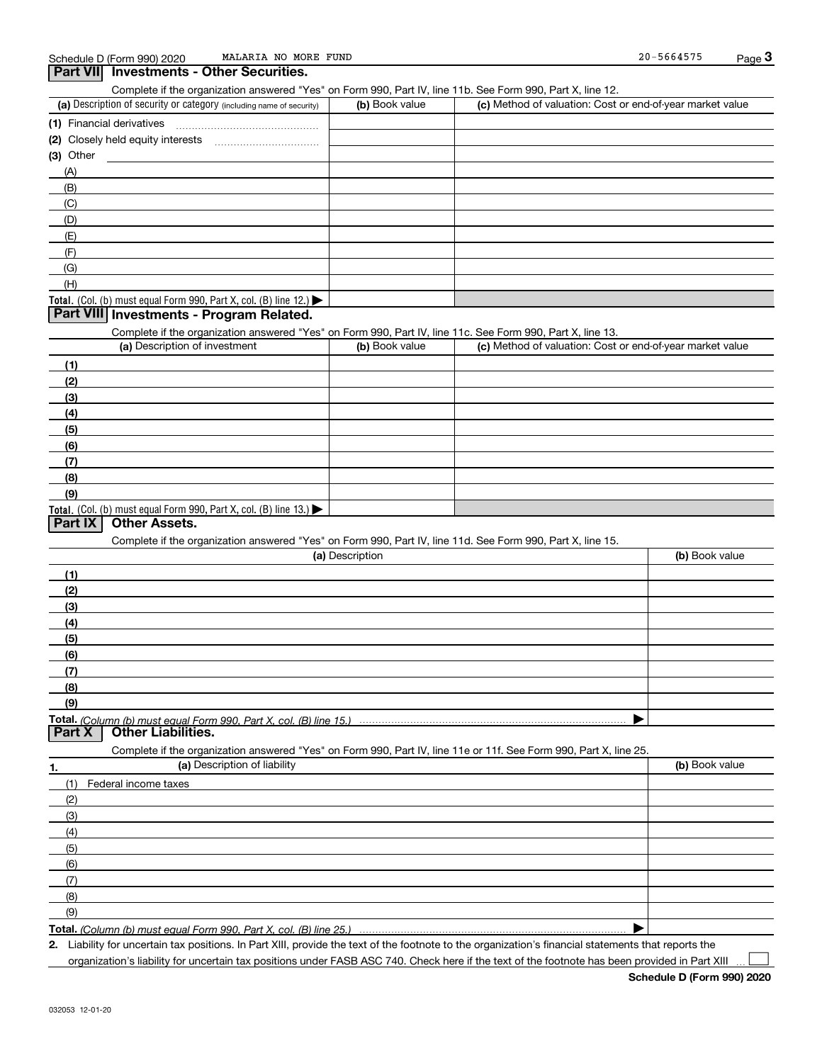**Part VII Investments - Other Securities.** 

### (a) Description of security or category (including name of security)  $\vert$  (b) Book value  $\vert$  (c) Total. (Col. (b) must equal Form 990, Part X, col. (B) line 12.) Total. (Col. (b) must equal Form 990, Part X, col. (B) line 13.) **(1)** Financial derivatives ~~~~~~~~~~~~~~~ **(2)** Closely held equity interests ~~~~~~~~~~~ **(3)** Other (a) Description of investment **b (b)** Book value **(1)(2) (3)(4) (5)(6)(7)(8)(9)(a) (b)**  Description**(1)(2) (3)(4)(5) (6)(7) (8)(9)Total.**  *(Column (b) must equal Form 990, Part X, col. (B) line 15.)* **1.(a)** Description of liability **Book value** Book value Book value Book value Book value Complete if the organization answered "Yes" on Form 990, Part IV, line 11b. See Form 990, Part X, line 12.  $(b)$  Book value  $\vert$  (c) Method of valuation: Cost or end-of-year market value (A)(B)(C)(D)(E)(F)(G)(H)Complete if the organization answered "Yes" on Form 990, Part IV, line 11c. See Form 990, Part X, line 13. (c) Method of valuation: Cost or end-of-year market value Complete if the organization answered "Yes" on Form 990, Part IV, line 11d. See Form 990, Part X, line 15. (b) Book value  $\blacktriangleright$ Complete if the organization answered "Yes" on Form 990, Part IV, line 11e or 11f. See Form 990, Part X, line 25. (1)Federal income taxes (2)(3)(4)(5)(6)(7)(8)(9) $\blacktriangleright$ **Part VIII Investments - Program Related. Part IX Other Assets. Part X Other Liabilities.**

**Total.**  *(Column (b) must equal Form 990, Part X, col. (B) line 25.)* 

**2.**Liability for uncertain tax positions. In Part XIII, provide the text of the footnote to the organization's financial statements that reports the

organization's liability for uncertain tax positions under FASB ASC 740. Check here if the text of the footnote has been provided in Part XIII  $\mathcal{L}^{\text{max}}$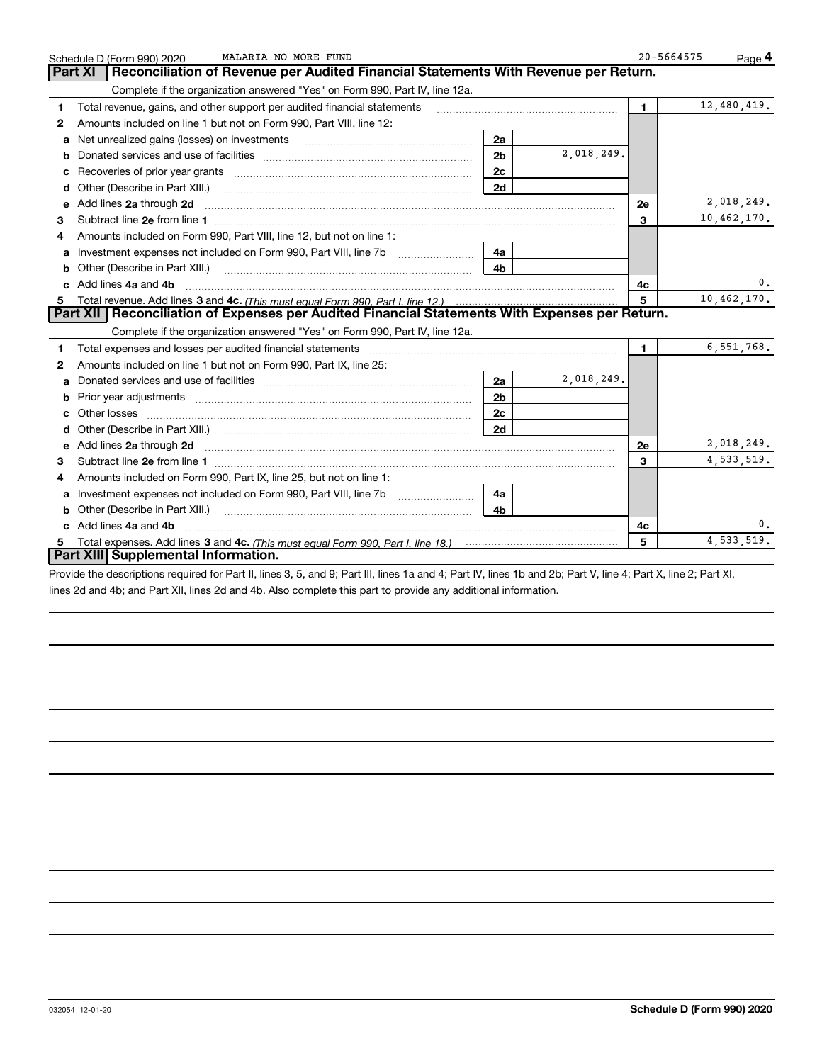|              | MALARIA NO MORE FUND<br>Schedule D (Form 990) 2020                                                                                                                                                                            |                |            | $20 - 5664575$ | Page 4       |
|--------------|-------------------------------------------------------------------------------------------------------------------------------------------------------------------------------------------------------------------------------|----------------|------------|----------------|--------------|
|              | Reconciliation of Revenue per Audited Financial Statements With Revenue per Return.<br><b>Part XI</b>                                                                                                                         |                |            |                |              |
|              | Complete if the organization answered "Yes" on Form 990, Part IV, line 12a.                                                                                                                                                   |                |            |                |              |
| 1            | Total revenue, gains, and other support per audited financial statements                                                                                                                                                      |                |            | $\blacksquare$ | 12,480,419.  |
| $\mathbf{2}$ | Amounts included on line 1 but not on Form 990, Part VIII, line 12:                                                                                                                                                           |                |            |                |              |
| a            | Net unrealized gains (losses) on investments [11] matter contracts and the unrealized gains (losses) on investments                                                                                                           | 2a             |            |                |              |
| b            |                                                                                                                                                                                                                               | 2 <sub>b</sub> | 2,018,249. |                |              |
|              |                                                                                                                                                                                                                               | 2c             |            |                |              |
| d            |                                                                                                                                                                                                                               | 2d             |            |                |              |
| е            | Add lines 2a through 2d                                                                                                                                                                                                       |                |            | <b>2e</b>      | 2,018,249.   |
| 3            |                                                                                                                                                                                                                               |                |            | 3              | 10,462,170.  |
| 4            | Amounts included on Form 990, Part VIII, line 12, but not on line 1:                                                                                                                                                          |                |            |                |              |
|              | Investment expenses not included on Form 990, Part VIII, line 7b [100] [100] [100] [100] [100] [100] [100] [10                                                                                                                | 4a             |            |                |              |
| b            |                                                                                                                                                                                                                               | 4b             |            |                |              |
| c.           | Add lines 4a and 4b                                                                                                                                                                                                           |                |            | 4c             | 0.           |
|              |                                                                                                                                                                                                                               |                |            | 5              | 10,462,170.  |
|              | Part XII   Reconciliation of Expenses per Audited Financial Statements With Expenses per Return.                                                                                                                              |                |            |                |              |
|              | Complete if the organization answered "Yes" on Form 990, Part IV, line 12a.                                                                                                                                                   |                |            |                |              |
| 1            | Total expenses and losses per audited financial statements [11, 11] manuscription control expenses and losses per audited financial statements [11] manuscription of the statements [11] manuscription of the statements [11] |                |            | 1.             | 6,551,768.   |
| 2            | Amounts included on line 1 but not on Form 990, Part IX, line 25:                                                                                                                                                             |                |            |                |              |
| a            |                                                                                                                                                                                                                               | 2a             | 2,018,249. |                |              |
| b            |                                                                                                                                                                                                                               | 2 <sub>b</sub> |            |                |              |
| c            |                                                                                                                                                                                                                               | 2c             |            |                |              |
| d            |                                                                                                                                                                                                                               | 2d             |            |                |              |
|              | Add lines 2a through 2d                                                                                                                                                                                                       |                |            | 2e             | 2,018,249.   |
| 3            |                                                                                                                                                                                                                               |                |            | 3              | 4, 533, 519. |
| 4            | Amounts included on Form 990, Part IX, line 25, but not on line 1:                                                                                                                                                            |                |            |                |              |
| a            | Investment expenses not included on Form 990, Part VIII, line 7b [111] [11] Investment expenses not included on Form 990, Part VIII, line 7b                                                                                  | 4a             |            |                |              |
| b            | Other (Describe in Part XIII.)                                                                                                                                                                                                | 4b             |            |                |              |
|              | Add lines 4a and 4b                                                                                                                                                                                                           |                |            | 4с             | 0.           |
|              |                                                                                                                                                                                                                               |                |            | 5              | 4, 533, 519. |
|              | Part XIII Supplemental Information.                                                                                                                                                                                           |                |            |                |              |

Provide the descriptions required for Part II, lines 3, 5, and 9; Part III, lines 1a and 4; Part IV, lines 1b and 2b; Part V, line 4; Part X, line 2; Part XI, lines 2d and 4b; and Part XII, lines 2d and 4b. Also complete this part to provide any additional information.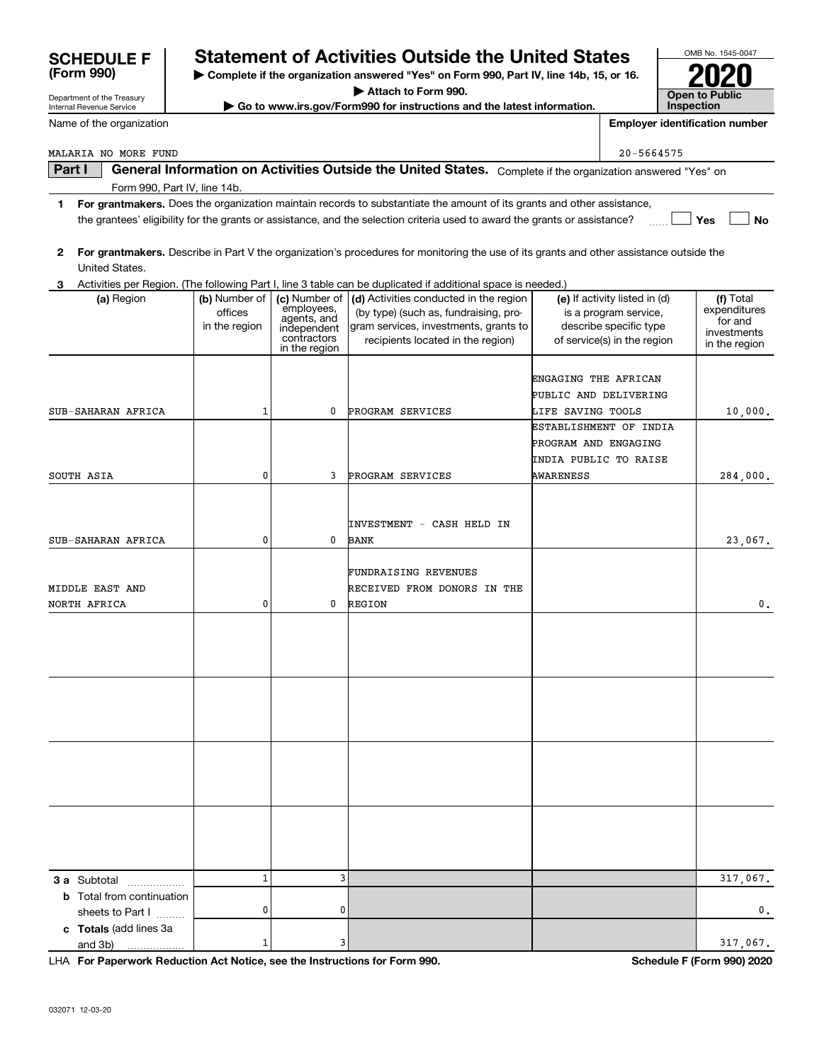| 3 a Subtotal                                         |                                                                            | 3 |  |
|------------------------------------------------------|----------------------------------------------------------------------------|---|--|
| <b>b</b> Total from continuation<br>sheets to Part I |                                                                            |   |  |
| c Totals (add lines 3a<br>and 3b)                    |                                                                            | 3 |  |
|                                                      | LHA For Paperwork Reduction Act Notice, see the Instructions for Form 990. |   |  |

### **Part I**  $\parallel$  General Information on Activities Outside the United States. Complete if the organization answered "Yes" on Form 990, Part IV, line 14b. MALARIA NO MORE FUND 20-5664575

Department of the Treasury Internal Revenue Service

Name of the organization

- **1For grantmakers.**  Does the organization maintain records to substantiate the amount of its grants and other assistance, **Yes** the grantees' eligibility for the grants or assistance, and the selection criteria used to award the grants or assistance?  $\Box$
- **2 For grantmakers.**  Describe in Part V the organization's procedures for monitoring the use of its grants and other assistance outside the United States.

| Activities per Region. (The following Part I, line 3 table can be duplicated if additional space is needed.) |  |  |  |
|--------------------------------------------------------------------------------------------------------------|--|--|--|
|                                                                                                              |  |  |  |

| (a) Region                       | (b) Number of<br>offices<br>in the region | employees,<br>agents, and<br>independent<br>contractors<br>in the region | (c) Number of   (d) Activities conducted in the region<br>(by type) (such as, fundraising, pro-<br>gram services, investments, grants to<br>recipients located in the region) | (e) If activity listed in (d)<br>is a program service,<br>describe specific type<br>of service(s) in the region | (f) Total<br>expenditures<br>for and<br>investments<br>in the region |
|----------------------------------|-------------------------------------------|--------------------------------------------------------------------------|-------------------------------------------------------------------------------------------------------------------------------------------------------------------------------|-----------------------------------------------------------------------------------------------------------------|----------------------------------------------------------------------|
|                                  |                                           |                                                                          |                                                                                                                                                                               | ENGAGING THE AFRICAN<br>PUBLIC AND DELIVERING                                                                   |                                                                      |
| SUB-SAHARAN AFRICA               | $\mathbf{1}$                              | 0                                                                        | PROGRAM SERVICES                                                                                                                                                              | LIFE SAVING TOOLS                                                                                               | 10,000.                                                              |
|                                  |                                           |                                                                          |                                                                                                                                                                               | ESTABLISHMENT OF INDIA                                                                                          |                                                                      |
|                                  |                                           |                                                                          |                                                                                                                                                                               | PROGRAM AND ENGAGING                                                                                            |                                                                      |
|                                  |                                           |                                                                          |                                                                                                                                                                               | INDIA PUBLIC TO RAISE                                                                                           |                                                                      |
| SOUTH ASIA                       | 0                                         | 3                                                                        | PROGRAM SERVICES                                                                                                                                                              | <b>AWARENESS</b>                                                                                                | 284,000.                                                             |
|                                  |                                           |                                                                          |                                                                                                                                                                               |                                                                                                                 |                                                                      |
|                                  |                                           |                                                                          | INVESTMENT - CASH HELD IN                                                                                                                                                     |                                                                                                                 |                                                                      |
| SUB-SAHARAN AFRICA               | 0                                         | 0                                                                        | <b>BANK</b>                                                                                                                                                                   |                                                                                                                 | 23,067.                                                              |
|                                  |                                           |                                                                          |                                                                                                                                                                               |                                                                                                                 |                                                                      |
|                                  |                                           |                                                                          | FUNDRAISING REVENUES                                                                                                                                                          |                                                                                                                 |                                                                      |
| MIDDLE EAST AND                  |                                           |                                                                          | RECEIVED FROM DONORS IN THE                                                                                                                                                   |                                                                                                                 |                                                                      |
| NORTH AFRICA                     | 0                                         | 0                                                                        | REGION                                                                                                                                                                        |                                                                                                                 | 0.                                                                   |
|                                  |                                           |                                                                          |                                                                                                                                                                               |                                                                                                                 |                                                                      |
|                                  |                                           |                                                                          |                                                                                                                                                                               |                                                                                                                 |                                                                      |
|                                  |                                           |                                                                          |                                                                                                                                                                               |                                                                                                                 |                                                                      |
|                                  |                                           |                                                                          |                                                                                                                                                                               |                                                                                                                 |                                                                      |
|                                  |                                           |                                                                          |                                                                                                                                                                               |                                                                                                                 |                                                                      |
|                                  |                                           |                                                                          |                                                                                                                                                                               |                                                                                                                 |                                                                      |
|                                  |                                           |                                                                          |                                                                                                                                                                               |                                                                                                                 |                                                                      |
|                                  |                                           |                                                                          |                                                                                                                                                                               |                                                                                                                 |                                                                      |
|                                  |                                           |                                                                          |                                                                                                                                                                               |                                                                                                                 |                                                                      |
|                                  |                                           |                                                                          |                                                                                                                                                                               |                                                                                                                 |                                                                      |
|                                  |                                           |                                                                          |                                                                                                                                                                               |                                                                                                                 |                                                                      |
|                                  |                                           |                                                                          |                                                                                                                                                                               |                                                                                                                 |                                                                      |
|                                  |                                           |                                                                          |                                                                                                                                                                               |                                                                                                                 |                                                                      |
|                                  |                                           |                                                                          |                                                                                                                                                                               |                                                                                                                 |                                                                      |
| 3 a Subtotal<br>.                | $\mathbf 1$                               | 3                                                                        |                                                                                                                                                                               |                                                                                                                 | 317,067.                                                             |
| <b>b</b> Total from continuation |                                           |                                                                          |                                                                                                                                                                               |                                                                                                                 |                                                                      |
| sheets to Part I                 | 0                                         | 0                                                                        |                                                                                                                                                                               |                                                                                                                 | 0.                                                                   |
| c Totals (add lines 3a           |                                           |                                                                          |                                                                                                                                                                               |                                                                                                                 |                                                                      |
| and 3b)                          | $\mathbf{1}$                              | 3                                                                        |                                                                                                                                                                               |                                                                                                                 | 317,067.                                                             |

**(Form 990)**

## **SCHEDULE F Statement of Activities Outside the United States**

**| Complete if the organization answered "Yes" on Form 990, Part IV, line 14b, 15, or 16.**

**| Attach to Form 990.**

**| Go to www.irs.gov/Form990 for instructions and the latest information.**

**No**

**Employer identification number**

**Schedule F (Form 990) 2020**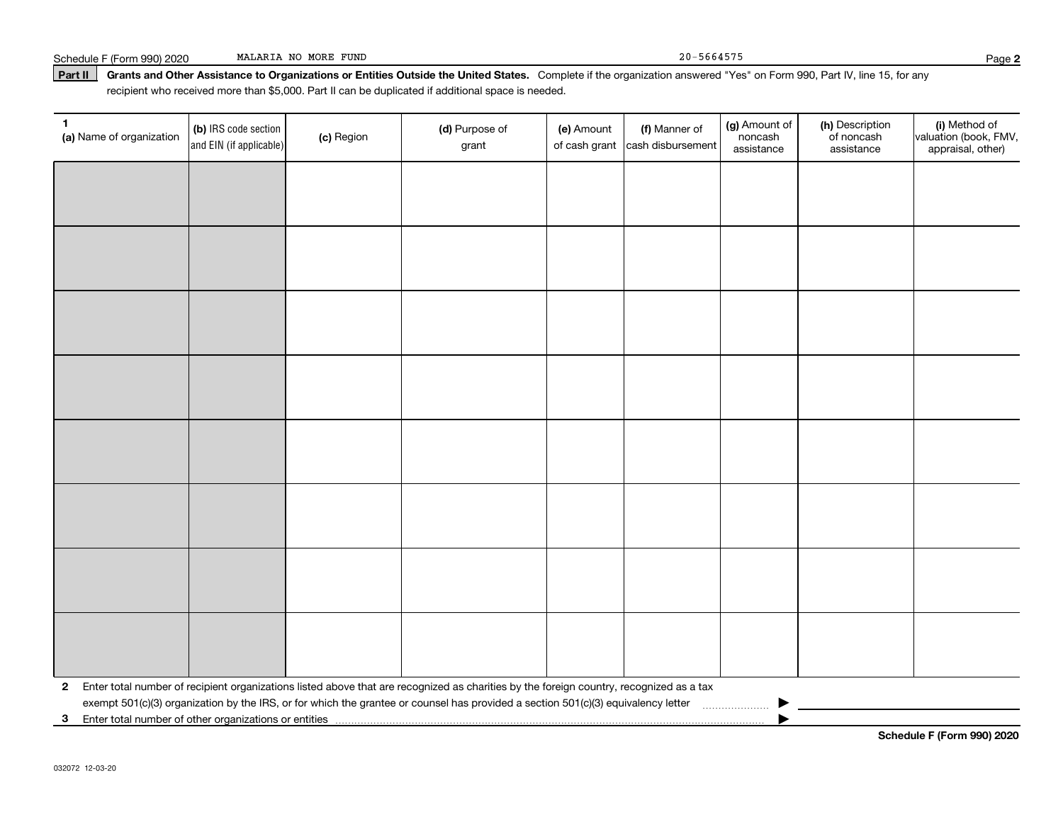| Schedule F (Form 990) 2020 | MALARIA NO MORE FUND |  |  |
|----------------------------|----------------------|--|--|

| $\mathbf{1}$<br>(a) Name of organization | (b) IRS code section<br>and EIN (if applicable) | (c) Region | (d) Purpose of<br>grant                                                                                                                 | (e) Amount | (f) Manner of<br>of cash grant cash disbursement | (g) Amount of<br>noncash<br>assistance | (h) Description<br>of noncash<br>assistance | (i) Method of<br>valuation (book, FMV,<br>appraisal, other) |
|------------------------------------------|-------------------------------------------------|------------|-----------------------------------------------------------------------------------------------------------------------------------------|------------|--------------------------------------------------|----------------------------------------|---------------------------------------------|-------------------------------------------------------------|
|                                          |                                                 |            |                                                                                                                                         |            |                                                  |                                        |                                             |                                                             |
|                                          |                                                 |            |                                                                                                                                         |            |                                                  |                                        |                                             |                                                             |
|                                          |                                                 |            |                                                                                                                                         |            |                                                  |                                        |                                             |                                                             |
|                                          |                                                 |            |                                                                                                                                         |            |                                                  |                                        |                                             |                                                             |
|                                          |                                                 |            |                                                                                                                                         |            |                                                  |                                        |                                             |                                                             |
|                                          |                                                 |            |                                                                                                                                         |            |                                                  |                                        |                                             |                                                             |
|                                          |                                                 |            |                                                                                                                                         |            |                                                  |                                        |                                             |                                                             |
|                                          |                                                 |            |                                                                                                                                         |            |                                                  |                                        |                                             |                                                             |
|                                          |                                                 |            |                                                                                                                                         |            |                                                  |                                        |                                             |                                                             |
|                                          |                                                 |            |                                                                                                                                         |            |                                                  |                                        |                                             |                                                             |
|                                          |                                                 |            |                                                                                                                                         |            |                                                  |                                        |                                             |                                                             |
|                                          |                                                 |            |                                                                                                                                         |            |                                                  |                                        |                                             |                                                             |
|                                          |                                                 |            |                                                                                                                                         |            |                                                  |                                        |                                             |                                                             |
|                                          |                                                 |            |                                                                                                                                         |            |                                                  |                                        |                                             |                                                             |
|                                          |                                                 |            |                                                                                                                                         |            |                                                  |                                        |                                             |                                                             |
|                                          |                                                 |            |                                                                                                                                         |            |                                                  |                                        |                                             |                                                             |
| $\mathbf{2}$                             |                                                 |            | Enter total number of recipient organizations listed above that are recognized as charities by the foreign country, recognized as a tax |            |                                                  |                                        |                                             |                                                             |
|                                          |                                                 |            | exempt 501(c)(3) organization by the IRS, or for which the grantee or counsel has provided a section 501(c)(3) equivalency letter       |            |                                                  | .                                      |                                             |                                                             |
| 3 <sup>1</sup>                           |                                                 |            |                                                                                                                                         |            |                                                  |                                        |                                             |                                                             |

**Schedule F (Form 990) 2020**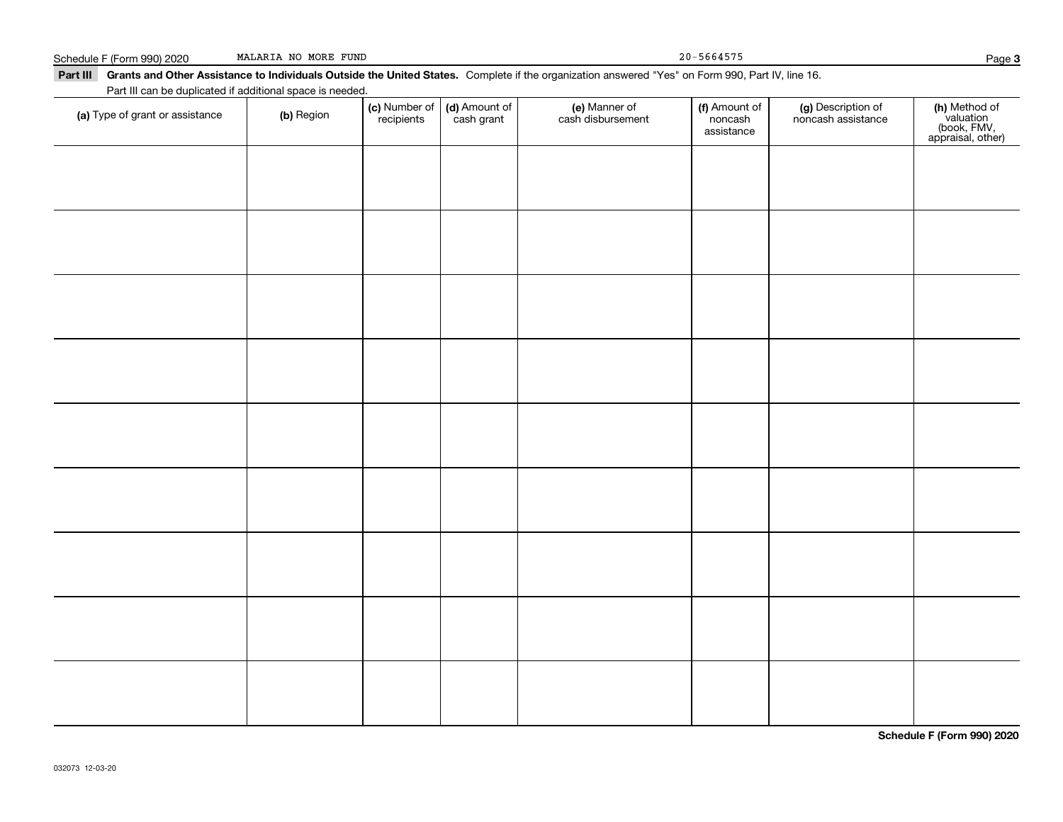| Schedule F (Form 990) 2020<br>Part III Grants and Other Assistance to Individuals Outside the United States. Complete if the organization answered "Yes" on Form 990, Part IV, line 16. | MALARIA NO MORE FUND |            |                                                   |                                    | $20 - 5664575$                         |                                          | Page                                                           |
|-----------------------------------------------------------------------------------------------------------------------------------------------------------------------------------------|----------------------|------------|---------------------------------------------------|------------------------------------|----------------------------------------|------------------------------------------|----------------------------------------------------------------|
| Part III can be duplicated if additional space is needed.<br>(a) Type of grant or assistance                                                                                            | (b) Region           | recipients | (c) Number of $\vert$ (d) Amount of<br>cash grant | (e) Manner of<br>cash disbursement | (f) Amount of<br>noncash<br>assistance | (g) Description of<br>noncash assistance | (h) Method of<br>valuation<br>(book, FMV,<br>appraisal, other) |
|                                                                                                                                                                                         |                      |            |                                                   |                                    |                                        |                                          |                                                                |
|                                                                                                                                                                                         |                      |            |                                                   |                                    |                                        |                                          |                                                                |
|                                                                                                                                                                                         |                      |            |                                                   |                                    |                                        |                                          |                                                                |
|                                                                                                                                                                                         |                      |            |                                                   |                                    |                                        |                                          |                                                                |
|                                                                                                                                                                                         |                      |            |                                                   |                                    |                                        |                                          |                                                                |
|                                                                                                                                                                                         |                      |            |                                                   |                                    |                                        |                                          |                                                                |

**Schedule F (Form 990) 2020**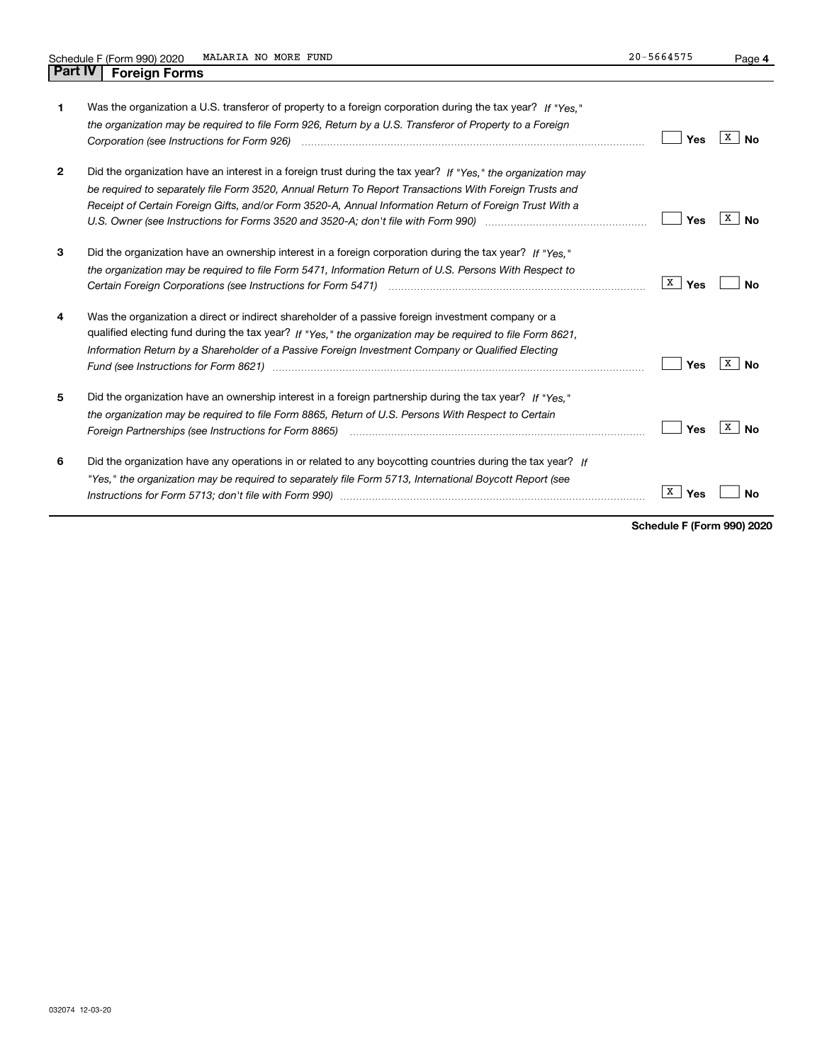| 1            | Was the organization a U.S. transferor of property to a foreign corporation during the tax year? If "Yes."<br>the organization may be required to file Form 926, Return by a U.S. Transferor of Property to a Foreign                                                                                                             | Yes      | X<br>Nο        |
|--------------|-----------------------------------------------------------------------------------------------------------------------------------------------------------------------------------------------------------------------------------------------------------------------------------------------------------------------------------|----------|----------------|
| $\mathbf{2}$ | Did the organization have an interest in a foreign trust during the tax year? If "Yes," the organization may<br>be required to separately file Form 3520, Annual Return To Report Transactions With Foreign Trusts and<br>Receipt of Certain Foreign Gifts, and/or Form 3520-A, Annual Information Return of Foreign Trust With a | Yes      | х<br>Nο        |
| 3            | Did the organization have an ownership interest in a foreign corporation during the tax year? If "Yes."<br>the organization may be required to file Form 5471, Information Return of U.S. Persons With Respect to                                                                                                                 | X<br>Yes | Nο             |
| 4            | Was the organization a direct or indirect shareholder of a passive foreign investment company or a<br>qualified electing fund during the tax year? If "Yes," the organization may be required to file Form 8621.<br>Information Return by a Shareholder of a Passive Foreign Investment Company or Qualified Electing             | Yes      | х<br>Nο        |
| 5            | Did the organization have an ownership interest in a foreign partnership during the tax year? If "Yes."<br>the organization may be required to file Form 8865, Return of U.S. Persons With Respect to Certain                                                                                                                     | Yes      | х<br><b>No</b> |
| 6            | Did the organization have any operations in or related to any boycotting countries during the tax year? If<br>"Yes," the organization may be required to separately file Form 5713, International Boycott Report (see                                                                                                             | X<br>Yes |                |

**Schedule F (Form 990) 2020**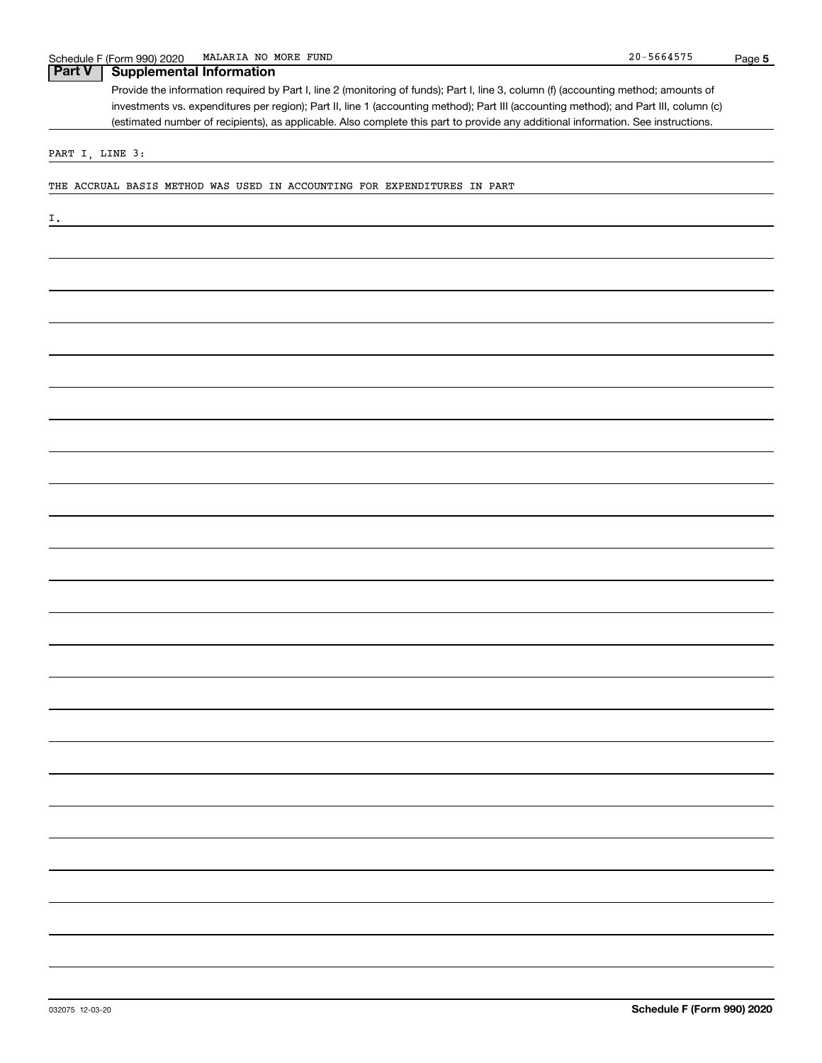### **Part V Supplemental Information**

Provide the information required by Part I, line 2 (monitoring of funds); Part I, line 3, column (f) (accounting method; amounts of investments vs. expenditures per region); Part II, line 1 (accounting method); Part III (accounting method); and Part III, column (c) (estimated number of recipients), as applicable. Also complete this part to provide any additional information. See instructions.

PART I, LINE 3:

THE ACCRUAL BASIS METHOD WAS USED IN ACCOUNTING FOR EXPENDITURES IN PART

I.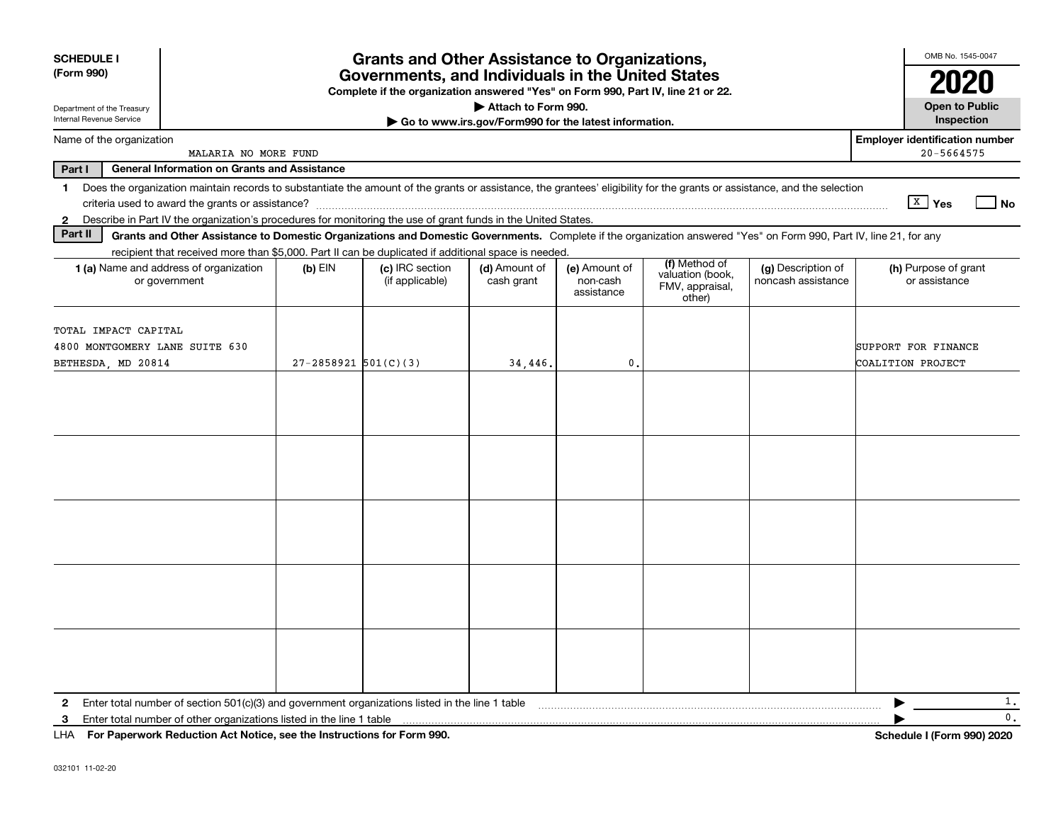| <b>SCHEDULE I</b><br>(Form 990)                                              |                                                                                                                                                                          |                            | <b>Grants and Other Assistance to Organizations,</b><br>Governments, and Individuals in the United States<br>Complete if the organization answered "Yes" on Form 990, Part IV, line 21 or 22. |                                                       |                                         |                                               |                                          | OMB No. 1545-0047<br>2020                           |
|------------------------------------------------------------------------------|--------------------------------------------------------------------------------------------------------------------------------------------------------------------------|----------------------------|-----------------------------------------------------------------------------------------------------------------------------------------------------------------------------------------------|-------------------------------------------------------|-----------------------------------------|-----------------------------------------------|------------------------------------------|-----------------------------------------------------|
| Department of the Treasury<br>Internal Revenue Service                       |                                                                                                                                                                          |                            |                                                                                                                                                                                               | Attach to Form 990.                                   |                                         |                                               |                                          | <b>Open to Public</b>                               |
|                                                                              |                                                                                                                                                                          |                            |                                                                                                                                                                                               | Go to www.irs.gov/Form990 for the latest information. |                                         |                                               |                                          | Inspection                                          |
| Name of the organization                                                     | MALARIA NO MORE FUND                                                                                                                                                     |                            |                                                                                                                                                                                               |                                                       |                                         |                                               |                                          | <b>Employer identification number</b><br>20-5664575 |
| Part I                                                                       | <b>General Information on Grants and Assistance</b>                                                                                                                      |                            |                                                                                                                                                                                               |                                                       |                                         |                                               |                                          |                                                     |
| 1.                                                                           | Does the organization maintain records to substantiate the amount of the grants or assistance, the grantees' eligibility for the grants or assistance, and the selection |                            |                                                                                                                                                                                               |                                                       |                                         |                                               |                                          | $X$ Yes<br>l No                                     |
| $\mathbf{2}$                                                                 | Describe in Part IV the organization's procedures for monitoring the use of grant funds in the United States.                                                            |                            |                                                                                                                                                                                               |                                                       |                                         |                                               |                                          |                                                     |
| Part II                                                                      | Grants and Other Assistance to Domestic Organizations and Domestic Governments. Complete if the organization answered "Yes" on Form 990, Part IV, line 21, for any       |                            |                                                                                                                                                                                               |                                                       |                                         |                                               |                                          |                                                     |
|                                                                              | recipient that received more than \$5,000. Part II can be duplicated if additional space is needed.                                                                      |                            |                                                                                                                                                                                               |                                                       |                                         | (f) Method of                                 |                                          |                                                     |
|                                                                              | 1 (a) Name and address of organization<br>or government                                                                                                                  | $(b)$ EIN                  | (c) IRC section<br>(if applicable)                                                                                                                                                            | (d) Amount of<br>cash grant                           | (e) Amount of<br>non-cash<br>assistance | valuation (book,<br>FMV, appraisal,<br>other) | (g) Description of<br>noncash assistance | (h) Purpose of grant<br>or assistance               |
| TOTAL IMPACT CAPITAL<br>4800 MONTGOMERY LANE SUITE 630<br>BETHESDA, MD 20814 |                                                                                                                                                                          | $27 - 2858921$ $501(C)(3)$ |                                                                                                                                                                                               | 34,446.                                               | $\mathbf{0}$                            |                                               |                                          | SUPPORT FOR FINANCE<br>COALITION PROJECT            |
|                                                                              |                                                                                                                                                                          |                            |                                                                                                                                                                                               |                                                       |                                         |                                               |                                          |                                                     |
|                                                                              |                                                                                                                                                                          |                            |                                                                                                                                                                                               |                                                       |                                         |                                               |                                          |                                                     |
|                                                                              |                                                                                                                                                                          |                            |                                                                                                                                                                                               |                                                       |                                         |                                               |                                          |                                                     |
|                                                                              |                                                                                                                                                                          |                            |                                                                                                                                                                                               |                                                       |                                         |                                               |                                          |                                                     |
|                                                                              |                                                                                                                                                                          |                            |                                                                                                                                                                                               |                                                       |                                         |                                               |                                          |                                                     |
| 2                                                                            | Enter total number of section 501(c)(3) and government organizations listed in the line 1 table                                                                          |                            |                                                                                                                                                                                               |                                                       |                                         |                                               |                                          | 1.                                                  |
| 3                                                                            | Enter total number of other organizations listed in the line 1 table                                                                                                     |                            |                                                                                                                                                                                               |                                                       |                                         |                                               |                                          | 0.                                                  |
| LHA.                                                                         | For Paperwork Reduction Act Notice, see the Instructions for Form 990.                                                                                                   |                            |                                                                                                                                                                                               |                                                       |                                         |                                               |                                          | Schedule I (Form 990) 2020                          |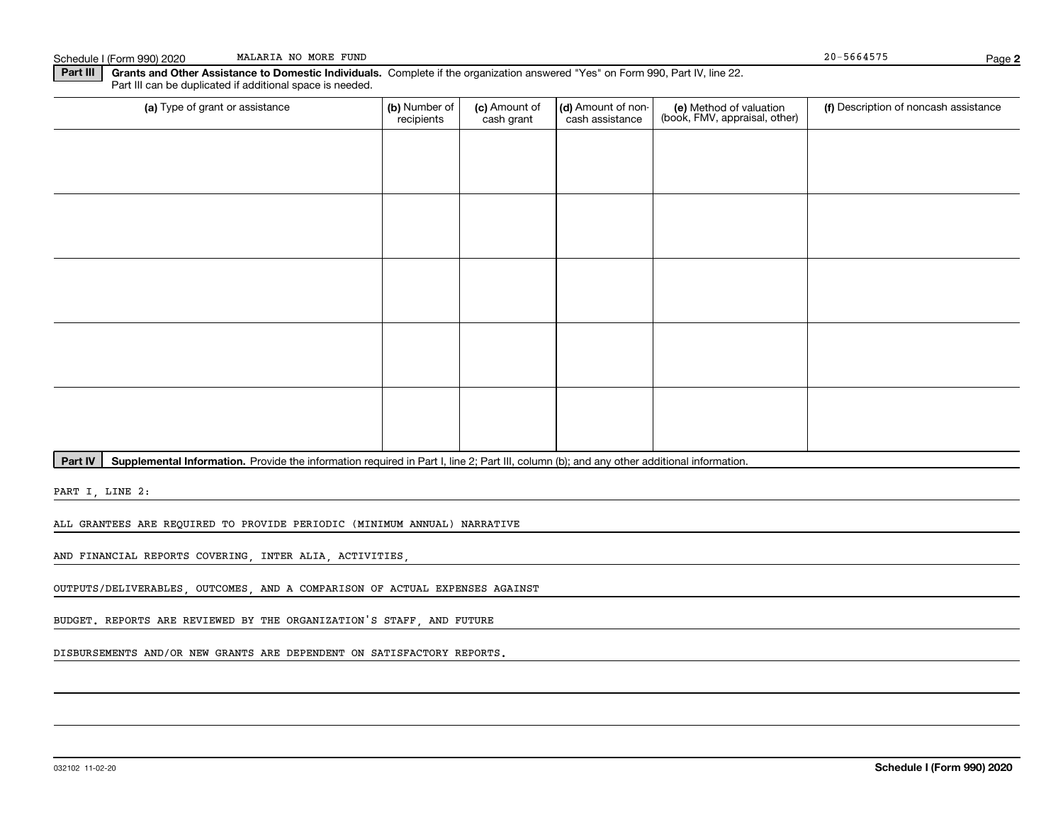Schedule I (Form 990) 2020 MALARIA NO MORE FUND 20-5664575 MALARIA NO MORE FUND

**Part III | Grants and Other Assistance to Domestic Individuals. Complete if the organization answered "Yes" on Form 990, Part IV, line 22.** Part III can be duplicated if additional space is needed.

| (a) Type of grant or assistance | (b) Number of<br>recipients | (c) Amount of<br>cash grant | (d) Amount of non-<br>cash assistance | (e) Method of valuation<br>(book, FMV, appraisal, other) | (f) Description of noncash assistance |
|---------------------------------|-----------------------------|-----------------------------|---------------------------------------|----------------------------------------------------------|---------------------------------------|
|                                 |                             |                             |                                       |                                                          |                                       |
|                                 |                             |                             |                                       |                                                          |                                       |
|                                 |                             |                             |                                       |                                                          |                                       |
|                                 |                             |                             |                                       |                                                          |                                       |
|                                 |                             |                             |                                       |                                                          |                                       |
|                                 |                             |                             |                                       |                                                          |                                       |
|                                 |                             |                             |                                       |                                                          |                                       |
|                                 |                             |                             |                                       |                                                          |                                       |
|                                 |                             |                             |                                       |                                                          |                                       |
|                                 |                             |                             |                                       |                                                          |                                       |

Part IV | Supplemental Information. Provide the information required in Part I, line 2; Part III, column (b); and any other additional information.

PART I, LINE 2:

ALL GRANTEES ARE REQUIRED TO PROVIDE PERIODIC (MINIMUM ANNUAL) NARRATIVE

AND FINANCIAL REPORTS COVERING, INTER ALIA, ACTIVITIES,

OUTPUTS/DELIVERABLES, OUTCOMES, AND A COMPARISON OF ACTUAL EXPENSES AGAINST

BUDGET. REPORTS ARE REVIEWED BY THE ORGANIZATION'S STAFF, AND FUTURE

DISBURSEMENTS AND/OR NEW GRANTS ARE DEPENDENT ON SATISFACTORY REPORTS.

**2**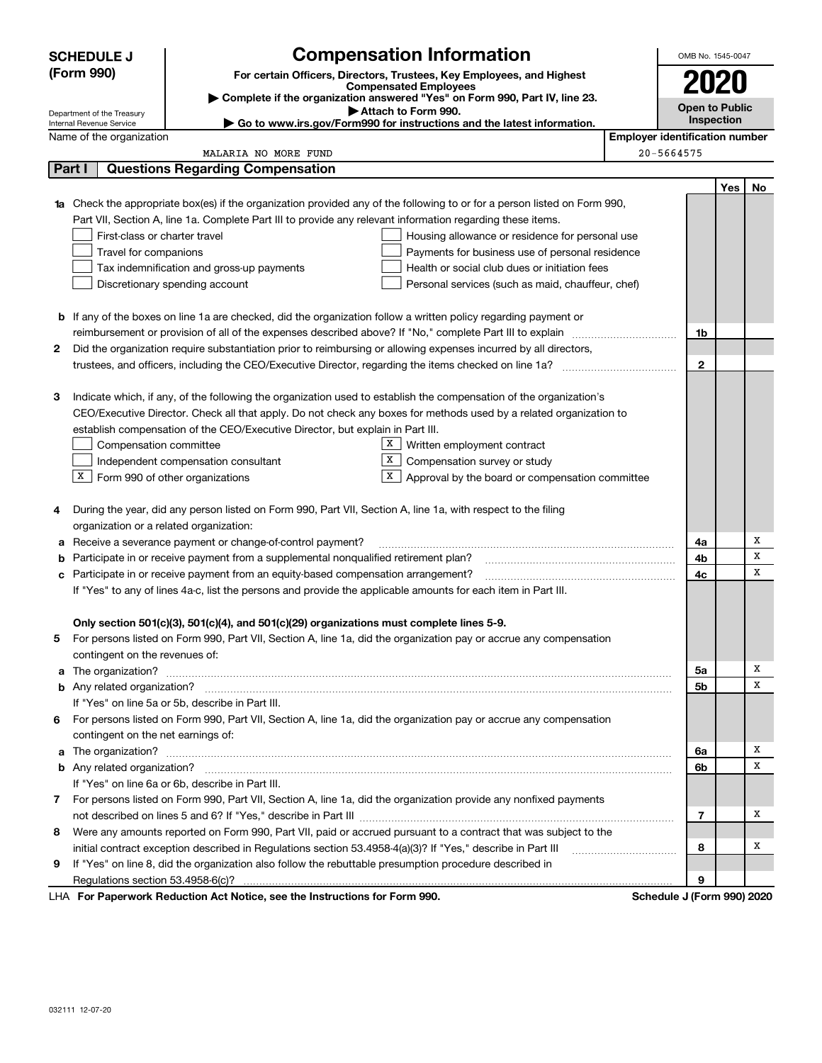|        | <b>SCHEDULE J</b>                                      |                                                                                                                                  | <b>Compensation Information</b>                                                                   |                                       | OMB No. 1545-0047     |            |    |  |
|--------|--------------------------------------------------------|----------------------------------------------------------------------------------------------------------------------------------|---------------------------------------------------------------------------------------------------|---------------------------------------|-----------------------|------------|----|--|
|        | (Form 990)                                             |                                                                                                                                  | For certain Officers, Directors, Trustees, Key Employees, and Highest                             |                                       |                       |            |    |  |
|        |                                                        |                                                                                                                                  | <b>Compensated Employees</b>                                                                      |                                       | 2020                  |            |    |  |
|        |                                                        |                                                                                                                                  | Complete if the organization answered "Yes" on Form 990, Part IV, line 23.<br>Attach to Form 990. |                                       | <b>Open to Public</b> |            |    |  |
|        | Department of the Treasury<br>Internal Revenue Service |                                                                                                                                  | ► Go to www.irs.gov/Form990 for instructions and the latest information.                          |                                       |                       | Inspection |    |  |
|        | Name of the organization                               |                                                                                                                                  |                                                                                                   | <b>Employer identification number</b> |                       |            |    |  |
|        |                                                        | MALARIA NO MORE FUND                                                                                                             |                                                                                                   | 20-5664575                            |                       |            |    |  |
| Part I |                                                        | <b>Questions Regarding Compensation</b>                                                                                          |                                                                                                   |                                       |                       |            |    |  |
|        |                                                        |                                                                                                                                  |                                                                                                   |                                       |                       | Yes        | No |  |
|        |                                                        | <b>1a</b> Check the appropriate box(es) if the organization provided any of the following to or for a person listed on Form 990, |                                                                                                   |                                       |                       |            |    |  |
|        |                                                        | Part VII, Section A, line 1a. Complete Part III to provide any relevant information regarding these items.                       |                                                                                                   |                                       |                       |            |    |  |
|        | First-class or charter travel                          |                                                                                                                                  | Housing allowance or residence for personal use                                                   |                                       |                       |            |    |  |
|        | Travel for companions                                  |                                                                                                                                  | Payments for business use of personal residence                                                   |                                       |                       |            |    |  |
|        |                                                        | Tax indemnification and gross-up payments                                                                                        | Health or social club dues or initiation fees                                                     |                                       |                       |            |    |  |
|        |                                                        | Discretionary spending account                                                                                                   | Personal services (such as maid, chauffeur, chef)                                                 |                                       |                       |            |    |  |
|        |                                                        |                                                                                                                                  |                                                                                                   |                                       |                       |            |    |  |
|        |                                                        | <b>b</b> If any of the boxes on line 1a are checked, did the organization follow a written policy regarding payment or           |                                                                                                   |                                       |                       |            |    |  |
|        |                                                        | reimbursement or provision of all of the expenses described above? If "No," complete Part III to explain                         |                                                                                                   |                                       | 1b                    |            |    |  |
| 2      |                                                        | Did the organization require substantiation prior to reimbursing or allowing expenses incurred by all directors,                 |                                                                                                   |                                       |                       |            |    |  |
|        |                                                        |                                                                                                                                  |                                                                                                   |                                       | $\mathbf{2}$          |            |    |  |
|        |                                                        |                                                                                                                                  |                                                                                                   |                                       |                       |            |    |  |
| З      |                                                        | Indicate which, if any, of the following the organization used to establish the compensation of the organization's               |                                                                                                   |                                       |                       |            |    |  |
|        |                                                        | CEO/Executive Director. Check all that apply. Do not check any boxes for methods used by a related organization to               |                                                                                                   |                                       |                       |            |    |  |
|        |                                                        | establish compensation of the CEO/Executive Director, but explain in Part III.                                                   | $\mathbf{x}$                                                                                      |                                       |                       |            |    |  |
|        | Compensation committee                                 |                                                                                                                                  | Written employment contract<br>х                                                                  |                                       |                       |            |    |  |
|        | $X$ Form 990 of other organizations                    | Independent compensation consultant                                                                                              | Compensation survey or study<br>X                                                                 |                                       |                       |            |    |  |
|        |                                                        |                                                                                                                                  | Approval by the board or compensation committee                                                   |                                       |                       |            |    |  |
| 4      |                                                        | During the year, did any person listed on Form 990, Part VII, Section A, line 1a, with respect to the filing                     |                                                                                                   |                                       |                       |            |    |  |
|        | organization or a related organization:                |                                                                                                                                  |                                                                                                   |                                       |                       |            |    |  |
| а      |                                                        | Receive a severance payment or change-of-control payment?                                                                        |                                                                                                   |                                       | 4a                    |            | х  |  |
| b      |                                                        | Participate in or receive payment from a supplemental nonqualified retirement plan?                                              |                                                                                                   |                                       | 4b                    |            | X  |  |
| с      |                                                        | Participate in or receive payment from an equity-based compensation arrangement?                                                 |                                                                                                   |                                       | 4c                    |            | X  |  |
|        |                                                        | If "Yes" to any of lines 4a-c, list the persons and provide the applicable amounts for each item in Part III.                    |                                                                                                   |                                       |                       |            |    |  |
|        |                                                        |                                                                                                                                  |                                                                                                   |                                       |                       |            |    |  |
|        |                                                        | Only section 501(c)(3), 501(c)(4), and 501(c)(29) organizations must complete lines 5-9.                                         |                                                                                                   |                                       |                       |            |    |  |
|        |                                                        | For persons listed on Form 990, Part VII, Section A, line 1a, did the organization pay or accrue any compensation                |                                                                                                   |                                       |                       |            |    |  |
|        | contingent on the revenues of:                         |                                                                                                                                  |                                                                                                   |                                       |                       |            |    |  |
|        |                                                        | a The organization? <b>Entitled Strategies and Strategies and Strategies</b> and The organization?                               |                                                                                                   |                                       | 5a                    |            | x  |  |
|        |                                                        |                                                                                                                                  |                                                                                                   |                                       | 5b                    |            | х  |  |
|        |                                                        | If "Yes" on line 5a or 5b, describe in Part III.                                                                                 |                                                                                                   |                                       |                       |            |    |  |
| 6.     |                                                        | For persons listed on Form 990, Part VII, Section A, line 1a, did the organization pay or accrue any compensation                |                                                                                                   |                                       |                       |            |    |  |
|        | contingent on the net earnings of:                     |                                                                                                                                  |                                                                                                   |                                       |                       |            |    |  |
|        |                                                        | a The organization? <b>Entitled Strategies and Strategies and Strategies</b> and The organization?                               |                                                                                                   |                                       | 6a                    |            | x  |  |
|        |                                                        |                                                                                                                                  |                                                                                                   |                                       | 6b                    |            | х  |  |
|        |                                                        | If "Yes" on line 6a or 6b, describe in Part III.                                                                                 |                                                                                                   |                                       |                       |            |    |  |
|        |                                                        | 7 For persons listed on Form 990, Part VII, Section A, line 1a, did the organization provide any nonfixed payments               |                                                                                                   |                                       |                       |            |    |  |
|        |                                                        |                                                                                                                                  |                                                                                                   |                                       | 7                     |            | х  |  |
| 8      |                                                        | Were any amounts reported on Form 990, Part VII, paid or accrued pursuant to a contract that was subject to the                  |                                                                                                   |                                       |                       |            |    |  |
|        |                                                        | initial contract exception described in Regulations section 53.4958-4(a)(3)? If "Yes," describe in Part III                      |                                                                                                   |                                       | 8                     |            | х  |  |
| 9      |                                                        | If "Yes" on line 8, did the organization also follow the rebuttable presumption procedure described in                           |                                                                                                   |                                       |                       |            |    |  |
|        |                                                        |                                                                                                                                  |                                                                                                   |                                       | 9                     |            |    |  |
|        |                                                        | LHA For Paperwork Reduction Act Notice, see the Instructions for Form 990.                                                       |                                                                                                   | Schedule J (Form 990) 2020            |                       |            |    |  |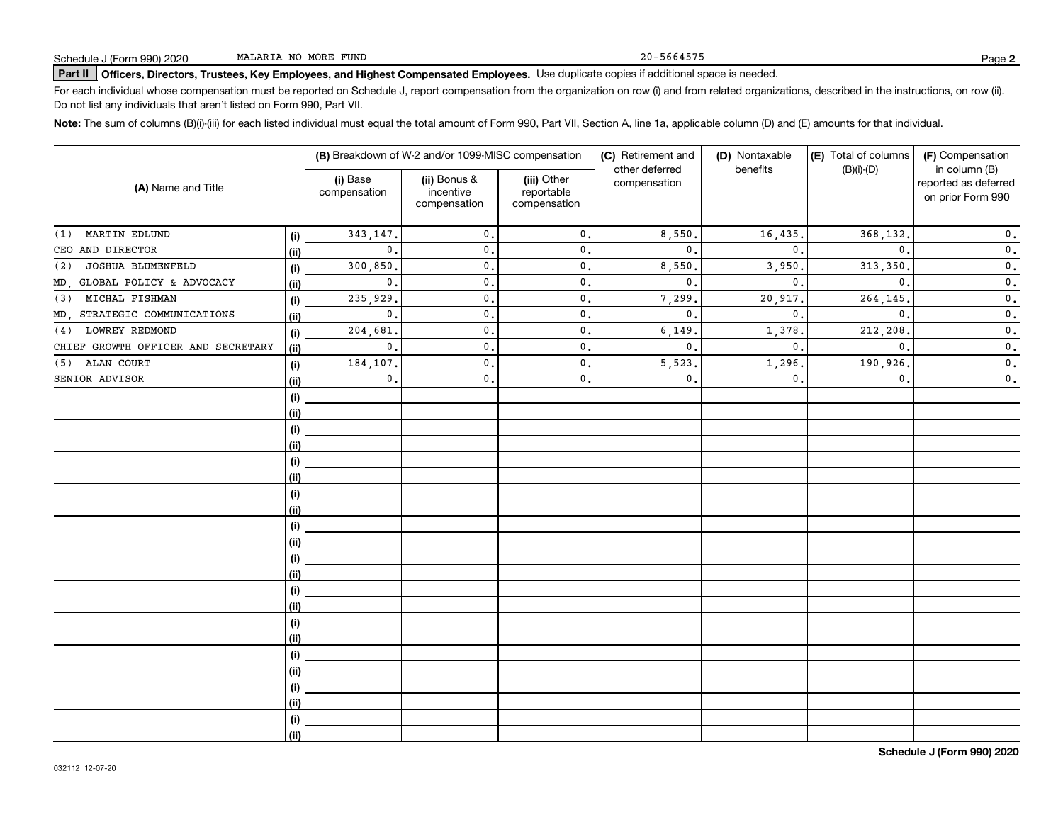20-5664575

# **Part II Officers, Directors, Trustees, Key Employees, and Highest Compensated Employees.**  Schedule J (Form 990) 2020 Page Use duplicate copies if additional space is needed.

For each individual whose compensation must be reported on Schedule J, report compensation from the organization on row (i) and from related organizations, described in the instructions, on row (ii). Do not list any individuals that aren't listed on Form 990, Part VII.

**Note:**  The sum of columns (B)(i)-(iii) for each listed individual must equal the total amount of Form 990, Part VII, Section A, line 1a, applicable column (D) and (E) amounts for that individual.

|                                    |      |                          | (B) Breakdown of W-2 and/or 1099-MISC compensation |                                           | (C) Retirement and             | (D) Nontaxable | (E) Total of columns | (F) Compensation                                           |  |
|------------------------------------|------|--------------------------|----------------------------------------------------|-------------------------------------------|--------------------------------|----------------|----------------------|------------------------------------------------------------|--|
| (A) Name and Title                 |      | (i) Base<br>compensation | (ii) Bonus &<br>incentive<br>compensation          | (iii) Other<br>reportable<br>compensation | other deferred<br>compensation | benefits       | $(B)(i)-(D)$         | in column (B)<br>reported as deferred<br>on prior Form 990 |  |
| MARTIN EDLUND<br>(1)               | (i)  | 343,147.                 | $\mathbf{0}$ .                                     | $\mathsf{0}\,$ .                          | 8,550                          | 16,435.        | 368,132.             | $\mathfrak o$ .                                            |  |
| CEO AND DIRECTOR                   | (ii) | $\mathbf{0}$ .           | $\mathbf{0}$ .                                     | $\mathbf{0}$ .                            | $\mathbf{0}$ .                 | $\mathbf{0}$   | $\mathbf{0}$ .       | $\mathbf 0$ .                                              |  |
| JOSHUA BLUMENFELD<br>(2)           | (i)  | 300,850                  | $\mathbf{0}$                                       | $\mathbf{0}$ .                            | 8,550                          | 3,950          | 313, 350.            | $\mathbf 0$ .                                              |  |
| MD, GLOBAL POLICY & ADVOCACY       | (ii) | $\mathbf{0}$ .           | $\mathbf{0}$ .                                     | $\mathfrak o$ .                           | $\mathbf 0$ .                  | $\mathbf{0}$   | $\mathbf{0}$ .       | $\mathbf 0$ .                                              |  |
| MICHAL FISHMAN<br>(3)              | (i)  | 235,929.                 | $\mathbf{0}$ .                                     | $\mathfrak o$ .                           | 7,299                          | 20,917         | 264,145.             | $\overline{\mathbf{0}}$ .                                  |  |
| MD, STRATEGIC COMMUNICATIONS       | (ii) | $\mathbf{0}$ .           | $\mathbf{0}$ .                                     | $\mathbf{0}$ .                            | $\mathbf 0$ .                  | $\mathbf{0}$   | $\mathbf{0}$ .       | $\overline{\mathbf{0}}$ .                                  |  |
| LOWREY REDMOND<br>(4)              | (i)  | 204,681                  | $\mathbf{0}$ .                                     | $\mathbf{0}$ .                            | 6,149                          | 1,378          | 212,208.             | $\mathbf 0$ .                                              |  |
| CHIEF GROWTH OFFICER AND SECRETARY | (ii) | $\mathbf{0}$ .           | $\mathbf{0}$ .                                     | $\mathbf{0}$ .                            | $\mathbf 0$ .                  | $\mathbf{0}$   | $\mathbf{0}$ .       | $\mathbf 0$ .                                              |  |
| ALAN COURT<br>(5)                  | (i)  | 184,107.                 | $\mathbf{0}$ .                                     | $\mathbf{0}$ .                            | 5,523                          | 1,296          | 190,926.             | $\mathbf 0$ .                                              |  |
| SENIOR ADVISOR                     | (ii) | $\mathbf{0}$ .           | 0.                                                 | $\mathbf{0}$ .                            | $\mathbf 0$ .                  | 0.             | $\mathbf{0}$ .       | $\mathbf 0$ .                                              |  |
|                                    | (i)  |                          |                                                    |                                           |                                |                |                      |                                                            |  |
|                                    | (ii) |                          |                                                    |                                           |                                |                |                      |                                                            |  |
|                                    | (i)  |                          |                                                    |                                           |                                |                |                      |                                                            |  |
|                                    | (ii) |                          |                                                    |                                           |                                |                |                      |                                                            |  |
|                                    | (i)  |                          |                                                    |                                           |                                |                |                      |                                                            |  |
|                                    | (ii) |                          |                                                    |                                           |                                |                |                      |                                                            |  |
|                                    | (i)  |                          |                                                    |                                           |                                |                |                      |                                                            |  |
|                                    | (ii) |                          |                                                    |                                           |                                |                |                      |                                                            |  |
|                                    | (i)  |                          |                                                    |                                           |                                |                |                      |                                                            |  |
|                                    | (ii) |                          |                                                    |                                           |                                |                |                      |                                                            |  |
|                                    | (i)  |                          |                                                    |                                           |                                |                |                      |                                                            |  |
|                                    | (ii) |                          |                                                    |                                           |                                |                |                      |                                                            |  |
|                                    | (i)  |                          |                                                    |                                           |                                |                |                      |                                                            |  |
|                                    | (ii) |                          |                                                    |                                           |                                |                |                      |                                                            |  |
|                                    | (i)  |                          |                                                    |                                           |                                |                |                      |                                                            |  |
|                                    | (ii) |                          |                                                    |                                           |                                |                |                      |                                                            |  |
|                                    | (i)  |                          |                                                    |                                           |                                |                |                      |                                                            |  |
|                                    | (ii) |                          |                                                    |                                           |                                |                |                      |                                                            |  |
|                                    | (i)  |                          |                                                    |                                           |                                |                |                      |                                                            |  |
|                                    | (ii) |                          |                                                    |                                           |                                |                |                      |                                                            |  |
|                                    | (i)  |                          |                                                    |                                           |                                |                |                      |                                                            |  |
|                                    | (ii) |                          |                                                    |                                           |                                |                |                      |                                                            |  |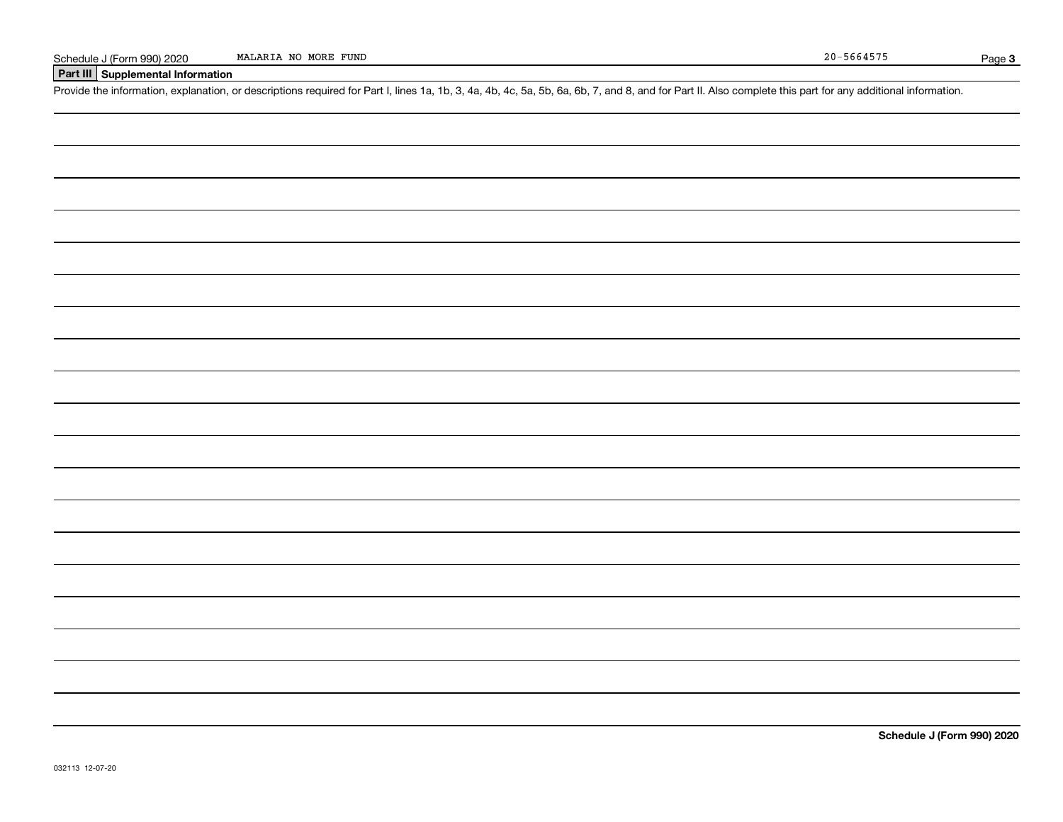### **Part III Supplemental Information**

Schedule J (Form 990) 2020 MALARIA NO MORE FUND<br>Part III Supplemental Information<br>Provide the information, explanation, or descriptions required for Part I, lines 1a, 1b, 3, 4a, 4b, 4c, 5a, 5b, 6a, 6b, 7, and 8, and for Pa

**Schedule J (Form 990) 2020**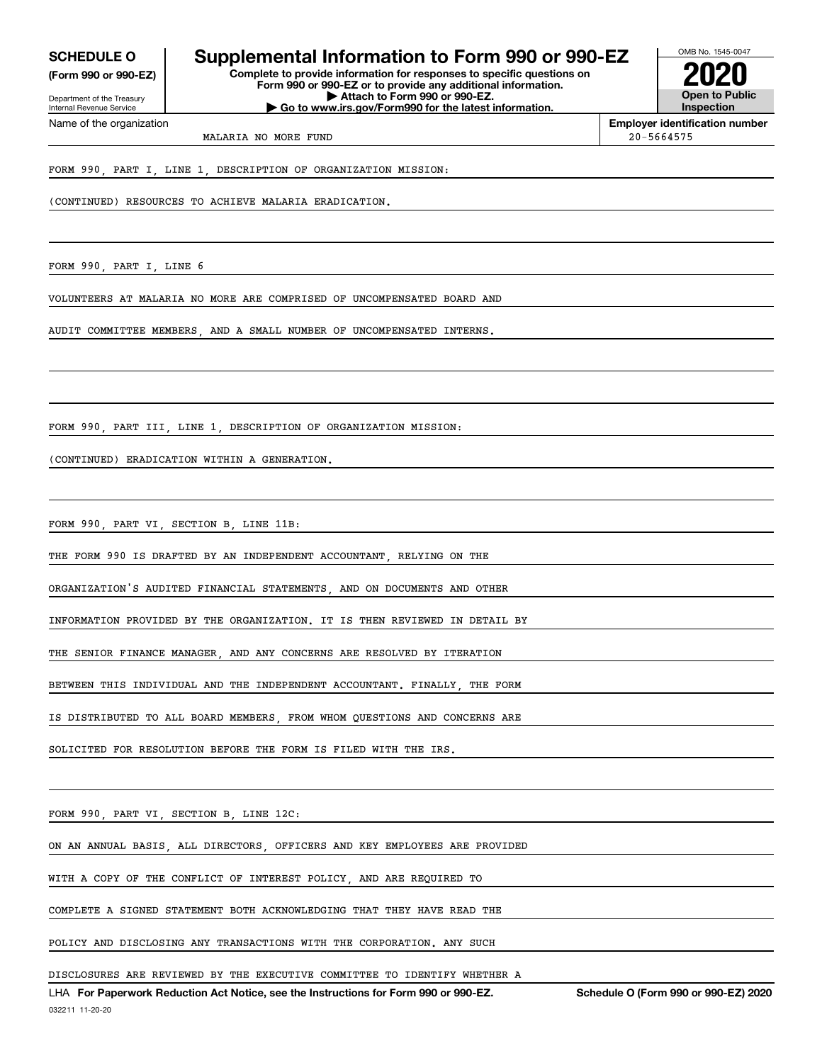**(Form 990 or 990-EZ)**

Department of the Treasury Internal Revenue Service Name of the organization

### **SCHEDULE O Supplemental Information to Form 990 or 990-EZ**

**Complete to provide information for responses to specific questions on Form 990 or 990-EZ or to provide any additional information. | Attach to Form 990 or 990-EZ. | Go to www.irs.gov/Form990 for the latest information.**



**Employer identification number**

MALARIA NO MORE FUND 20-5664575

FORM 990, PART I, LINE 1, DESCRIPTION OF ORGANIZATION MISSION:

(CONTINUED) RESOURCES TO ACHIEVE MALARIA ERADICATION.

FORM 990, PART I, LINE 6

VOLUNTEERS AT MALARIA NO MORE ARE COMPRISED OF UNCOMPENSATED BOARD AND

AUDIT COMMITTEE MEMBERS, AND A SMALL NUMBER OF UNCOMPENSATED INTERNS.

FORM 990, PART III, LINE 1, DESCRIPTION OF ORGANIZATION MISSION:

(CONTINUED) ERADICATION WITHIN A GENERATION.

FORM 990, PART VI, SECTION B, LINE 11B:

THE FORM 990 IS DRAFTED BY AN INDEPENDENT ACCOUNTANT, RELYING ON THE

ORGANIZATION'S AUDITED FINANCIAL STATEMENTS, AND ON DOCUMENTS AND OTHER

INFORMATION PROVIDED BY THE ORGANIZATION. IT IS THEN REVIEWED IN DETAIL BY

THE SENIOR FINANCE MANAGER, AND ANY CONCERNS ARE RESOLVED BY ITERATION

BETWEEN THIS INDIVIDUAL AND THE INDEPENDENT ACCOUNTANT. FINALLY, THE FORM

IS DISTRIBUTED TO ALL BOARD MEMBERS, FROM WHOM QUESTIONS AND CONCERNS ARE

SOLICITED FOR RESOLUTION BEFORE THE FORM IS FILED WITH THE IRS.

FORM 990, PART VI, SECTION B, LINE 12C:

ON AN ANNUAL BASIS, ALL DIRECTORS, OFFICERS AND KEY EMPLOYEES ARE PROVIDED

WITH A COPY OF THE CONFLICT OF INTEREST POLICY, AND ARE REQUIRED TO

COMPLETE A SIGNED STATEMENT BOTH ACKNOWLEDGING THAT THEY HAVE READ THE

POLICY AND DISCLOSING ANY TRANSACTIONS WITH THE CORPORATION. ANY SUCH

DISCLOSURES ARE REVIEWED BY THE EXECUTIVE COMMITTEE TO IDENTIFY WHETHER A

LHA For Paperwork Reduction Act Notice, see the Instructions for Form 990 or 990-EZ. Schedule O (Form 990 or 990-EZ) 2020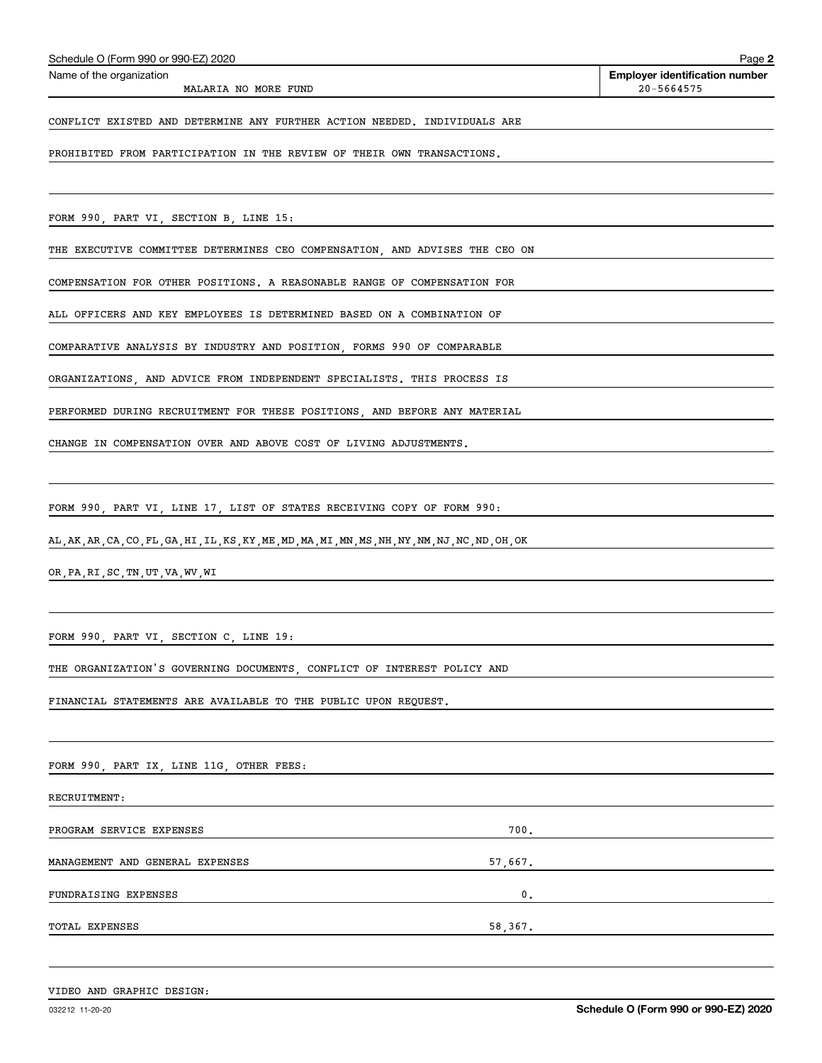MALARIA NO MORE FUND 20-5664575

Echedule O (Form 990 or 990-EZ) 2020<br>Name of the organization **number** Name of the organization **number** 

#### CONFLICT EXISTED AND DETERMINE ANY FURTHER ACTION NEEDED. INDIVIDUALS ARE

PROHIBITED FROM PARTICIPATION IN THE REVIEW OF THEIR OWN TRANSACTIONS.

FORM 990, PART VI, SECTION B, LINE 15:

THE EXECUTIVE COMMITTEE DETERMINES CEO COMPENSATION, AND ADVISES THE CEO ON

COMPENSATION FOR OTHER POSITIONS. A REASONABLE RANGE OF COMPENSATION FOR

ALL OFFICERS AND KEY EMPLOYEES IS DETERMINED BASED ON A COMBINATION OF

COMPARATIVE ANALYSIS BY INDUSTRY AND POSITION, FORMS 990 OF COMPARABLE

ORGANIZATIONS, AND ADVICE FROM INDEPENDENT SPECIALISTS. THIS PROCESS IS

PERFORMED DURING RECRUITMENT FOR THESE POSITIONS, AND BEFORE ANY MATERIAL

CHANGE IN COMPENSATION OVER AND ABOVE COST OF LIVING ADJUSTMENTS.

FORM 990, PART VI, LINE 17, LIST OF STATES RECEIVING COPY OF FORM 990:

AL,AK,AR,CA,CO,FL,GA,HI,IL,KS,KY,ME,MD,MA,MI,MN,MS,NH,NY,NM,NJ,NC,ND,OH,OK

OR,PA,RI,SC,TN,UT,VA,WV,WI

FORM 990, PART VI, SECTION C, LINE 19:

THE ORGANIZATION'S GOVERNING DOCUMENTS, CONFLICT OF INTEREST POLICY AND

FINANCIAL STATEMENTS ARE AVAILABLE TO THE PUBLIC UPON REQUEST.

FORM 990, PART IX, LINE 11G, OTHER FEES:

RECRUITMENT:

PROGRAM SERVICE EXPENSES 700. MANAGEMENT AND GENERAL EXPENSES 57,667. FUNDRAISING EXPENSES 0. TOTAL EXPENSES 58,367.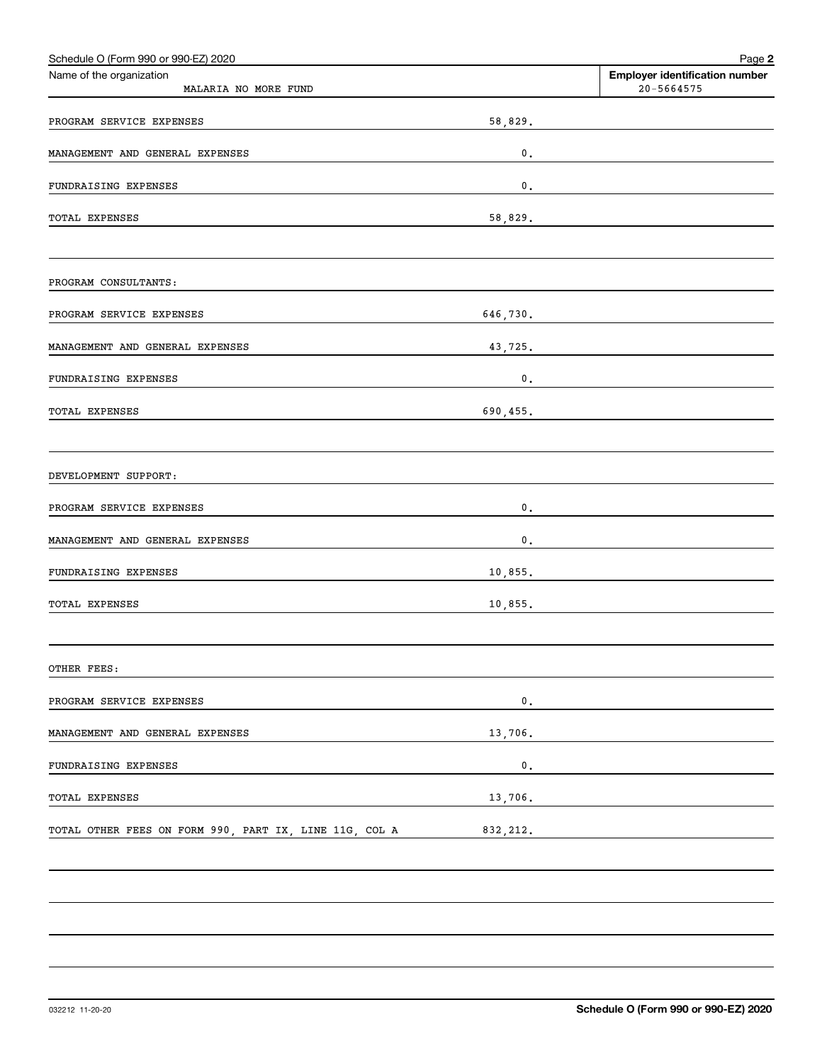| Schedule O (Form 990 or 990-EZ) 2020                   |               | Page 2                                                  |
|--------------------------------------------------------|---------------|---------------------------------------------------------|
| Name of the organization<br>MALARIA NO MORE FUND       |               | <b>Employer identification number</b><br>$20 - 5664575$ |
| PROGRAM SERVICE EXPENSES                               | 58,829.       |                                                         |
| MANAGEMENT AND GENERAL EXPENSES                        | $\mathbf 0$ . |                                                         |
| FUNDRAISING EXPENSES                                   | $\mathbf 0$ . |                                                         |
| <b>TOTAL EXPENSES</b>                                  | 58,829.       |                                                         |
| PROGRAM CONSULTANTS:                                   |               |                                                         |
| PROGRAM SERVICE EXPENSES                               | 646,730.      |                                                         |
| MANAGEMENT AND GENERAL EXPENSES                        | 43,725.       |                                                         |
| FUNDRAISING EXPENSES                                   | $\mathbf 0$ . |                                                         |
| <b>TOTAL EXPENSES</b>                                  | 690, 455.     |                                                         |
| DEVELOPMENT SUPPORT:                                   |               |                                                         |
| PROGRAM SERVICE EXPENSES                               | $\mathbf 0$ . |                                                         |
| MANAGEMENT AND GENERAL EXPENSES                        | $\mathbf 0$ . |                                                         |
| FUNDRAISING EXPENSES                                   | 10,855.       |                                                         |
| <b>TOTAL EXPENSES</b>                                  | 10,855.       |                                                         |
| OTHER FEES:                                            |               |                                                         |
| PROGRAM SERVICE EXPENSES                               | $\mathbf 0$ . |                                                         |
| MANAGEMENT AND GENERAL EXPENSES                        | 13,706.       |                                                         |
| FUNDRAISING EXPENSES                                   | $\mathbf 0$ . |                                                         |
| TOTAL EXPENSES                                         | 13,706.       |                                                         |
| TOTAL OTHER FEES ON FORM 990, PART IX, LINE 11G, COL A | 832, 212.     |                                                         |
|                                                        |               |                                                         |
|                                                        |               |                                                         |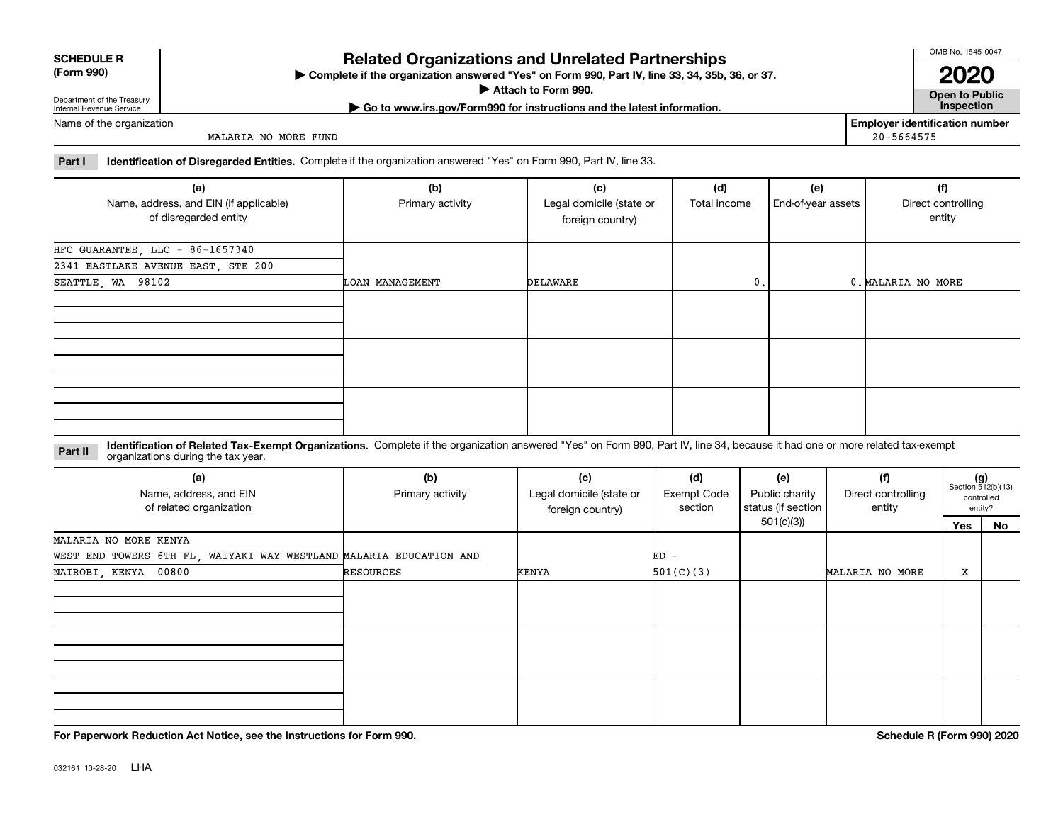| <b>SCHEDULE R</b> |
|-------------------|
|                   |

**(Form 990)**

### **Related Organizations and Unrelated Partnerships**

**Complete if the organization answered "Yes" on Form 990, Part IV, line 33, 34, 35b, 36, or 37.** |

**Attach to Form 990.**  |

OMB No. 1545-0047 **2020**

**Open to Public | Go to www.irs.gov/Form990 for instructions and the latest information. Inspection**

Department of the Treasury Internal Revenue Service Name of the organization

MALARIA NO MORE FUND

**Employer identification number** 20-5664575

**Part I Identification of Disregarded Entities.**  Complete if the organization answered "Yes" on Form 990, Part IV, line 33.

| (a)<br>Name, address, and EIN (if applicable)<br>of disregarded entity | (b)<br>Primary activity | (c)<br>Legal domicile (state or<br>foreign country) | (d)<br>Total income | (e)<br>End-of-year assets | (f)<br>Direct controlling<br>entity |
|------------------------------------------------------------------------|-------------------------|-----------------------------------------------------|---------------------|---------------------------|-------------------------------------|
|                                                                        |                         |                                                     |                     |                           |                                     |
| HFC GUARANTEE, LLC - 86-1657340                                        |                         |                                                     |                     |                           |                                     |
| 2341 EASTLAKE AVENUE EAST, STE 200                                     |                         |                                                     |                     |                           |                                     |
| SEATTLE, WA 98102                                                      | LOAN MANAGEMENT         | DELAWARE                                            | 0.                  |                           | 0. MALARIA NO MORE                  |
|                                                                        |                         |                                                     |                     |                           |                                     |
|                                                                        |                         |                                                     |                     |                           |                                     |
|                                                                        |                         |                                                     |                     |                           |                                     |

**Identification of Related Tax-Exempt Organizations.** Complete if the organization answered "Yes" on Form 990, Part IV, line 34, because it had one or more related tax-exempt **Part II** organizations during the tax year.

| (a)<br>Name, address, and EIN<br>of related organization           | (b)<br>Primary activity | (c)<br>Legal domicile (state or<br>foreign country) | (d)<br>Exempt Code<br>section  | (e)<br>Public charity<br>status (if section | (f)<br>Direct controlling<br>entity |     | $(g)$<br>Section 512(b)(13)<br>controlled<br>entity? |
|--------------------------------------------------------------------|-------------------------|-----------------------------------------------------|--------------------------------|---------------------------------------------|-------------------------------------|-----|------------------------------------------------------|
|                                                                    |                         |                                                     |                                | 501(c)(3))                                  |                                     | Yes | No                                                   |
| MALARIA NO MORE KENYA                                              |                         |                                                     |                                |                                             |                                     |     |                                                      |
| WEST END TOWERS 6TH FL, WAIYAKI WAY WESTLAND MALARIA EDUCATION AND |                         |                                                     | ED<br>$\overline{\phantom{a}}$ |                                             |                                     |     |                                                      |
| NAIROBI, KENYA 00800                                               | RESOURCES               | KENYA                                               | 501(C)(3)                      |                                             | MALARIA NO MORE                     | x   |                                                      |
|                                                                    |                         |                                                     |                                |                                             |                                     |     |                                                      |
|                                                                    |                         |                                                     |                                |                                             |                                     |     |                                                      |
|                                                                    |                         |                                                     |                                |                                             |                                     |     |                                                      |

**For Paperwork Reduction Act Notice, see the Instructions for Form 990. Schedule R (Form 990) 2020**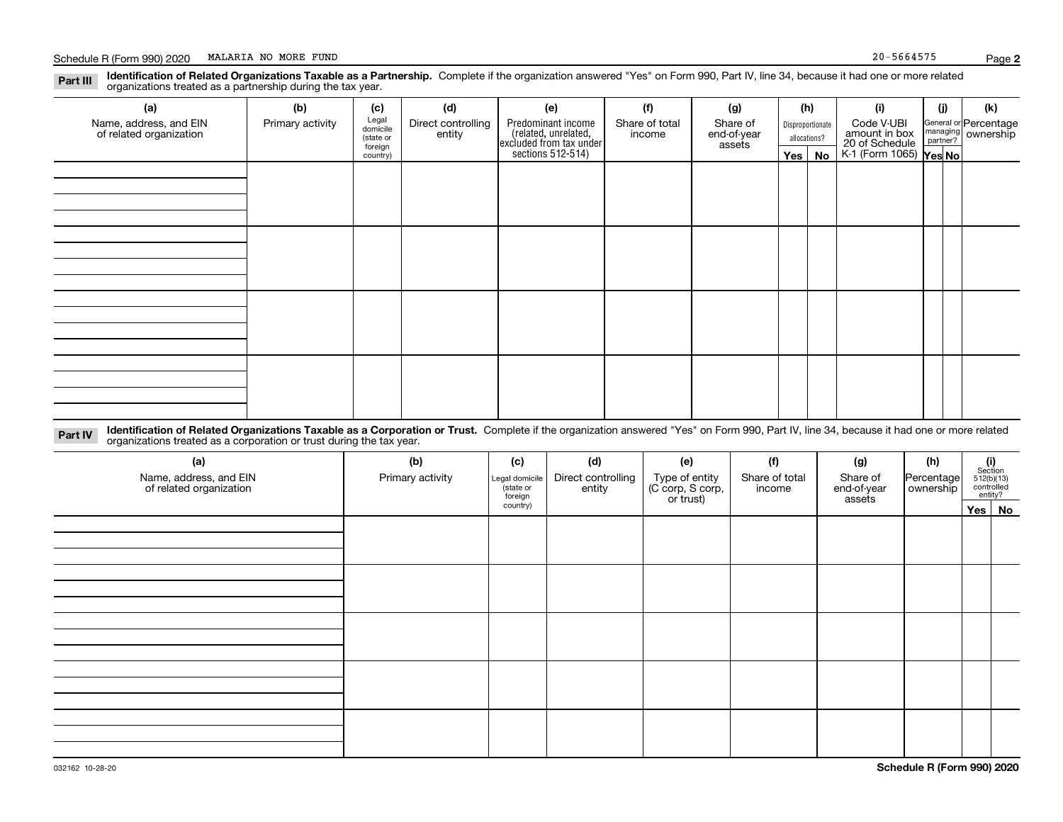#### **Identification of Related Organizations Taxable as a Partnership.** Complete if the organization answered "Yes" on Form 990, Part IV, line 34, because it had one or more related **Part III** organizations treated as a partnership during the tax year.

| (a)                     | (b)              | (c)                  | (d)                | (e)                                                                 | (f)            | (g)                   |                  | (h)          | (i)                                                       | (j) | (k)                   |  |
|-------------------------|------------------|----------------------|--------------------|---------------------------------------------------------------------|----------------|-----------------------|------------------|--------------|-----------------------------------------------------------|-----|-----------------------|--|
| Name, address, and EIN  | Primary activity | Legal<br>domicile    | Direct controlling | Predominant income                                                  | Share of total | Share of              | Disproportionate |              | Code V-UBI                                                |     | General or Percentage |  |
| of related organization |                  | (state or<br>foreign | entity             | related, unrelated,<br>excluded from tax under<br>sections 512-514) | income         | end-of-year<br>assets |                  | allocations? |                                                           |     | managing ownership    |  |
|                         |                  | country)             |                    |                                                                     |                |                       |                  | Yes   No     | amount in box<br>20 of Schedule<br>K-1 (Form 1065) Yes No |     |                       |  |
|                         |                  |                      |                    |                                                                     |                |                       |                  |              |                                                           |     |                       |  |
|                         |                  |                      |                    |                                                                     |                |                       |                  |              |                                                           |     |                       |  |
|                         |                  |                      |                    |                                                                     |                |                       |                  |              |                                                           |     |                       |  |
|                         |                  |                      |                    |                                                                     |                |                       |                  |              |                                                           |     |                       |  |
|                         |                  |                      |                    |                                                                     |                |                       |                  |              |                                                           |     |                       |  |
|                         |                  |                      |                    |                                                                     |                |                       |                  |              |                                                           |     |                       |  |
|                         |                  |                      |                    |                                                                     |                |                       |                  |              |                                                           |     |                       |  |
|                         |                  |                      |                    |                                                                     |                |                       |                  |              |                                                           |     |                       |  |
|                         |                  |                      |                    |                                                                     |                |                       |                  |              |                                                           |     |                       |  |
|                         |                  |                      |                    |                                                                     |                |                       |                  |              |                                                           |     |                       |  |
|                         |                  |                      |                    |                                                                     |                |                       |                  |              |                                                           |     |                       |  |
|                         |                  |                      |                    |                                                                     |                |                       |                  |              |                                                           |     |                       |  |
|                         |                  |                      |                    |                                                                     |                |                       |                  |              |                                                           |     |                       |  |
|                         |                  |                      |                    |                                                                     |                |                       |                  |              |                                                           |     |                       |  |
|                         |                  |                      |                    |                                                                     |                |                       |                  |              |                                                           |     |                       |  |
|                         |                  |                      |                    |                                                                     |                |                       |                  |              |                                                           |     |                       |  |
|                         |                  |                      |                    |                                                                     |                |                       |                  |              |                                                           |     |                       |  |

**Identification of Related Organizations Taxable as a Corporation or Trust.** Complete if the organization answered "Yes" on Form 990, Part IV, line 34, because it had one or more related **Part IV** organizations treated as a corporation or trust during the tax year.

| (a)<br>Name, address, and EIN<br>of related organization | (b)<br>Primary activity | (c)<br>Legal domicile<br>(state or<br>foreign | (d)<br>Direct controlling<br>entity | (e)<br>Type of entity<br>(C corp, S corp,<br>or trust) | (f)<br>Share of total<br>income | (g)<br>Share of<br>end-of-year<br>assets | (h)<br>Percentage<br>ownership | $\begin{array}{c} \textbf{(i)}\\ \text{Section}\\ 512 \text{(b)} \text{(13)}\\ \text{controlled}\\ \text{entity?} \end{array}$ |  |
|----------------------------------------------------------|-------------------------|-----------------------------------------------|-------------------------------------|--------------------------------------------------------|---------------------------------|------------------------------------------|--------------------------------|--------------------------------------------------------------------------------------------------------------------------------|--|
|                                                          |                         | country)                                      |                                     |                                                        |                                 |                                          |                                | Yes No                                                                                                                         |  |
|                                                          |                         |                                               |                                     |                                                        |                                 |                                          |                                |                                                                                                                                |  |
|                                                          |                         |                                               |                                     |                                                        |                                 |                                          |                                |                                                                                                                                |  |
|                                                          |                         |                                               |                                     |                                                        |                                 |                                          |                                |                                                                                                                                |  |
|                                                          |                         |                                               |                                     |                                                        |                                 |                                          |                                |                                                                                                                                |  |
|                                                          |                         |                                               |                                     |                                                        |                                 |                                          |                                |                                                                                                                                |  |
|                                                          |                         |                                               |                                     |                                                        |                                 |                                          |                                |                                                                                                                                |  |
|                                                          |                         |                                               |                                     |                                                        |                                 |                                          |                                |                                                                                                                                |  |
|                                                          |                         |                                               |                                     |                                                        |                                 |                                          |                                |                                                                                                                                |  |
|                                                          |                         |                                               |                                     |                                                        |                                 |                                          |                                |                                                                                                                                |  |
|                                                          |                         |                                               |                                     |                                                        |                                 |                                          |                                |                                                                                                                                |  |
|                                                          |                         |                                               |                                     |                                                        |                                 |                                          |                                |                                                                                                                                |  |
|                                                          |                         |                                               |                                     |                                                        |                                 |                                          |                                |                                                                                                                                |  |
|                                                          |                         |                                               |                                     |                                                        |                                 |                                          |                                |                                                                                                                                |  |
|                                                          |                         |                                               |                                     |                                                        |                                 |                                          |                                |                                                                                                                                |  |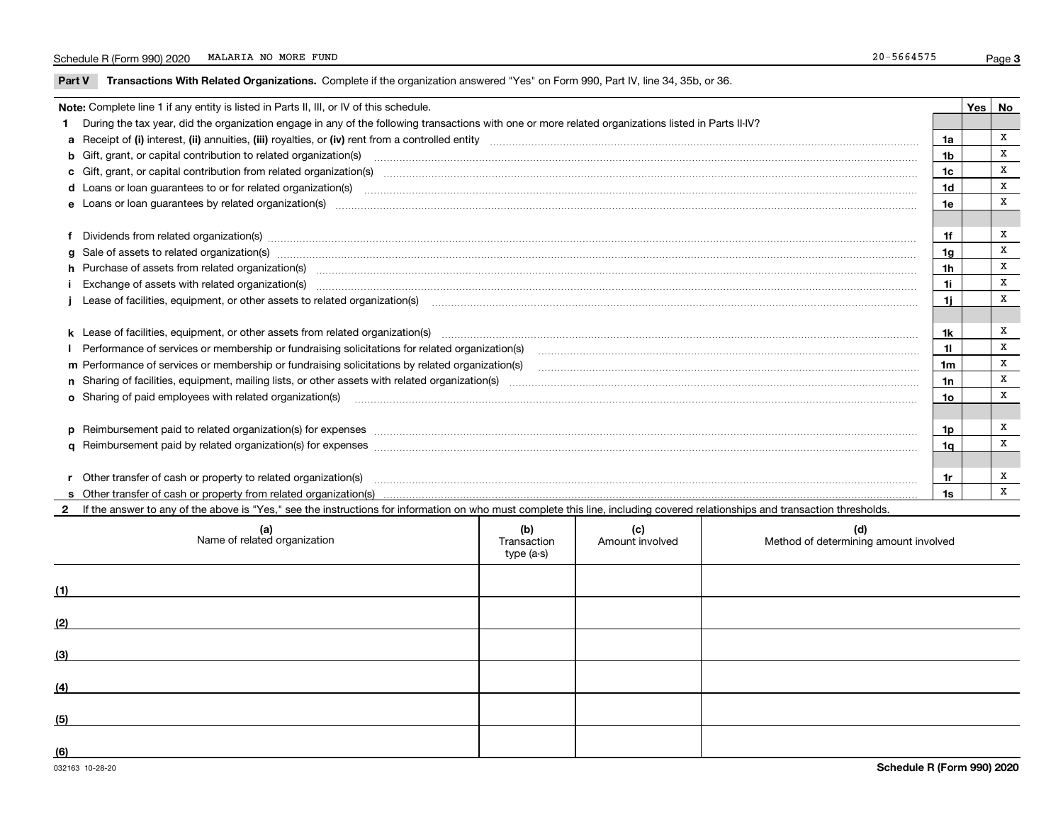$\overline{\phantom{0}}$ 

**Part V** T**ransactions With Related Organizations.** Complete if the organization answered "Yes" on Form 990, Part IV, line 34, 35b, or 36.

| Note: Complete line 1 if any entity is listed in Parts II, III, or IV of this schedule. |                                                                                                                                                                                                                                |                 |  |   |  |  |
|-----------------------------------------------------------------------------------------|--------------------------------------------------------------------------------------------------------------------------------------------------------------------------------------------------------------------------------|-----------------|--|---|--|--|
|                                                                                         | During the tax year, did the organization engage in any of the following transactions with one or more related organizations listed in Parts II-IV?                                                                            |                 |  |   |  |  |
|                                                                                         |                                                                                                                                                                                                                                | 1a              |  | X |  |  |
|                                                                                         | b Gift, grant, or capital contribution to related organization(s) manufactured contains and contribution to related organization(s)                                                                                            | 1b              |  | X |  |  |
|                                                                                         | c Gift, grant, or capital contribution from related organization(s) material contents and contribution from related organization(s) material contents and content of the content of the content of content of content of conte | 1c              |  | X |  |  |
|                                                                                         |                                                                                                                                                                                                                                | 1d              |  | X |  |  |
|                                                                                         |                                                                                                                                                                                                                                | 1e              |  | X |  |  |
|                                                                                         |                                                                                                                                                                                                                                |                 |  |   |  |  |
|                                                                                         |                                                                                                                                                                                                                                | 1f              |  | X |  |  |
|                                                                                         | g Sale of assets to related organization(s) www.assettion.com/www.assettion.com/www.assettion.com/www.assettion.com/www.assettion.com/www.assettion.com/www.assettion.com/www.assettion.com/www.assettion.com/www.assettion.co | 1g              |  | x |  |  |
|                                                                                         | h Purchase of assets from related organization(s) www.assettion.com/www.assettion.com/www.assettion.com/www.assettion.com/www.assettion.com/www.assettion.com/www.assettion.com/www.assettion.com/www.assettion.com/www.assett | 1 <sub>h</sub>  |  | X |  |  |
|                                                                                         |                                                                                                                                                                                                                                | 1i.             |  | X |  |  |
|                                                                                         |                                                                                                                                                                                                                                | 1j              |  | X |  |  |
|                                                                                         |                                                                                                                                                                                                                                |                 |  |   |  |  |
|                                                                                         |                                                                                                                                                                                                                                | 1k              |  | x |  |  |
|                                                                                         |                                                                                                                                                                                                                                | 11              |  | X |  |  |
|                                                                                         |                                                                                                                                                                                                                                | 1 <sub>m</sub>  |  | X |  |  |
|                                                                                         |                                                                                                                                                                                                                                | 1n              |  | X |  |  |
|                                                                                         | <b>o</b> Sharing of paid employees with related organization(s)                                                                                                                                                                | 10 <sub>o</sub> |  | X |  |  |
|                                                                                         |                                                                                                                                                                                                                                |                 |  |   |  |  |
|                                                                                         |                                                                                                                                                                                                                                | 1p              |  | x |  |  |
|                                                                                         |                                                                                                                                                                                                                                | 1q              |  | X |  |  |
|                                                                                         |                                                                                                                                                                                                                                |                 |  |   |  |  |
|                                                                                         | r Other transfer of cash or property to related organization(s)                                                                                                                                                                | 1r              |  | x |  |  |
|                                                                                         |                                                                                                                                                                                                                                | 1s              |  | x |  |  |
|                                                                                         | 2 If the answer to any of the above is "Yes," see the instructions for information on who must complete this line, including covered relationships and transaction thresholds.                                                 |                 |  |   |  |  |

|     | (a)<br>Name of related organization | (b)<br>Transaction<br>type (a-s) | (c)<br>Amount involved | (d)<br>Method of determining amount involved |
|-----|-------------------------------------|----------------------------------|------------------------|----------------------------------------------|
| (1) |                                     |                                  |                        |                                              |
| (2) |                                     |                                  |                        |                                              |
| (3) |                                     |                                  |                        |                                              |
| (4) |                                     |                                  |                        |                                              |
| (5) |                                     |                                  |                        |                                              |
| (6) |                                     |                                  |                        |                                              |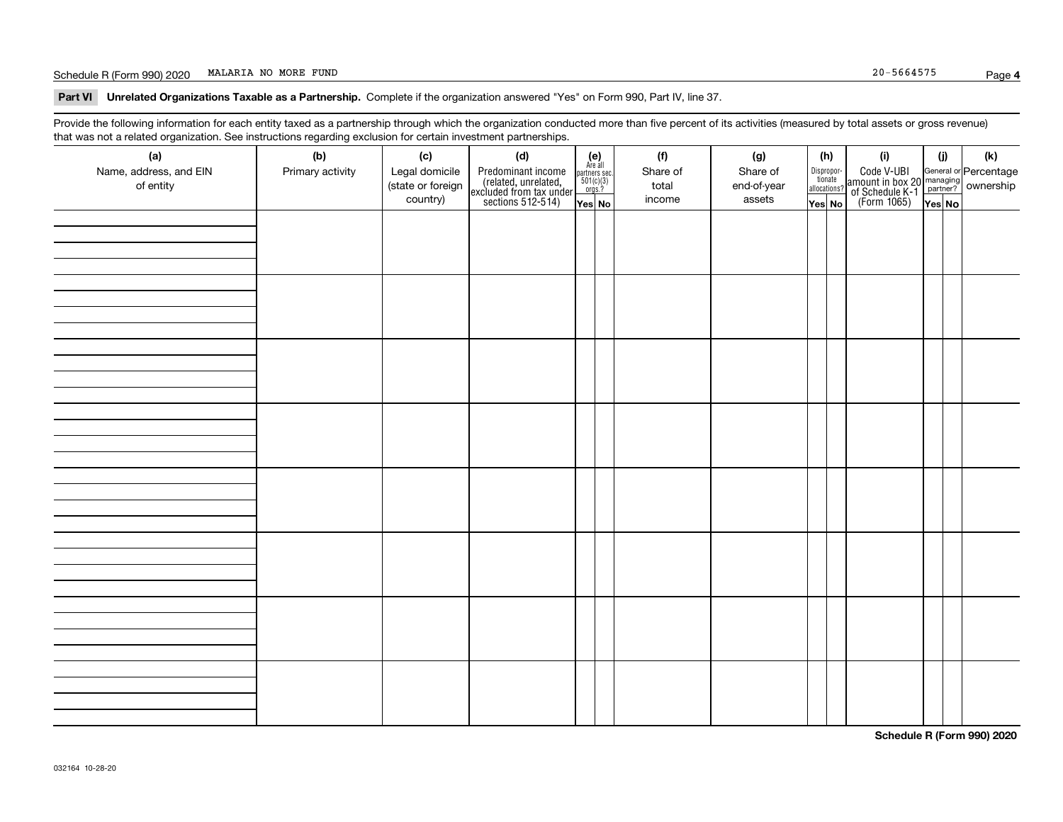#### Schedule R (Form 990) 2020 Page MALARIA NO MORE FUND 20-5664575

**Part VI Unrelated Organizations Taxable as a Partnership. Complete if the organization answered "Yes" on Form 990, Part IV, line 37.** 

Provide the following information for each entity taxed as a partnership through which the organization conducted more than five percent of its activities (measured by total assets or gross revenue) that was not a related organization. See instructions regarding exclusion for certain investment partnerships.

| $\overline{\phantom{0}}$<br>(a)<br>Name, address, and EIN<br>of entity | ັ<br>ັ<br>(b)<br>Primary activity | (c)<br>Legal domicile<br>(state or foreign<br>country) | (d)<br>Predominant income<br>(related, unrelated,<br>excluded from tax under<br>sections 512-514) | (e)<br>Are all<br>$\begin{array}{c}\n\text{partners} & \text{sec.} \\ 501(c)(3) & \text{orgs.?} \n\end{array}$<br>Yes No | (f)<br>Share of<br>total<br>income | (g)<br>Share of<br>end-of-year<br>assets | (h)<br>Dispropor-<br>tionate<br>allocations?<br>Yes No | (i)<br>Code V-UBI<br>  amount in box 20 managing<br>  of Schedule K-1 partner?  ownership<br>  of Schedule K-1 partner?  ownership<br>  Yes No | (i)<br>Yes No | (k) |
|------------------------------------------------------------------------|-----------------------------------|--------------------------------------------------------|---------------------------------------------------------------------------------------------------|--------------------------------------------------------------------------------------------------------------------------|------------------------------------|------------------------------------------|--------------------------------------------------------|------------------------------------------------------------------------------------------------------------------------------------------------|---------------|-----|
|                                                                        |                                   |                                                        |                                                                                                   |                                                                                                                          |                                    |                                          |                                                        |                                                                                                                                                |               |     |
|                                                                        |                                   |                                                        |                                                                                                   |                                                                                                                          |                                    |                                          |                                                        |                                                                                                                                                |               |     |
|                                                                        |                                   |                                                        |                                                                                                   |                                                                                                                          |                                    |                                          |                                                        |                                                                                                                                                |               |     |
|                                                                        |                                   |                                                        |                                                                                                   |                                                                                                                          |                                    |                                          |                                                        |                                                                                                                                                |               |     |
|                                                                        |                                   |                                                        |                                                                                                   |                                                                                                                          |                                    |                                          |                                                        |                                                                                                                                                |               |     |
|                                                                        |                                   |                                                        |                                                                                                   |                                                                                                                          |                                    |                                          |                                                        |                                                                                                                                                |               |     |
|                                                                        |                                   |                                                        |                                                                                                   |                                                                                                                          |                                    |                                          |                                                        |                                                                                                                                                |               |     |
|                                                                        |                                   |                                                        |                                                                                                   |                                                                                                                          |                                    |                                          |                                                        |                                                                                                                                                |               |     |

**Schedule R (Form 990) 2020**